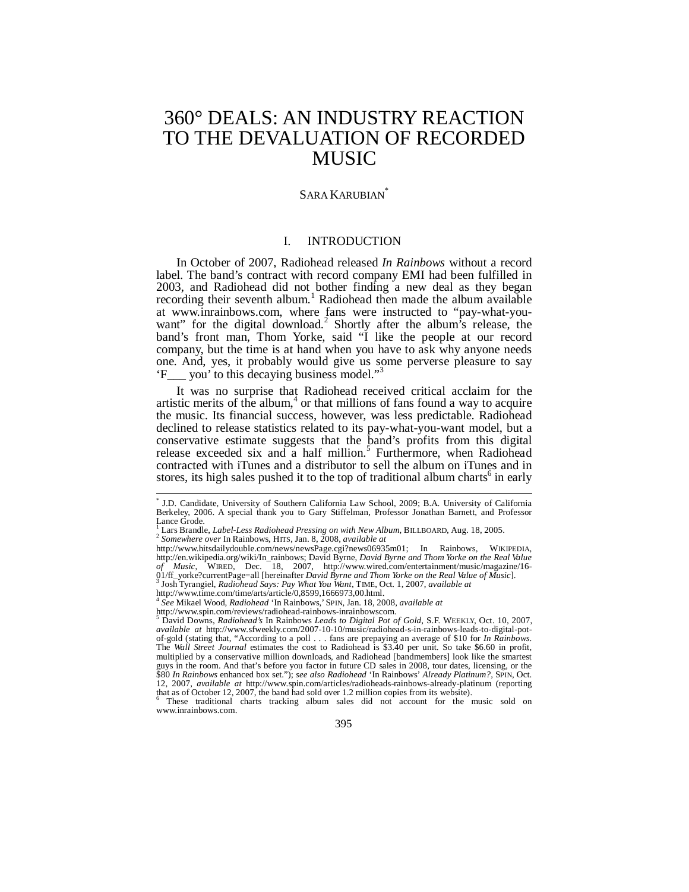# 360° DEALS: AN INDUSTRY REACTION TO THE DEVALUATION OF RECORDED MUSIC

### SARA KARUBIAN<sup>\*</sup>

### I. INTRODUCTION

In October of 2007, Radiohead released *In Rainbows* without a record label. The band's contract with record company EMI had been fulfilled in 2003, and Radiohead did not bother finding a new deal as they began recording their seventh album.<sup>1</sup> Radiohead then made the album available at www.inrainbows.com, where fans were instructed to "pay-what-youwant" for the digital download.<sup>2</sup> Shortly after the album's release, the band's front man, Thom Yorke, said "I like the people at our record company, but the time is at hand when you have to ask why anyone needs one. And, yes, it probably would give us some perverse pleasure to say 'F\_\_\_ you' to this decaying business model."<sup>3</sup>

It was no surprise that Radiohead received critical acclaim for the artistic merits of the album, $4$  or that millions of fans found a way to acquire the music. Its financial success, however, was less predictable. Radiohead declined to release statistics related to its pay-what-you-want model, but a conservative estimate suggests that the band's profits from this digital release exceeded six and a half million.<sup>5</sup> Furthermore, when Radiohead contracted with iTunes and a distributor to sell the album on iTunes and in stores, its high sales pushed it to the top of traditional album charts<sup>6</sup> in early

 These traditional charts tracking album sales did not account for the music sold on www.inrainbows.com.

 \* J.D. Candidate, University of Southern California Law School, 2009; B.A. University of California Berkeley, 2006. A special thank you to Gary Stiffelman, Professor Jonathan Barnett, and Professor Lance Grode.

<sup>&</sup>lt;sup>1</sup> Lars Brandle, *Label-Less Radiohead Pressing on with New Album*, BILLBOARD, Aug. 18, 2005.<br><sup>2</sup> *Somewhere over* In Rainbows, HITS, Jan. 8, 2008, *available at* 

<sup>&</sup>lt;sup>2</sup> *Somewhere over* In Rainbows, HITS, Jan. 8, 2008, *available at*<br>http://www.hitsdailydouble.com/news/newsPage.cgi?news06935m01; In Rainbows, WIKIPEDIA, http://en.wikipedia.org/wiki/In\_rainbows; David Byrne, *David Byrne and Thom Yorke on the Real Value of Music*, WIRED, Dec. 18, 2007, http://www.wired.com/entertainment/music/magazine/16- 01/ff\_yorke?currentPage=all [hereinafter *David Byrne and Thom Yorke on the Real Value of Music*]. 3 Josh Tyrangiel, *Radiohead Says: Pay What You Want*, TIME, Oct. 1, 2007, *available at* 

http://www.time.com/time/arts/article/0,8599,1666973,00.html.

<sup>4</sup> *See* Mikael Wood, *Radiohead* 'In Rainbows,' SPIN, Jan. 18, 2008, *available at* 

http://www.spin.com/reviews/radiohead-rainbows-inrainbowscom.<br><sup>5</sup> Dovid Downs, *Badiohead's* In Beinbows Leads to Digital Ret of

David Downs, *Radiohead's* In Rainbows *Leads to Digital Pot of Gold*, S.F. WEEKLY, Oct. 10, 2007, *available at* http://www.sfweekly.com/2007-10-10/music/radiohead-s-in-rainbows-leads-to-digital-potof-gold (stating that, "According to a poll . . . fans are prepaying an average of \$10 for *In Rainbows*. The *Wall Street Journal* estimates the cost to Radiohead is \$3.40 per unit. So take \$6.60 in profit, multiplied by a conservative million downloads, and Radiohead [bandmembers] look like the smartest guys in the room. And that's before you factor in future CD sales in 2008, tour dates, licensing, or the \$80 *In Rainbows* enhanced box set."); *see also Radiohead* 'In Rainbows' *Already Platinum?*, SPIN, Oct. 12, 2007, *available at* http://www.spin.com/articles/radioheads-rainbows-already-platinum (reporting that as of October 12, 2007, the band had sold over 1.2 million copies from its website).<br>
<sup>6</sup> These traditional oberta trading elbum sales did not account for the r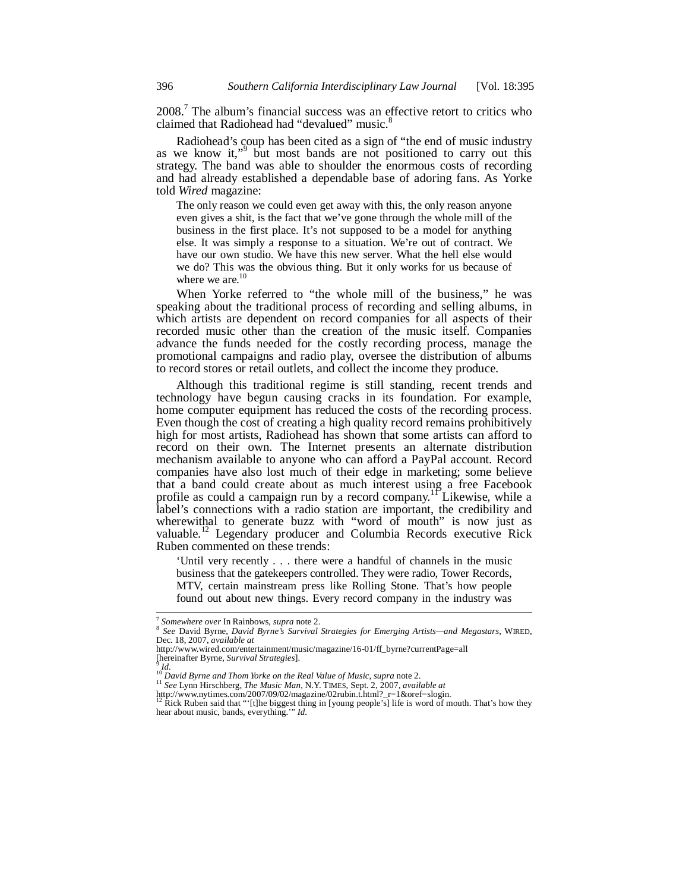2008.<sup>7</sup> The album's financial success was an effective retort to critics who claimed that Radiohead had "devalued" music.<sup>8</sup>

Radiohead's coup has been cited as a sign of "the end of music industry as we know it,"<sup>9</sup> but most bands are not positioned to carry out this strategy. The band was able to shoulder the enormous costs of recording and had already established a dependable base of adoring fans. As Yorke told *Wired* magazine:

The only reason we could even get away with this, the only reason anyone even gives a shit, is the fact that we've gone through the whole mill of the business in the first place. It's not supposed to be a model for anything else. It was simply a response to a situation. We're out of contract. We have our own studio. We have this new server. What the hell else would we do? This was the obvious thing. But it only works for us because of where we are.<sup>10</sup>

When Yorke referred to "the whole mill of the business," he was speaking about the traditional process of recording and selling albums, in which artists are dependent on record companies for all aspects of their recorded music other than the creation of the music itself. Companies advance the funds needed for the costly recording process, manage the promotional campaigns and radio play, oversee the distribution of albums to record stores or retail outlets, and collect the income they produce.

Although this traditional regime is still standing, recent trends and technology have begun causing cracks in its foundation. For example, home computer equipment has reduced the costs of the recording process. Even though the cost of creating a high quality record remains prohibitively high for most artists, Radiohead has shown that some artists can afford to record on their own. The Internet presents an alternate distribution mechanism available to anyone who can afford a PayPal account. Record companies have also lost much of their edge in marketing; some believe that a band could create about as much interest using a free Facebook profile as could a campaign run by a record company.<sup>11</sup> Likewise, while a label's connections with a radio station are important, the credibility and wherewithal to generate buzz with "word of mouth" is now just as valuable.<sup>12</sup> Legendary producer and Columbia Records executive Rick Ruben commented on these trends:

'Until very recently . . . there were a handful of channels in the music business that the gatekeepers controlled. They were radio, Tower Records, MTV, certain mainstream press like Rolling Stone. That's how people found out about new things. Every record company in the industry was

 $7$  Somewhere over In Rainbows, supra note 2.

<sup>&</sup>lt;sup>8</sup> See David Byrne, *David Byrne's Survival Strategies for Emerging Artists—and Megastars*, WIRED, Dec. 18, 2007, *available at* 

http://www.wired.com/entertainment/music/magazine/16-01/ff\_byrne?currentPage=all<br>[hereinafter Byrne, Survival Strategies].

 $\frac{1}{10}$  *M.*<br><sup>10</sup> David Byrne and Thom Yorke on the Real Value of Music, supra note 2.

http://www.nytimes.com/2007/09/02/magazine/02rubin.t.html?\_r=1&oref=slogin.<br><sup>12</sup> Rick Ruben said that "'[t]he biggest thing in [young people's] life is word of mouth. That's how they hear about music, bands, everything.'" *Id.*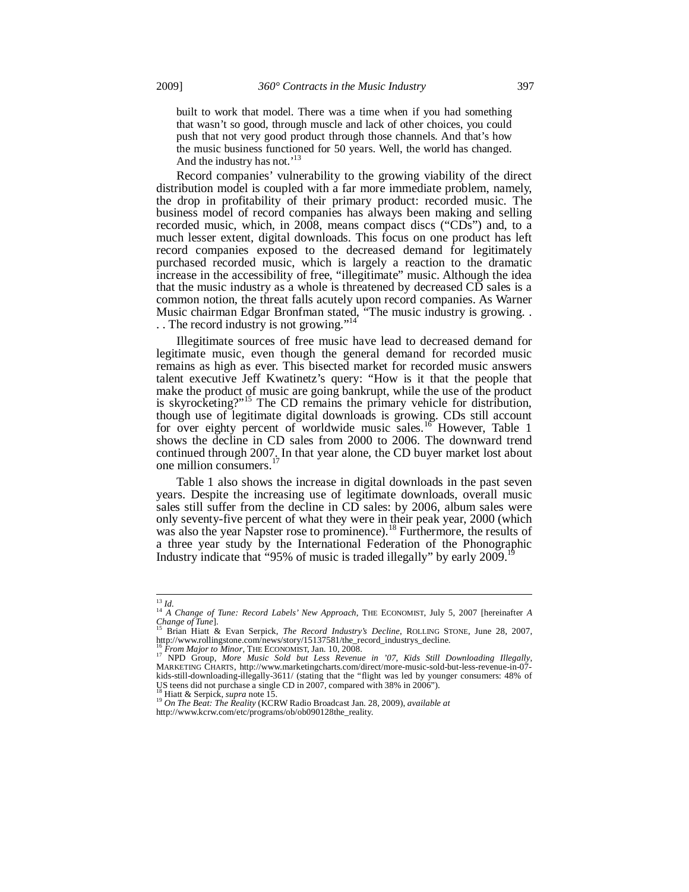built to work that model. There was a time when if you had something that wasn't so good, through muscle and lack of other choices, you could push that not very good product through those channels. And that's how the music business functioned for 50 years. Well, the world has changed. And the industry has not.'<sup>1</sup>

Record companies' vulnerability to the growing viability of the direct distribution model is coupled with a far more immediate problem, namely, the drop in profitability of their primary product: recorded music. The business model of record companies has always been making and selling recorded music, which, in 2008, means compact discs ("CDs") and, to a much lesser extent, digital downloads. This focus on one product has left record companies exposed to the decreased demand for legitimately purchased recorded music, which is largely a reaction to the dramatic increase in the accessibility of free, "illegitimate" music. Although the idea that the music industry as a whole is threatened by decreased CD sales is a common notion, the threat falls acutely upon record companies. As Warner Music chairman Edgar Bronfman stated, "The music industry is growing. . .. The record industry is not growing."<sup>14</sup>

Illegitimate sources of free music have lead to decreased demand for legitimate music, even though the general demand for recorded music remains as high as ever. This bisected market for recorded music answers talent executive Jeff Kwatinetz's query: "How is it that the people that make the product of music are going bankrupt, while the use of the product is skyrocketing?"<sup>15</sup> The CD remains the primary vehicle for distribution, though use of legitimate digital downloads is growing. CDs still account for over eighty percent of worldwide music sales.<sup>16</sup> However, Table 1 shows the decline in CD sales from 2000 to 2006. The downward trend continued through 2007. In that year alone, the CD buyer market lost about one million consumers.<sup>1</sup>

Table 1 also shows the increase in digital downloads in the past seven years. Despite the increasing use of legitimate downloads, overall music sales still suffer from the decline in CD sales: by 2006, album sales were only seventy-five percent of what they were in their peak year, 2000 (which was also the year Napster rose to prominence).<sup>18</sup> Furthermore, the results of a three year study by the International Federation of the Phonographic Industry indicate that  $\cdot$ 95% of music is traded illegally" by early 2009.<sup>1</sup>

<sup>13</sup> *Id.* <sup>14</sup> *A Change of Tune: Record Labels' New Approach*, THE ECONOMIST, July 5, 2007 [hereinafter *<sup>A</sup>*

*Change of Tune*].<br><sup>15</sup> Brian Hiatt & Evan Serpick, *The Record Industry's Decline*, ROLLING STONE, June 28, 2007,<br>http://www.rollingstone.com/news/story/15137581/the\_record\_industrys\_decline.

<sup>&</sup>lt;sup>16</sup> From Major to Minor, THE ECONOMIST, Jan. 10, 2008.<br><sup>17</sup> NPD Group, *More Music Sold but Less Revenue in '07, Kids Still Downloading Illegally*,<br>MARKETING CHARTS, http://www.marketingcharts.com/direct/more-music-sold-b US teens did not purchase a single CD in 2007, compared with 38% in 2006").<br> $\frac{18}{3}$  Hiatt & Serpick, *supra* note 15.

<sup>18</sup> Hiatt & Serpick, *supra* note 15. 19 *On The Beat: The Reality* (KCRW Radio Broadcast Jan. 28, 2009), *available at* http://www.kcrw.com/etc/programs/ob/ob090128the\_reality.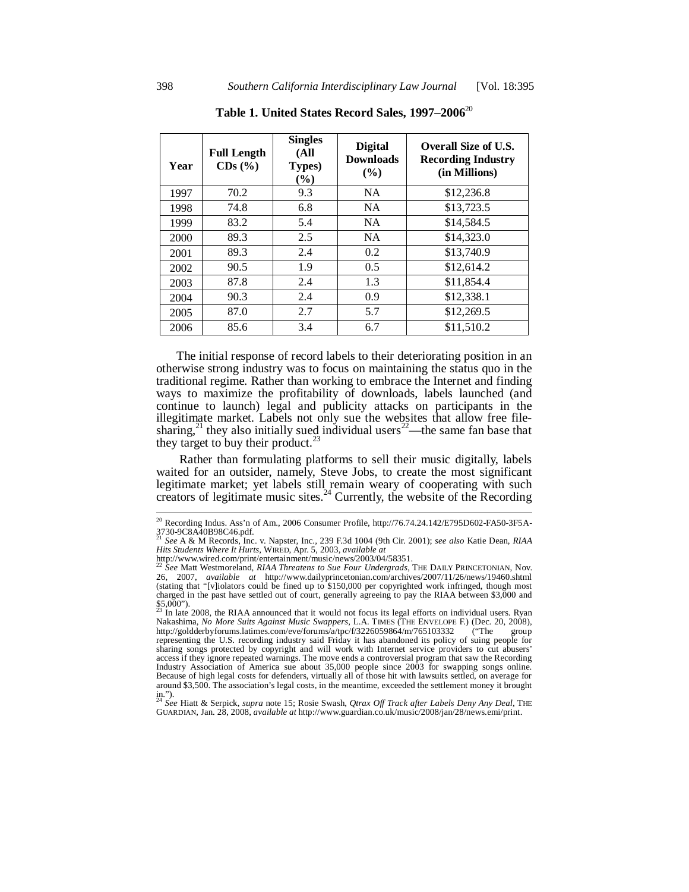| Year | <b>Full Length</b><br>$CDs$ $(\%)$ | <b>Singles</b><br>(All<br><b>Types</b> )<br>$(\%)$ | <b>Digital</b><br><b>Downloads</b><br>$($ %) | <b>Overall Size of U.S.</b><br><b>Recording Industry</b><br>(in Millions) |
|------|------------------------------------|----------------------------------------------------|----------------------------------------------|---------------------------------------------------------------------------|
| 1997 | 70.2                               | 9.3                                                | <b>NA</b>                                    | \$12,236.8                                                                |
| 1998 | 74.8                               | 6.8                                                | <b>NA</b>                                    | \$13,723.5                                                                |
| 1999 | 83.2                               | 5.4                                                | <b>NA</b>                                    | \$14.584.5                                                                |
| 2000 | 89.3                               | 2.5                                                | <b>NA</b>                                    | \$14,323.0                                                                |
| 2001 | 89.3                               | 2.4                                                | 0.2                                          | \$13,740.9                                                                |
| 2002 | 90.5                               | 1.9                                                | 0.5                                          | \$12,614.2                                                                |
| 2003 | 87.8                               | 2.4                                                | 1.3                                          | \$11,854.4                                                                |
| 2004 | 90.3                               | 2.4                                                | 0.9                                          | \$12,338.1                                                                |
| 2005 | 87.0                               | 2.7                                                | 5.7                                          | \$12,269.5                                                                |
| 2006 | 85.6                               | 3.4                                                | 6.7                                          | \$11,510.2                                                                |

**Table 1. United States Record Sales, 1997–2006**<sup>20</sup>

The initial response of record labels to their deteriorating position in an otherwise strong industry was to focus on maintaining the status quo in the traditional regime. Rather than working to embrace the Internet and finding ways to maximize the profitability of downloads, labels launched (and continue to launch) legal and publicity attacks on participants in the illegitimate market. Labels not only sue the websites that allow free filesharing,<sup>21</sup> they also initially sued individual users<sup>22</sup>—the same fan base that they target to buy their product.<sup>23</sup>

 Rather than formulating platforms to sell their music digitally, labels waited for an outsider, namely, Steve Jobs, to create the most significant legitimate market; yet labels still remain weary of cooperating with such creators of legitimate music sites. $^{24}$  Currently, the website of the Recording

<sup>&</sup>lt;sup>20</sup> Recording Indus. Ass'n of Am., 2006 Consumer Profile, http://76.74.24.142/E795D602-FA50-3F5A-3730-9C8A40B98C46.pdf. <sup>21</sup> *See* A & M Records, Inc. v. Napster, Inc., 239 F.3d 1004 (9th Cir. 2001); *see also* Katie Dean, *RIAA* 

*Hits Students Where It Hurts*, WIRED, Apr. 5, 2003, *available at* 

http://www.wired.com/print/entertainment/music/news/2003/04/58351. <sup>22</sup> *See* Matt Westmoreland, *RIAA Threatens to Sue Four Undergrads*, THE DAILY PRINCETONIAN, Nov. 26, 2007, *available at* http://www.dailyprincetonian.com/archives/2007/11/26/news/19460.shtml (stating that "[v]iolators could be fined up to \$150,000 per copyrighted work infringed, though most charged in the past have settled out of court, generally agreeing to pay the RIAA between \$3,000 and  $$5,000"$ ).

In late 2008, the RIAA announced that it would not focus its legal efforts on individual users. Ryan Nakashima, *No More Suits Against Music Swappers*, L.A. TIMES (THE ENVELOPE F.) (Dec. 20, 2008), http://goldderbyforums.latimes.com/eve/forums/a/tpc/f/3226059864/m/765103332 ("The group representing the U.S. recording industry said Friday it has abandoned its policy of suing people for sharing songs protected by copyright and will work with Internet service providers to cut abusers' access if they ignore repeated warnings. The move ends a controversial program that saw the Recording Industry Association of America sue about 35,000 people since 2003 for swapping songs online. Because of high legal costs for defenders, virtually all of those hit with lawsuits settled, on average for around \$3,500. The association's legal costs, in the meantime, exceeded the settlement money it brought in."). <sup>24</sup> *See* Hiatt & Serpick, *supra* note 15; Rosie Swash, *Qtrax Off Track after Labels Deny Any Deal*, THE

GUARDIAN, Jan. 28, 2008, *available at* http://www.guardian.co.uk/music/2008/jan/28/news.emi/print.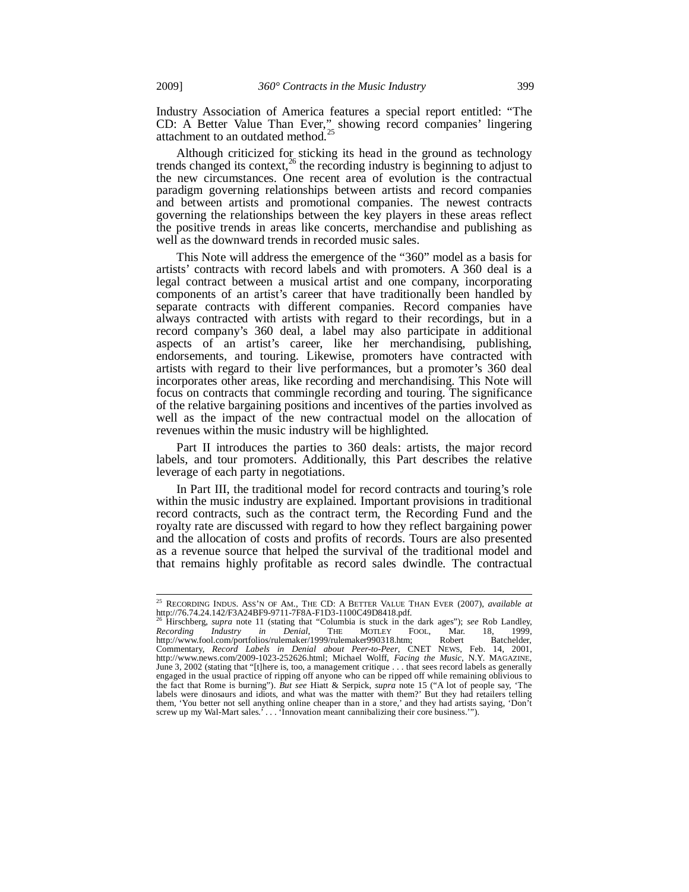Industry Association of America features a special report entitled: "The CD: A Better Value Than Ever," showing record companies' lingering attachment to an outdated method.<sup>25</sup>

Although criticized for sticking its head in the ground as technology trends changed its context,<sup>26</sup> the recording industry is beginning to adjust to the new circumstances. One recent area of evolution is the contractual paradigm governing relationships between artists and record companies and between artists and promotional companies. The newest contracts governing the relationships between the key players in these areas reflect the positive trends in areas like concerts, merchandise and publishing as well as the downward trends in recorded music sales.

This Note will address the emergence of the "360" model as a basis for artists' contracts with record labels and with promoters. A 360 deal is a legal contract between a musical artist and one company, incorporating components of an artist's career that have traditionally been handled by separate contracts with different companies. Record companies have always contracted with artists with regard to their recordings, but in a record company's 360 deal, a label may also participate in additional aspects of an artist's career, like her merchandising, publishing, endorsements, and touring. Likewise, promoters have contracted with artists with regard to their live performances, but a promoter's 360 deal incorporates other areas, like recording and merchandising. This Note will focus on contracts that commingle recording and touring. The significance of the relative bargaining positions and incentives of the parties involved as well as the impact of the new contractual model on the allocation of revenues within the music industry will be highlighted.

Part II introduces the parties to 360 deals: artists, the major record labels, and tour promoters. Additionally, this Part describes the relative leverage of each party in negotiations.

In Part III, the traditional model for record contracts and touring's role within the music industry are explained. Important provisions in traditional record contracts, such as the contract term, the Recording Fund and the royalty rate are discussed with regard to how they reflect bargaining power and the allocation of costs and profits of records. Tours are also presented as a revenue source that helped the survival of the traditional model and that remains highly profitable as record sales dwindle. The contractual

<sup>&</sup>lt;sup>25</sup> RECORDING INDUS. ASS'N OF AM., THE CD: A BETTER VALUE THAN EVER (2007), *available at*<br>http://76.74.24.142/F3A24BF9-9711-7F8A-F1D3-1100C49D8418.pdf.

<sup>&</sup>lt;sup>26</sup> Hirschberg, *supra* note 11 (stating that "Columbia is stuck in the dark ages"); *see* Rob Landley, *Recording Industry in Denial*, THE MOTLEY FOOL, Mar. 18, 1999, *Recording Industry in Denial*, THE MOTLEY FOOL, Mar. 18, 1999, http://www.fool.com/portfolios/rulemaker/1999/rulemaker990318.htm; Robert Batchelder, Commentary, *Record Labels in Denial about Peer-to-Peer*, CNET NEWS, Feb. 14, 2001, http://www.news.com/2009-1023-252626.html; Michael Wolff, *Facing the Music*, N.Y. MAGAZINE, June 3, 2002 (stating that "[t]here is, too, a management critique . . . that sees record labels as generally engaged in the usual practice of ripping off anyone who can be ripped off while remaining oblivious to the fact that Rome is burning"). *But see* Hiatt & Serpick, *supra* note 15 ("A lot of people say, 'The labels were dinosaurs and idiots, and what was the matter with them?' But they had retailers telling them, 'You better not sell anything online cheaper than in a store,' and they had artists saying, 'Don't screw up my Wal-Mart sales.' . . . 'Innovation meant cannibalizing their core business.'").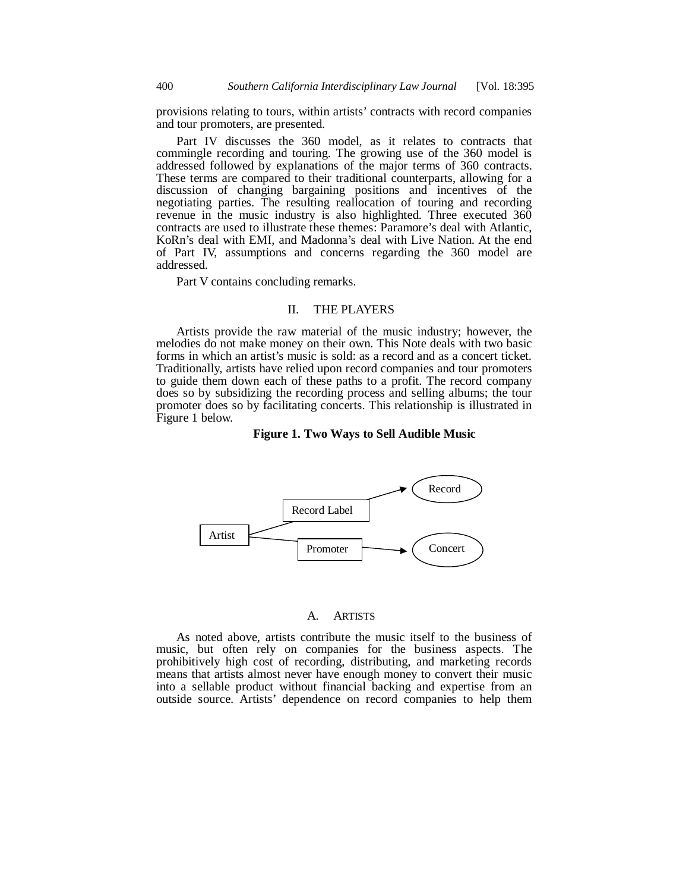provisions relating to tours, within artists' contracts with record companies and tour promoters, are presented.

Part IV discusses the 360 model, as it relates to contracts that commingle recording and touring. The growing use of the 360 model is addressed followed by explanations of the major terms of 360 contracts. These terms are compared to their traditional counterparts, allowing for a discussion of changing bargaining positions and incentives of the negotiating parties. The resulting reallocation of touring and recording revenue in the music industry is also highlighted. Three executed 360 contracts are used to illustrate these themes: Paramore's deal with Atlantic, KoRn's deal with EMI, and Madonna's deal with Live Nation. At the end of Part IV, assumptions and concerns regarding the 360 model are addressed.

Part V contains concluding remarks.

### II. THE PLAYERS

Artists provide the raw material of the music industry; however, the melodies do not make money on their own. This Note deals with two basic forms in which an artist's music is sold: as a record and as a concert ticket. Traditionally, artists have relied upon record companies and tour promoters to guide them down each of these paths to a profit. The record company does so by subsidizing the recording process and selling albums; the tour promoter does so by facilitating concerts. This relationship is illustrated in Figure 1 below.

#### **Figure 1. Two Ways to Sell Audible Music**



#### A. ARTISTS

As noted above, artists contribute the music itself to the business of music, but often rely on companies for the business aspects. The prohibitively high cost of recording, distributing, and marketing records means that artists almost never have enough money to convert their music into a sellable product without financial backing and expertise from an outside source. Artists' dependence on record companies to help them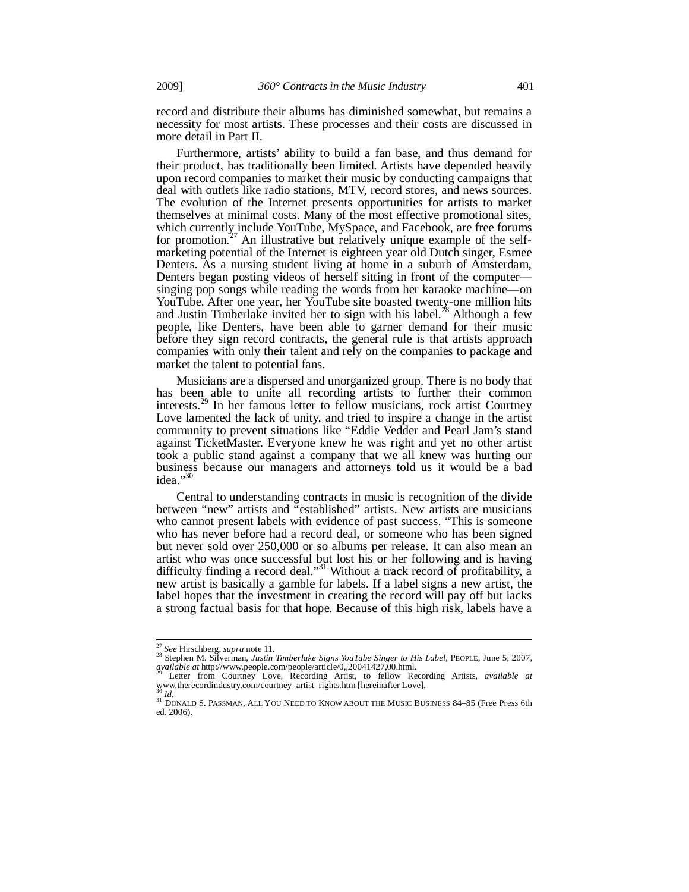record and distribute their albums has diminished somewhat, but remains a necessity for most artists. These processes and their costs are discussed in more detail in Part II.

Furthermore, artists' ability to build a fan base, and thus demand for their product, has traditionally been limited. Artists have depended heavily upon record companies to market their music by conducting campaigns that deal with outlets like radio stations, MTV, record stores, and news sources. The evolution of the Internet presents opportunities for artists to market themselves at minimal costs. Many of the most effective promotional sites, which currently include YouTube, MySpace, and Facebook, are free forums for promotion.<sup>27</sup> An illustrative but relatively unique example of the selfmarketing potential of the Internet is eighteen year old Dutch singer, Esmee Denters. As a nursing student living at home in a suburb of Amsterdam, Denters began posting videos of herself sitting in front of the computer singing pop songs while reading the words from her karaoke machine—on YouTube. After one year, her YouTube site boasted twenty-one million hits and Justin Timberlake invited her to sign with his label.<sup>28</sup> Although a few people, like Denters, have been able to garner demand for their music before they sign record contracts, the general rule is that artists approach companies with only their talent and rely on the companies to package and market the talent to potential fans.

Musicians are a dispersed and unorganized group. There is no body that has been able to unite all recording artists to further their common interests.<sup>29</sup> In her famous letter to fellow musicians, rock artist Courtney Love lamented the lack of unity, and tried to inspire a change in the artist community to prevent situations like "Eddie Vedder and Pearl Jam's stand against TicketMaster. Everyone knew he was right and yet no other artist took a public stand against a company that we all knew was hurting our business because our managers and attorneys told us it would be a bad idea."30

Central to understanding contracts in music is recognition of the divide between "new" artists and "established" artists. New artists are musicians who cannot present labels with evidence of past success. "This is someone who has never before had a record deal, or someone who has been signed but never sold over 250,000 or so albums per release. It can also mean an artist who was once successful but lost his or her following and is having difficulty finding a record deal."<sup>31</sup> Without a track record of profitability, a new artist is basically a gamble for labels. If a label signs a new artist, the label hopes that the investment in creating the record will pay off but lacks a strong factual basis for that hope. Because of this high risk, labels have a

<sup>&</sup>lt;sup>27</sup> See Hirschberg, supra note 11.

<sup>&</sup>lt;sup>27</sup> See Hirschberg, *supra* note 11.<br><sup>28</sup> Stephen M. Silverman, *Justin Timberlake Signs YouTube Singer to His Label*, PEOPLE, June 5, 2007, *available at* http://www.people.com/people/article/0,,20041427,00.html. 29 Letter from Courtney Love, Recording Artist, to fellow Recording Artists, *available at*

<sup>&</sup>lt;sup>29</sup> Letter from Courtney Love, Recording Artist, to fellow Recording Artists, *available at* www.therecordindustry.com/courtney\_artist\_rights.htm [hereinafter Love].

<sup>&</sup>lt;sup>31</sup> DONALD S. PASSMAN, ALL YOU NEED TO KNOW ABOUT THE MUSIC BUSINESS 84–85 (Free Press 6th ed. 2006).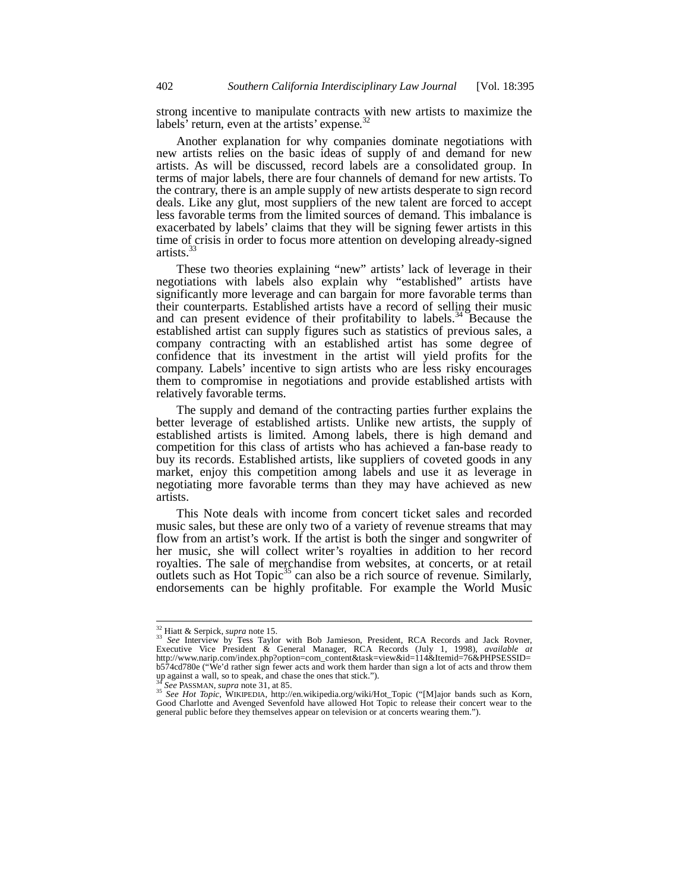strong incentive to manipulate contracts with new artists to maximize the labels' return, even at the artists' expense.<sup>32</sup>

Another explanation for why companies dominate negotiations with new artists relies on the basic ideas of supply of and demand for new artists. As will be discussed, record labels are a consolidated group. In terms of major labels, there are four channels of demand for new artists. To the contrary, there is an ample supply of new artists desperate to sign record deals. Like any glut, most suppliers of the new talent are forced to accept less favorable terms from the limited sources of demand. This imbalance is exacerbated by labels' claims that they will be signing fewer artists in this time of crisis in order to focus more attention on developing already-signed artists.<sup>3</sup>

These two theories explaining "new" artists' lack of leverage in their negotiations with labels also explain why "established" artists have significantly more leverage and can bargain for more favorable terms than their counterparts. Established artists have a record of selling their music and can present evidence of their profitability to labels.<sup>34</sup> Because the established artist can supply figures such as statistics of previous sales, a company contracting with an established artist has some degree of confidence that its investment in the artist will yield profits for the company. Labels' incentive to sign artists who are less risky encourages them to compromise in negotiations and provide established artists with relatively favorable terms.

The supply and demand of the contracting parties further explains the better leverage of established artists. Unlike new artists, the supply of established artists is limited. Among labels, there is high demand and competition for this class of artists who has achieved a fan-base ready to buy its records. Established artists, like suppliers of coveted goods in any market, enjoy this competition among labels and use it as leverage in negotiating more favorable terms than they may have achieved as new artists.

This Note deals with income from concert ticket sales and recorded music sales, but these are only two of a variety of revenue streams that may flow from an artist's work. If the artist is both the singer and songwriter of her music, she will collect writer's royalties in addition to her record royalties. The sale of merchandise from websites, at concerts, or at retail outlets such as Hot Topic<sup>35</sup> can also be a rich source of revenue. Similarly, endorsements can be highly profitable. For example the World Music

<sup>&</sup>lt;sup>32</sup> Hiatt & Serpick, *supra* note 15.<br><sup>33</sup> *See* Interview by Tess Taylor with Bob Jamieson, President, RCA Records and Jack Rovner, Executive Vice President & General Manager, RCA Records (July 1, 1998), *available at*  http://www.narip.com/index.php?option=com\_content&task=view&id=114&Itemid=76&PHPSESSID= b574cd780e ("We'd rather sign fewer acts and work them harder than sign a lot of acts and throw them up against a wall, so to speak, and chase the ones that stick.").

<sup>34</sup> *See* PASSMAN, *supra* note 31, at 85. 35 *See Hot Topic*, WIKIPEDIA, http://en.wikipedia.org/wiki/Hot\_Topic ("[M]ajor bands such as Korn, Good Charlotte and Avenged Sevenfold have allowed Hot Topic to release their concert wear to the general public before they themselves appear on television or at concerts wearing them.").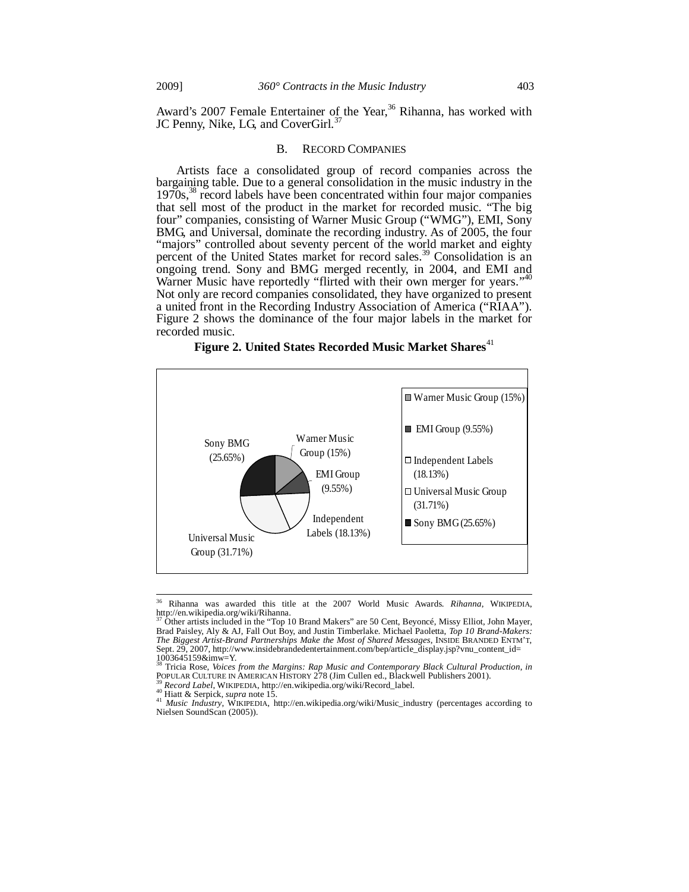Award's 2007 Female Entertainer of the Year,<sup>36</sup> Rihanna, has worked with JC Penny, Nike, LG, and CoverGirl.<sup>37</sup>

#### B. RECORD COMPANIES

Artists face a consolidated group of record companies across the bargaining table. Due to a general consolidation in the music industry in the 1970s,<sup>38</sup> record labels have been concentrated within four major companies that sell most of the product in the market for recorded music. "The big four" companies, consisting of Warner Music Group ("WMG"), EMI, Sony BMG, and Universal, dominate the recording industry. As of 2005, the four "majors" controlled about seventy percent of the world market and eighty percent of the United States market for record sales.<sup>39</sup> Consolidation is an ongoing trend. Sony and BMG merged recently, in 2004, and EMI and Warner Music have reportedly "flirted with their own merger for years."<sup>40</sup> Not only are record companies consolidated, they have organized to present a united front in the Recording Industry Association of America ("RIAA"). Figure 2 shows the dominance of the four major labels in the market for recorded music.





<sup>36</sup> 36 Rihanna was awarded this title at the 2007 World Music Awards. *Rihanna*, WIKIPEDIA, http://en.wikipedia.org/wiki/Rihanna.

<sup>37</sup> Other artists included in the "Top 10 Brand Makers" are 50 Cent, Beyoncé, Missy Elliot, John Mayer, Brad Paisley, Aly & AJ, Fall Out Boy, and Justin Timberlake. Michael Paoletta, *Top 10 Brand-Makers: The Biggest Artist-Brand Partnerships Make the Most of Shared Messages*, INSIDE BRANDED ENTM'T, Sept. 29, 2007, http://www.insidebrandedentertainment.com/bep/article\_display.jsp?vnu\_content\_id=  $1003645159&$  imw=Y.

<sup>&</sup>lt;sup>38</sup> Tricia Rose, *Voices from the Margins: Rap Music and Contemporary Black Cultural Production, in POPULAR CULTURE IN AMERICAN HISTORY 278 (Jim Cullen ed., Blackwell Publishers 2001).* 

<sup>&</sup>lt;sup>39</sup> Record Label, WIKIPEDIA, http://en.wikipedia.org/wiki/Record\_label.<br><sup>40</sup> Hiatt & Serpick, *supra* note 15.<br><sup>41</sup> Music Industry, WIKIPEDIA, http://en.wikipedia.org/wiki/Music\_industry (percentages according to Nielsen SoundScan (2005)).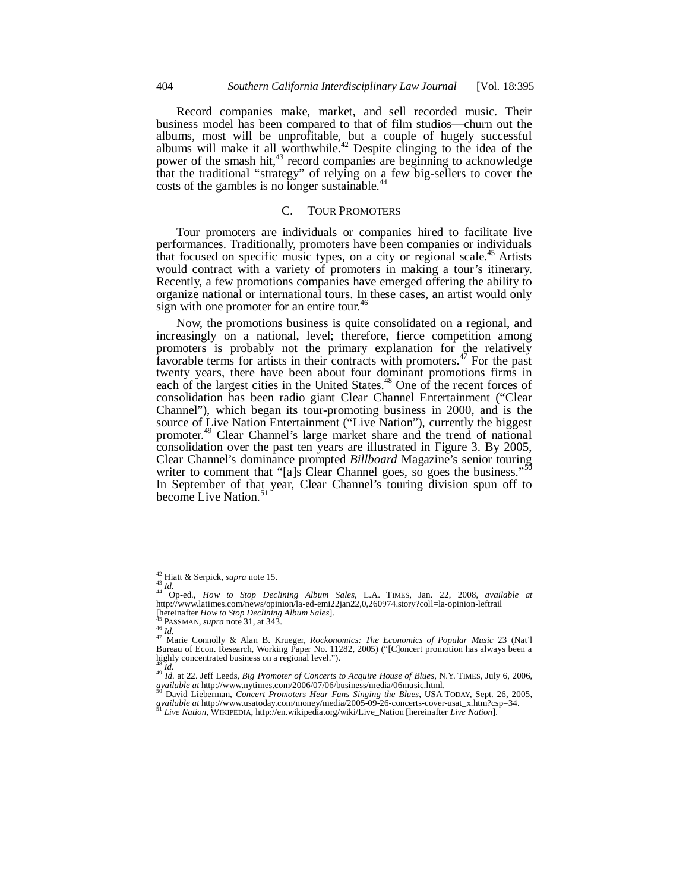Record companies make, market, and sell recorded music. Their business model has been compared to that of film studios—churn out the albums, most will be unprofitable, but a couple of hugely successful albums will make it all worthwhile.<sup>42</sup> Despite clinging to the idea of the power of the smash hit,<sup>43</sup> record companies are beginning to acknowledge that the traditional "strategy" of relying on a few big-sellers to cover the costs of the gambles is no longer sustainable.<sup>44</sup>

#### C. TOUR PROMOTERS

Tour promoters are individuals or companies hired to facilitate live performances. Traditionally, promoters have been companies or individuals that focused on specific music types, on a city or regional scale.<sup>45</sup> Artists would contract with a variety of promoters in making a tour's itinerary. Recently, a few promotions companies have emerged offering the ability to organize national or international tours. In these cases, an artist would only sign with one promoter for an entire tour.<sup>46</sup>

Now, the promotions business is quite consolidated on a regional, and increasingly on a national, level; therefore, fierce competition among promoters is probably not the primary explanation for the relatively favorable terms for artists in their contracts with promoters.<sup>47</sup> For the past twenty years, there have been about four dominant promotions firms in each of the largest cities in the United States.<sup>48</sup> One of the recent forces of consolidation has been radio giant Clear Channel Entertainment ("Clear Channel"), which began its tour-promoting business in 2000, and is the source of Live Nation Entertainment ("Live Nation"), currently the biggest promoter.49 Clear Channel's large market share and the trend of national consolidation over the past ten years are illustrated in Figure 3. By 2005, Clear Channel's dominance prompted *Billboard* Magazine's senior touring writer to comment that "[a]s Clear Channel goes, so goes the business."<sup>50</sup> In September of that year, Clear Channel's touring division spun off to become Live Nation.<sup>51</sup>

 $42$  Hiatt & Serpick, supra note 15.

<sup>&</sup>lt;sup>42</sup> Hiatt & Serpick, *supra* note 15.<br><sup>43</sup> *Id.* 43 *Id.* 44 Op-ed., *How to Stop Declining Album Sales*, L.A. TIMES, Jan. 22, 2008, *available at* http://www.latimes.com/news/opinion/la-ed-emi22jan22,0,260974.story?coll=la-opinion-leftrail

<sup>[</sup>hereinafter *How to Stop Declining Album Sales*].<br><sup>45</sup> PASSMAN, *supra* note 31, at 343.<br><sup>46</sup> Id.<br><sup>47</sup> Marie Connolly & Alan B. Krueger, *Rockonomics: The Economics of Popular Music* 23 (Nat'l<br>Bureau of Econ. Research, Wo highly concentrated business on a regional level.").  $^{48}$  *M* 

<sup>49</sup> *Id.*<br>*At 1d.* at 22. Jeff Leeds, *Big Promoter of Concerts to Acquire House of Blues*, N.Y. TIMES, July 6, 2006, *available at* http://www.nytimes.com/2006/07/06/business/media/06music.html. 50 David Lieberman, *Concert Promoters Hear Fans Singing the Blues*, USA TODAY, Sept. 26, 2005,

*available at* http://www.usatoday.com/money/media/2005-09-26-concerts-cover-usat\_x.htm?csp=34. 51 *Live Nation*, WIKIPEDIA, http://en.wikipedia.org/wiki/Live\_Nation [hereinafter *Live Nation*].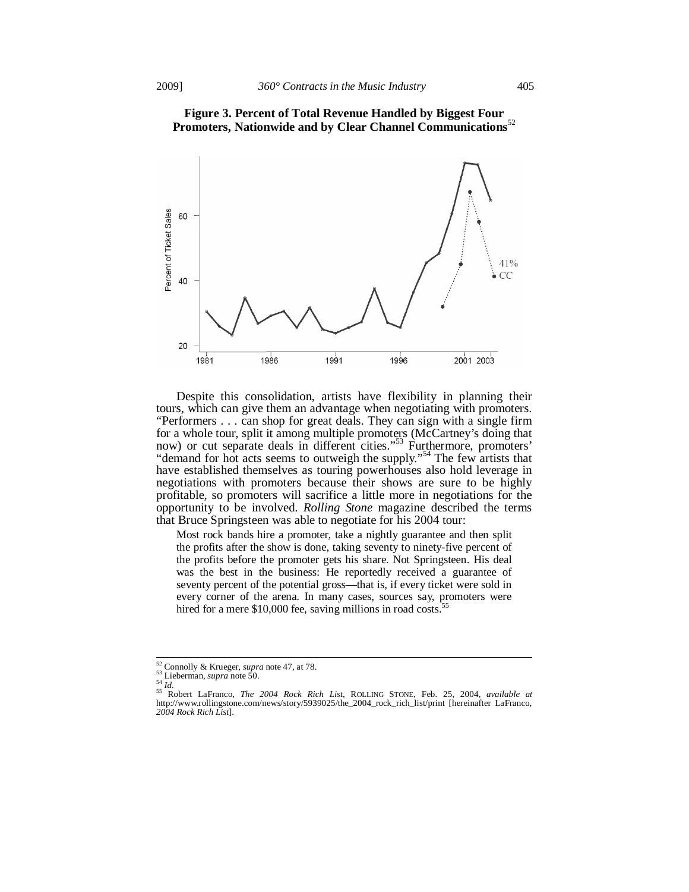

# **Figure 3. Percent of Total Revenue Handled by Biggest Four Promoters, Nationwide and by Clear Channel Communications**<sup>52</sup>

Despite this consolidation, artists have flexibility in planning their tours, which can give them an advantage when negotiating with promoters. "Performers . . . can shop for great deals. They can sign with a single firm for a whole tour, split it among multiple promoters (McCartney's doing that now) or cut separate deals in different cities."<sup>53</sup> Furthermore, promoters' "demand for hot acts seems to outweigh the supply."<sup>54</sup> The few artists that have established themselves as touring powerhouses also hold leverage in negotiations with promoters because their shows are sure to be highly profitable, so promoters will sacrifice a little more in negotiations for the opportunity to be involved. *Rolling Stone* magazine described the terms that Bruce Springsteen was able to negotiate for his 2004 tour:

Most rock bands hire a promoter, take a nightly guarantee and then split the profits after the show is done, taking seventy to ninety-five percent of the profits before the promoter gets his share. Not Springsteen. His deal was the best in the business: He reportedly received a guarantee of seventy percent of the potential gross—that is, if every ticket were sold in every corner of the arena. In many cases, sources say, promoters were hired for a mere  $$10,000$  fee, saving millions in road costs.<sup>55</sup>

<sup>&</sup>lt;sup>52</sup> Connolly & Krueger, *supra* note 47, at 78.

<sup>&</sup>lt;sup>52</sup> Connolly & Krueger, *supra* note 47, at 78.<br><sup>54</sup> Lieberman, *supra* note 50.<br><sup>54</sup> Id.<br><sup>55</sup> Robert LaFranco, *The 2004 Rock Rich List*, ROLLING STONE, Feb. 25, 2004, *available at*<br>http://www.rollingstone.com/news/stor *2004 Rock Rich List*].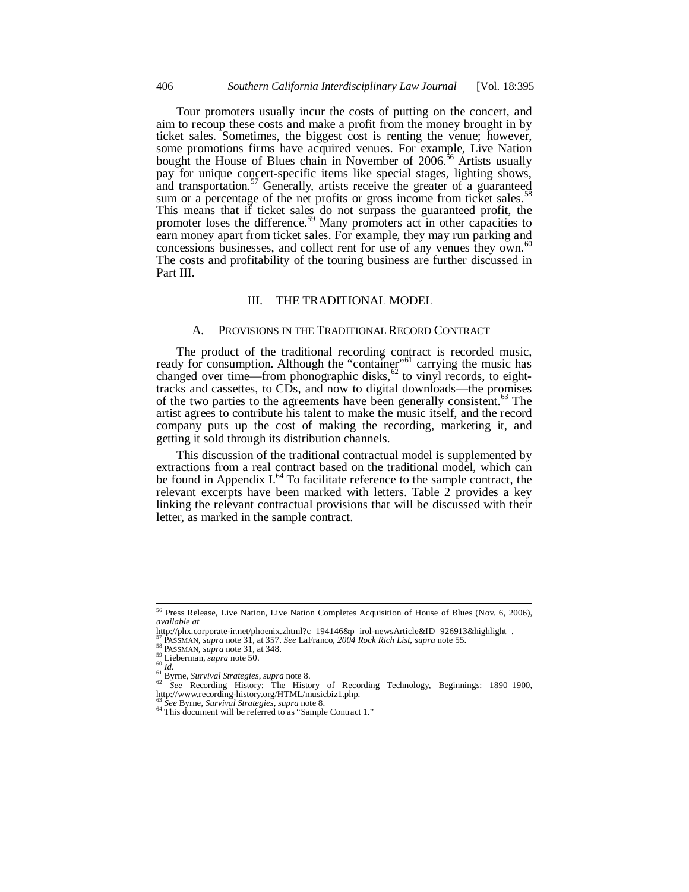Tour promoters usually incur the costs of putting on the concert, and aim to recoup these costs and make a profit from the money brought in by ticket sales. Sometimes, the biggest cost is renting the venue; however, some promotions firms have acquired venues. For example, Live Nation bought the House of Blues chain in November of  $2006$ <sup>56</sup> Artists usually pay for unique concert-specific items like special stages, lighting shows, and transportation.<sup>57</sup> Generally, artists receive the greater of a guaranteed sum or a percentage of the net profits or gross income from ticket sales.<sup>58</sup> This means that if ticket sales do not surpass the guaranteed profit, the promoter loses the difference.<sup>59</sup> Many promoters act in other capacities to earn money apart from ticket sales. For example, they may run parking and concessions businesses, and collect rent for use of any venues they own.<sup>60</sup> The costs and profitability of the touring business are further discussed in Part III.

#### III. THE TRADITIONAL MODEL

#### A. PROVISIONS IN THE TRADITIONAL RECORD CONTRACT

The product of the traditional recording contract is recorded music, ready for consumption. Although the "container"<sup>61</sup> carrying the music has changed over time—from phonographic disks, $62$  to vinyl records, to eighttracks and cassettes, to CDs, and now to digital downloads—the promises of the two parties to the agreements have been generally consistent.<sup>65</sup> The artist agrees to contribute his talent to make the music itself, and the record company puts up the cost of making the recording, marketing it, and getting it sold through its distribution channels.

This discussion of the traditional contractual model is supplemented by extractions from a real contract based on the traditional model, which can be found in Appendix  $I^{64}$  To facilitate reference to the sample contract, the relevant excerpts have been marked with letters. Table  $2$  provides a key linking the relevant contractual provisions that will be discussed with their letter, as marked in the sample contract.

1

<sup>&</sup>lt;sup>56</sup> Press Release, Live Nation, Live Nation Completes Acquisition of House of Blues (Nov. 6, 2006), *available at*

http://phx.corporate-ir.net/phoenix.zhtml?c=194146&p=irol-newsArticle&ID=926913&highlight=.<br><sup>57</sup> PASSMAN, *supra* note 31, at 357. See LaFranco, 2004 Rock Rich List, supra note 55.

<sup>&</sup>lt;sup>57</sup> PASSMAN, *supra* note 31, at 357. *See* LaFranco, 2004 Rock Rich List, supra note 55.<br><sup>58</sup> PASSMAN, *supra* note 31, at 348.<br><sup>61</sup> Lieberman, *supra* note 50.<br><sup>61</sup> Id.<br><sup>61</sup> Id.<br><sup>62</sup> See Recording History: The History

<sup>&</sup>lt;sup>63</sup> *See* Byrne, *Survival Strategies*, *supra* note 8. 64 This document will be referred to as "Sample Contract 1."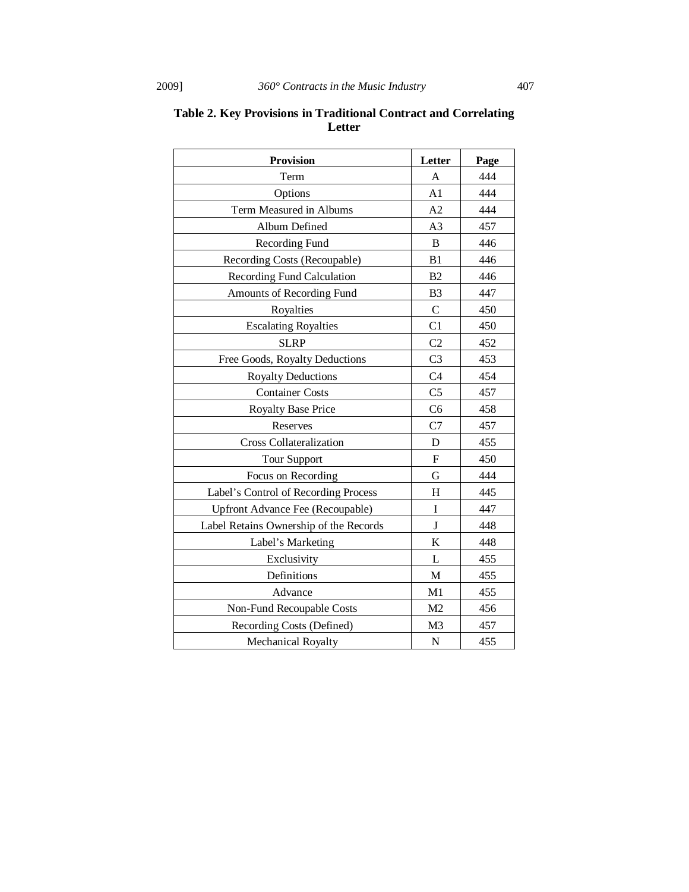| <b>Provision</b>                        | Letter         | Page |
|-----------------------------------------|----------------|------|
| Term                                    | A              | 444  |
| Options                                 | A <sub>1</sub> | 444  |
| Term Measured in Albums                 | A2             | 444  |
| Album Defined                           | A <sub>3</sub> | 457  |
| Recording Fund                          | B              | 446  |
| Recording Costs (Recoupable)            | B1             | 446  |
| <b>Recording Fund Calculation</b>       | B <sub>2</sub> | 446  |
| Amounts of Recording Fund               | B <sub>3</sub> | 447  |
| Royalties                               | $\mathcal{C}$  | 450  |
| <b>Escalating Royalties</b>             | C1             | 450  |
| <b>SLRP</b>                             | C <sub>2</sub> | 452  |
| Free Goods, Royalty Deductions          | C <sub>3</sub> | 453  |
| <b>Royalty Deductions</b>               | C <sub>4</sub> | 454  |
| <b>Container Costs</b>                  | C <sub>5</sub> | 457  |
| <b>Royalty Base Price</b>               | C <sub>6</sub> | 458  |
| Reserves                                | C7             | 457  |
| <b>Cross Collateralization</b>          | D              | 455  |
| <b>Tour Support</b>                     | ${\bf F}$      | 450  |
| Focus on Recording                      | G              | 444  |
| Label's Control of Recording Process    | H              | 445  |
| <b>Upfront Advance Fee (Recoupable)</b> | $\mathbf I$    | 447  |
| Label Retains Ownership of the Records  | J              | 448  |
| Label's Marketing                       | K              | 448  |
| Exclusivity                             | L              | 455  |
| Definitions                             | M              | 455  |
| Advance                                 | M1             | 455  |
| Non-Fund Recoupable Costs               | M <sub>2</sub> | 456  |
| Recording Costs (Defined)               | M <sub>3</sub> | 457  |
| Mechanical Royalty                      | ${\bf N}$      | 455  |

# **Table 2. Key Provisions in Traditional Contract and Correlating Letter**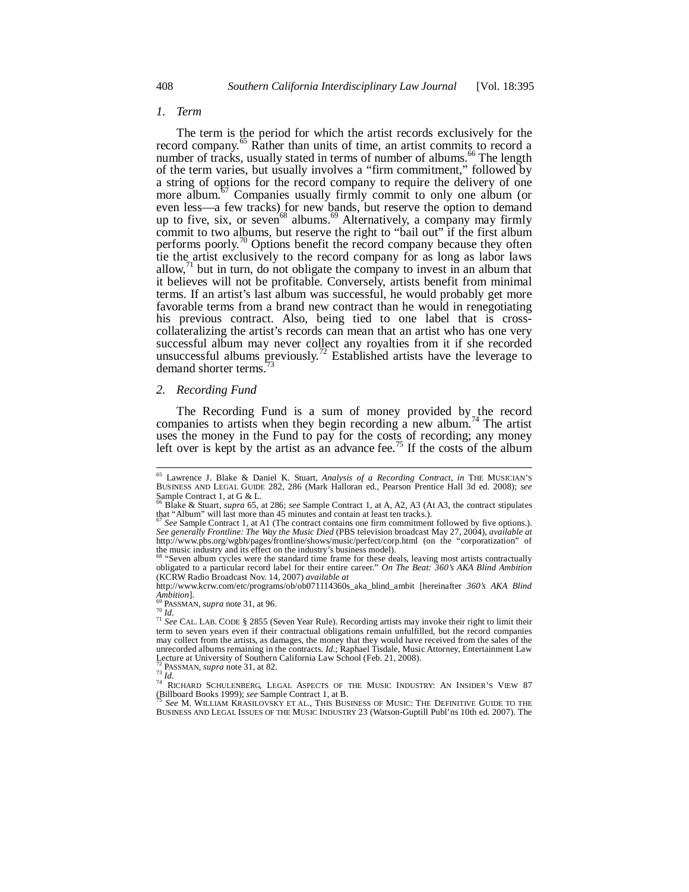#### *1. Term*

The term is the period for which the artist records exclusively for the record company.<sup>65</sup> Rather than units of time, an artist commits to record a number of tracks, usually stated in terms of number of albums.<sup>66</sup> The length of the term varies, but usually involves a "firm commitment," followed by a string of options for the record company to require the delivery of one more album.<sup>67</sup> Companies usually firmly commit to only one album (or even less—a few tracks) for new bands, but reserve the option to demand up to five, six, or seven<sup>68</sup> albums.<sup>69</sup> Alternatively, a company may firmly commit to two albums, but reserve the right to "bail out" if the first album performs poorly.<sup>70</sup> Options benefit the record company because they often tie the artist exclusively to the record company for as long as labor laws allow, $^{71}$  but in turn, do not obligate the company to invest in an album that it believes will not be profitable. Conversely, artists benefit from minimal terms. If an artist's last album was successful, he would probably get more favorable terms from a brand new contract than he would in renegotiating his previous contract. Also, being tied to one label that is crosscollateralizing the artist's records can mean that an artist who has one very successful album may never collect any royalties from it if she recorded unsuccessful albums previously.<sup>72</sup> Established artists have the leverage to demand shorter terms.

#### *2. Recording Fund*

The Recording Fund is a sum of money provided by the record companies to artists when they begin recording a new album.<sup>74</sup> The artist uses the money in the Fund to pay for the costs of recording; any money left over is kept by the artist as an advance fee.<sup>75</sup> If the costs of the album

-

<sup>65</sup> Lawrence J. Blake & Daniel K. Stuart, *Analysis of a Recording Contract*, *in* THE MUSICIAN'S BUSINESS AND LEGAL GUIDE 282, 286 (Mark Halloran ed., Pearson Prentice Hall 3d ed. 2008); *see* Sample Contract 1, at  $G \& L$ .

<sup>66</sup> Blake & Stuart, *supra* 65, at 286; *see* Sample Contract 1, at A, A2, A3 (At A3, the contract stipulates that "Album" will last more than 45 minutes and contain at least ten tracks.).

<sup>67</sup> *See* Sample Contract 1, at A1 (The contract contains one firm commitment followed by five options.). *See generally Frontline: The Way the Music Died* (PBS television broadcast May 27, 2004), *available at* http://www.pbs.org/wgbh/pages/frontline/shows/music/perfect/corp.html (on the "corporatization" of the music industry and its effect on the industry's business model).

Seven album cycles were the standard time frame for these deals, leaving most artists contractually obligated to a particular record label for their entire career." *On The Beat: 360's AKA Blind Ambition* (KCRW Radio Broadcast Nov. 14, 2007) *available at*

http://www.kcrw.com/etc/programs/ob/ob071114360s\_aka\_blind\_ambit [hereinafter *360's AKA Blind Ambition*].<br>*<sup>69</sup>* PASSMAN, sung note <sup>21</sup> at 05

<sup>&</sup>lt;sup>69</sup> PASSMAN, *supra* note 31, at 96.<br><sup>70</sup> *Id.* 71 *Id.* 71 *See* CAL. LAB. CODE § 2855 (Seven Year Rule). Recording artists may invoke their right to limit their term to seven years even if their contractual obligations remain unfulfilled, but the record companies may collect from the artists, as damages, the money that they would have received from the sales of the unrecorded albums remaining in the contracts. *Id.*; Raphael Tisdale, Music Attorney, Entertainment Law

Lecture at University of Southern California Law School (Feb. 21, 2008).<br><sup>72</sup> PASSMAN, *supra* note 31, at 82.

<sup>&</sup>lt;sup>27</sup> PASSMAN, *supra* note 31, at 82.<br><sup>73</sup> *Id.*<br><sup>74</sup> RICHARD SCHULENBERG, LEGAL ASPECTS OF THE MUSIC INDUSTRY: AN INSIDER'S VIEW 87<br>(Billboard Books 1999); *see* Sample Contract 1, at B.

See M. WILLIAM KRASILOVSKY ET AL., THIS BUSINESS OF MUSIC: THE DEFINITIVE GUIDE TO THE BUSINESS AND LEGAL ISSUES OF THE MUSIC INDUSTRY 23 (Watson-Guptill Publ'ns 10th ed. 2007). The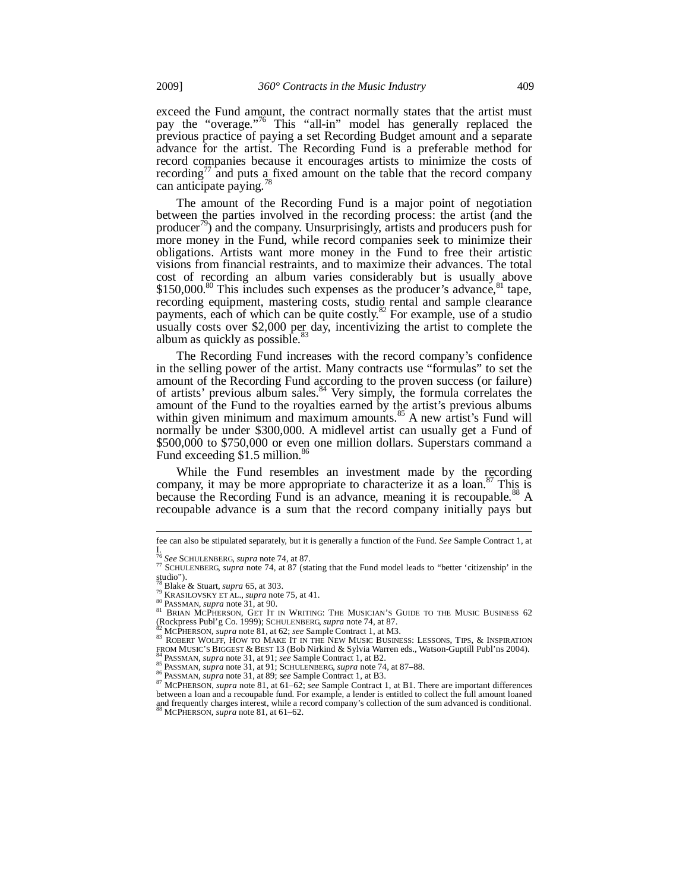exceed the Fund amount, the contract normally states that the artist must pay the "overage."<sup>76</sup> This "all-in" model has generally replaced the previous practice of paying a set Recording Budget amount and a separate advance for the artist. The Recording Fund is a preferable method for record companies because it encourages artists to minimize the costs of recording<sup>77</sup> and puts a fixed amount on the table that the record company can anticipate paying.<sup>78</sup>

The amount of the Recording Fund is a major point of negotiation between the parties involved in the recording process: the artist (and the producer<sup>79</sup>) and the company. Unsurprisingly, artists and producers push for more money in the Fund, while record companies seek to minimize their obligations. Artists want more money in the Fund to free their artistic visions from financial restraints, and to maximize their advances. The total cost of recording an album varies considerably but is usually above  $$150,000$ .<sup>80</sup> This includes such expenses as the producer's advance,  $$^{81}$  tape, recording equipment, mastering costs, studio rental and sample clearance payments, each of which can be quite costly.<sup>82</sup> For example, use of a studio usually costs over \$2,000 per day, incentivizing the artist to complete the album as quickly as possible. $83$ 

The Recording Fund increases with the record company's confidence in the selling power of the artist. Many contracts use "formulas" to set the amount of the Recording Fund according to the proven success (or failure) of artists' previous album sales.<sup>84</sup> Very simply, the formula correlates the amount of the Fund to the royalties earned by the artist's previous albums within given minimum and maximum amounts.<sup>85</sup> A new artist's Fund will normally be under \$300,000. A midlevel artist can usually get a Fund of \$500,000 to \$750,000 or even one million dollars. Superstars command a Fund exceeding  $$1.5$  million.<sup>86</sup>

While the Fund resembles an investment made by the recording company, it may be more appropriate to characterize it as a loan.<sup>87</sup> This is because the Recording Fund is an advance, meaning it is recoupable.<sup>88</sup> A recoupable advance is a sum that the record company initially pays but

-

fee can also be stipulated separately, but it is generally a function of the Fund. *See* Sample Contract 1, at I.<br><sup>76</sup> See SCHULENBERG, supra note 74, at 87.

<sup>76</sup> *See* SCHULENBERG, *supra* note 74, at 87. 77 SCHULENBERG, *supra* note 74, at 87 (stating that the Fund model leads to "better 'citizenship' in the studio").<br><sup>78</sup> Blake & Stuart, *supra* 65, at 303.

<sup>&</sup>lt;sup>Blake</sup> & Stuart, *supra* 65, at 303.<br><sup>80</sup> ERASILOVSKY ET AL., *supra* note 75, at 41.<br><sup>80</sup> PASSMAN, *supra* note 31, at 90.<br><sup>81</sup> BRIAN MCPHERSON, GET IT IN WRITING: THE MUSICIAN'S GUIDE TO THE MUSIC BUSINESS 62<br>(Rockpress

<sup>82</sup> MCPHERSON, *supra* note 81, at 62; *see* Sample Contract 1, at M3.<br><sup>83</sup> ROBERT WOLFF, HOW TO MAKE IT IN THE NEW MUSIC BUSINESS: LESSONS, TIPS, & INSPIRATION<br><sup>83</sup> ROBERT WOLFF, HOW TO MAKE IT IN THE NEW MUSIC BUSINESS: L

<sup>&</sup>lt;sup>84</sup> PASSMAN, *supra* note 31, at 91; *see Sample Contract 1*, at B2.<br>
<sup>85</sup> PASSMAN, *supra* note 31, at 91; SCHULENBERG, *supra* note 74, at 87–88.<br>
<sup>86</sup> PASSMAN, *supra* note 31, at 89; *see Sample Contract 1*, at B3.<br> between a loan and a recoupable fund. For example, a lender is entitled to collect the full amount loaned and frequently charges interest, while a record company's collection of the sum advanced is conditional. 88 MCPHERSON, *supra* note 81, at 61–62.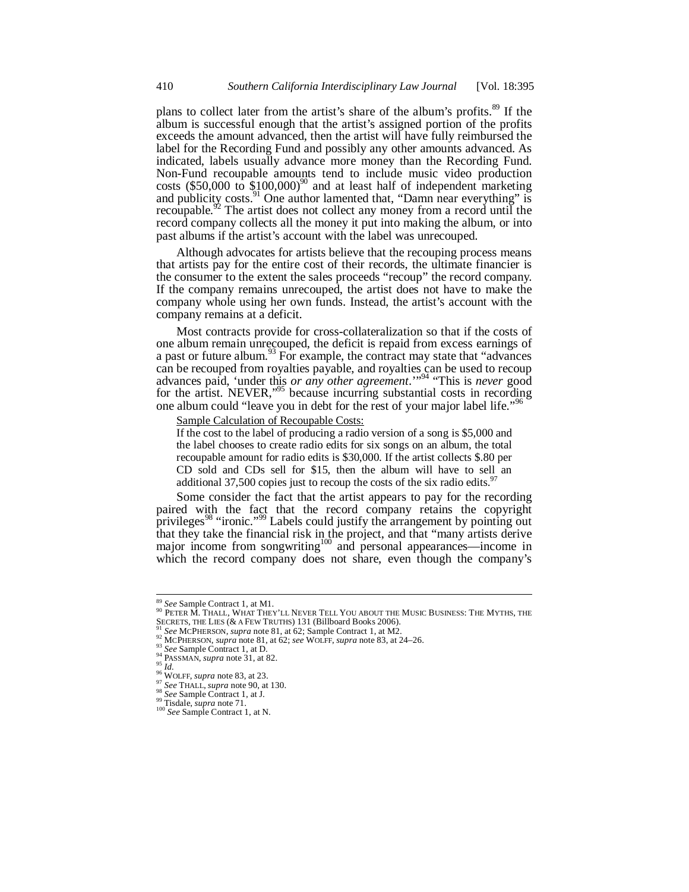plans to collect later from the artist's share of the album's profits.<sup>89</sup> If the album is successful enough that the artist's assigned portion of the profits exceeds the amount advanced, then the artist will have fully reimbursed the label for the Recording Fund and possibly any other amounts advanced. As indicated, labels usually advance more money than the Recording Fund. Non-Fund recoupable amounts tend to include music video production costs (\$50,000 to  $$100,000$ <sup>90</sup> and at least half of independent marketing and publicity costs.<sup>91</sup> One author lamented that, "Damn near everything" is recoupable.<sup>92</sup> The artist does not collect any money from a record until the record company collects all the money it put into making the album, or into past albums if the artist's account with the label was unrecouped.

Although advocates for artists believe that the recouping process means that artists pay for the entire cost of their records, the ultimate financier is the consumer to the extent the sales proceeds "recoup" the record company. If the company remains unrecouped, the artist does not have to make the company whole using her own funds. Instead, the artist's account with the company remains at a deficit.

Most contracts provide for cross-collateralization so that if the costs of one album remain unrecouped, the deficit is repaid from excess earnings of a past or future album.<sup>93</sup> For example, the contract may state that "advances" can be recouped from royalties payable, and royalties can be used to recoup advances paid, 'under this *or any other agreement*.'"94 "This is *never* good for the artist. NEVER,"<sup>95</sup> because incurring substantial costs in recording one album could "leave you in debt for the rest of your major label life."<sup>9</sup>

Sample Calculation of Recoupable Costs:

If the cost to the label of producing a radio version of a song is \$5,000 and the label chooses to create radio edits for six songs on an album, the total recoupable amount for radio edits is \$30,000. If the artist collects \$.80 per CD sold and CDs sell for \$15, then the album will have to sell an additional 37,500 copies just to recoup the costs of the six radio edits.<sup>9</sup>

Some consider the fact that the artist appears to pay for the recording paired with the fact that the record company retains the copyright privileges<sup>98</sup> "ironic."<sup>99</sup> Labels could justify the arrangement by pointing out that they take the financial risk in the project, and that "many artists derive major income from songwriting<sup>100</sup> and personal appearances—income in which the record company does not share, even though the company's

<sup>&</sup>lt;sup>89</sup> *See* Sample Contract 1, at M1.<br><sup>90</sup> PETER M. THALL, WHAT THEY'LL NEVER TELL YOU ABOUT THE MUSIC BUSINESS: THE MYTHS, THE SECRETS, THE LIES (& A FEW TRUTHS) 131 (Billboard Books 2006).<br><sup>91</sup> See MCPHERSON, *supra* note 81, at 62; Sample Contract 1, at M2.<br><sup>92</sup> MCPHERSON, *supra* note 81, at 62; *see* WOLFF, *supra* note 83, at 24–26.<br><sup>93</sup> See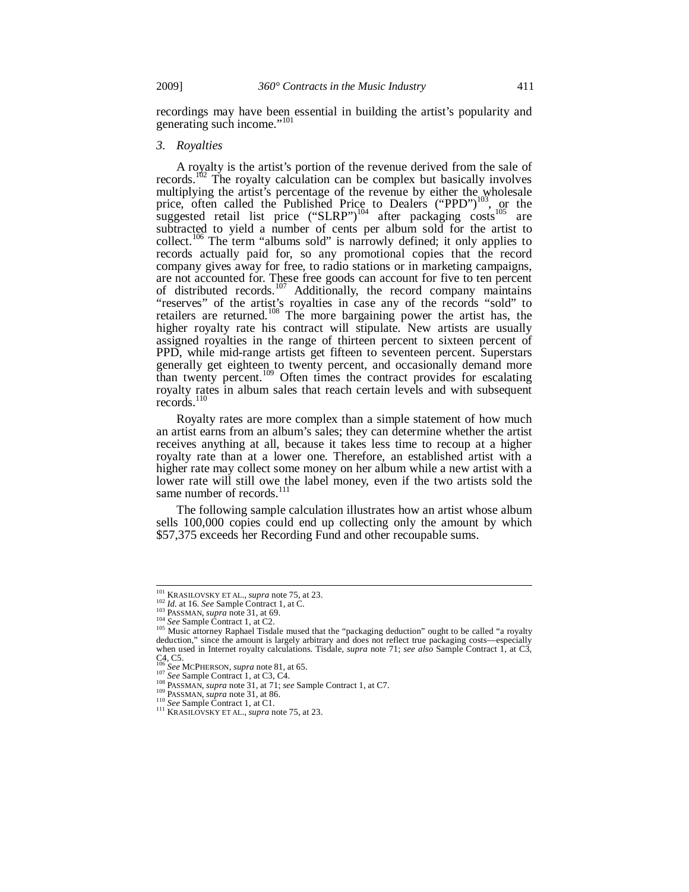recordings may have been essential in building the artist's popularity and generating such income."<sup>101</sup>

#### *3. Royalties*

A royalty is the artist's portion of the revenue derived from the sale of records.<sup>102</sup> The royalty calculation can be complex but basically involves multiplying the artist's percentage of the revenue by either the wholesale price, often called the Published Price to Dealers ("PPD")<sup>103</sup>, or the suggested retail list price ("SLRP")<sup>104</sup> after packaging costs<sup>105</sup> are subtracted to yield a number of cents per album sold for the artist to collect.<sup>106</sup> The term "albums sold" is narrowly defined; it only applies to records actually paid for, so any promotional copies that the record company gives away for free, to radio stations or in marketing campaigns, are not accounted for. These free goods can account for five to ten percent of distributed records.<sup>107</sup> Additionally, the record company maintains "reserves" of the artist's royalties in case any of the records "sold" to retailers are returned.<sup>108</sup> The more bargaining power the artist has, the higher royalty rate his contract will stipulate. New artists are usually assigned royalties in the range of thirteen percent to sixteen percent of PPD, while mid-range artists get fifteen to seventeen percent. Superstars generally get eighteen to twenty percent, and occasionally demand more than twenty percent.<sup>109</sup> Often times the contract provides for escalating royalty rates in album sales that reach certain levels and with subsequent records.<sup>110</sup>

Royalty rates are more complex than a simple statement of how much an artist earns from an album's sales; they can determine whether the artist receives anything at all, because it takes less time to recoup at a higher royalty rate than at a lower one. Therefore, an established artist with a higher rate may collect some money on her album while a new artist with a lower rate will still owe the label money, even if the two artists sold the same number of records.<sup>111</sup>

The following sample calculation illustrates how an artist whose album sells 100,000 copies could end up collecting only the amount by which \$57,375 exceeds her Recording Fund and other recoupable sums.

<sup>&</sup>lt;sup>101</sup> KRASILOVSKY ET AL., *supra* note 75, at 23.

<sup>&</sup>lt;sup>101</sup> KRASILOVSKY ET AL., *supra* note 75, at 23.<br><sup>102</sup> *Id.* at 16. *See* Sample Contract 1, at C.<br><sup>103</sup> PASSMAN, *supra* note 31, at 69.<br><sup>104</sup> *See* Sample Contract 1, at C2.<br><sup>104</sup> *See* Sample Contract 1, at C2.<br><sup>105</sup> when used in Internet royalty calculations. Tisdale, *supra* note 71; *see also* Sample Contract 1, at C3,

C<sub>4</sub>, C<sub>5</sub>. C<sub>106</sub> See MCPHERSON, *supra* note 81, at 65.

<sup>107</sup> See Sample Contract 1, at C3, C4.<br>
108 EASSMAN, supra note 31, at 71; see Sample Contract 1, at C7.<br>
109 PASSMAN, supra note 31, at 71; see Sample Contract 1, at C7.<br>
<sup>110</sup> PASSMAN, supra note 31, at 86.<br>
<sup>110</sup> See Sa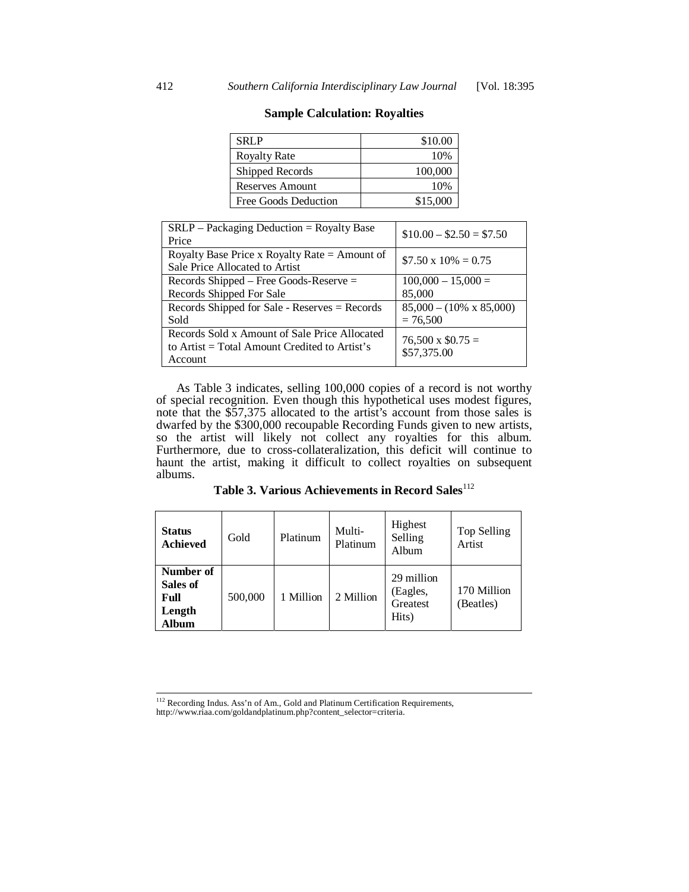| <b>SRLP</b>          | \$10.00  |
|----------------------|----------|
| <b>Royalty Rate</b>  | 10%      |
| Shipped Records      | 100,000  |
| Reserves Amount      | 10%      |
| Free Goods Deduction | \$15,000 |

| <b>Sample Calculation: Royalties</b> |
|--------------------------------------|
|--------------------------------------|

| $SRLP$ – Packaging Deduction = Royalty Base<br>Price                                                        | $$10.00 - $2.50 = $7.50$                      |
|-------------------------------------------------------------------------------------------------------------|-----------------------------------------------|
| Royalty Base Price x Royalty Rate = Amount of<br>Sale Price Allocated to Artist                             | $$7.50 \times 10\% = 0.75$                    |
| Records Shipped – Free Goods-Reserve $=$<br>Records Shipped For Sale                                        | $100,000 - 15,000 =$<br>85,000                |
| Records Shipped for Sale - Reserves = Records<br>Sold                                                       | $85,000 - (10\% \times 85,000)$<br>$= 76,500$ |
| Records Sold x Amount of Sale Price Allocated<br>to Artist $=$ Total Amount Credited to Artist's<br>Account | $76,500 \times $0.75 =$<br>\$57,375.00        |

As Table 3 indicates, selling 100,000 copies of a record is not worthy of special recognition. Even though this hypothetical uses modest figures, note that the \$57,375 allocated to the artist's account from those sales is dwarfed by the \$300,000 recoupable Recording Funds given to new artists, so the artist will likely not collect any royalties for this album. Furthermore, due to cross-collateralization, this deficit will continue to haunt the artist, making it difficult to collect royalties on subsequent albums.

| <b>Status</b><br><b>Achieved</b>                 | Gold    | Platinum  | Multi-<br>Platinum | Highest<br>Selling<br>Album                 | Top Selling<br>Artist    |
|--------------------------------------------------|---------|-----------|--------------------|---------------------------------------------|--------------------------|
| Number of<br>Sales of<br>Full<br>Length<br>Album | 500,000 | 1 Million | 2 Million          | 29 million<br>(Eagles,<br>Greatest<br>Hits) | 170 Million<br>(Beatles) |

Table 3. Various Achievements in Record Sales<sup>112</sup>

<sup>&</sup>lt;sup>112</sup> Recording Indus. Ass'n of Am., Gold and Platinum Certification Requirements, http://www.riaa.com/goldandplatinum.php?content\_selector=criteria.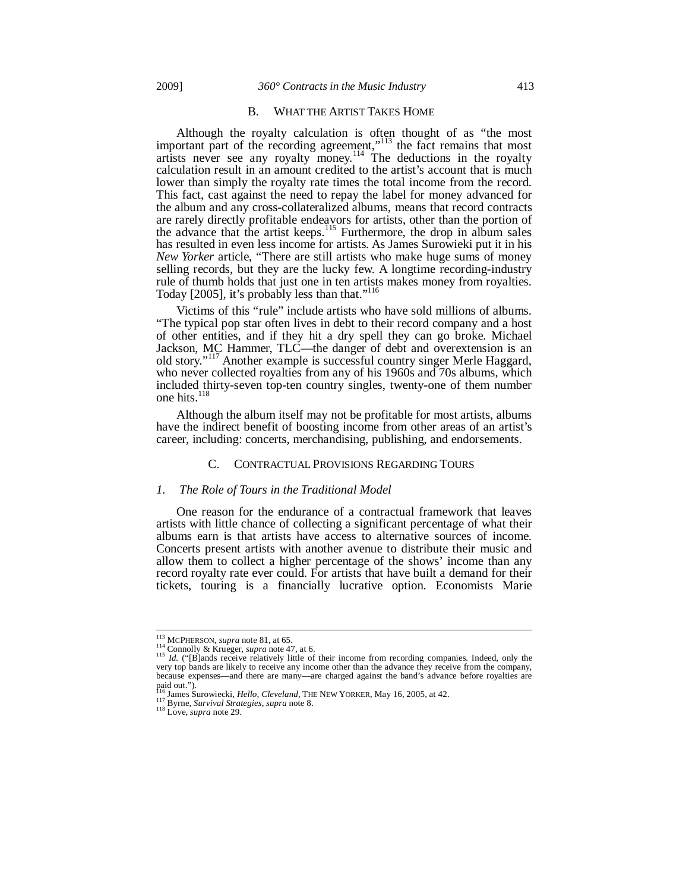#### B. WHAT THE ARTIST TAKES HOME

Although the royalty calculation is often thought of as "the most important part of the recording agreement,"<sup>113</sup> the fact remains that most artists never see any royalty money.<sup>114</sup> The deductions in the royalty calculation result in an amount credited to the artist's account that is much lower than simply the royalty rate times the total income from the record. This fact, cast against the need to repay the label for money advanced for the album and any cross-collateralized albums, means that record contracts are rarely directly profitable endeavors for artists, other than the portion of the advance that the artist keeps.<sup>115</sup> Furthermore, the drop in album sales has resulted in even less income for artists. As James Surowieki put it in his *New Yorker* article, "There are still artists who make huge sums of money selling records, but they are the lucky few. A longtime recording-industry rule of thumb holds that just one in ten artists makes money from royalties. Today [2005], it's probably less than that."<sup>116</sup>

Victims of this "rule" include artists who have sold millions of albums. "The typical pop star often lives in debt to their record company and a host of other entities, and if they hit a dry spell they can go broke. Michael Jackson, MC Hammer, TLC—the danger of debt and overextension is an old story."117 Another example is successful country singer Merle Haggard, who never collected royalties from any of his 1960s and 70s albums, which included thirty-seven top-ten country singles, twenty-one of them number one hits.<sup>118</sup>

Although the album itself may not be profitable for most artists, albums have the indirect benefit of boosting income from other areas of an artist's career, including: concerts, merchandising, publishing, and endorsements.

#### C. CONTRACTUAL PROVISIONS REGARDING TOURS

#### *1. The Role of Tours in the Traditional Model*

One reason for the endurance of a contractual framework that leaves artists with little chance of collecting a significant percentage of what their albums earn is that artists have access to alternative sources of income. Concerts present artists with another avenue to distribute their music and allow them to collect a higher percentage of the shows' income than any record royalty rate ever could. For artists that have built a demand for their tickets, touring is a financially lucrative option. Economists Marie

<sup>&</sup>lt;sup>113</sup> MCPHERSON, *supra* note 81, at 65.

<sup>&</sup>lt;sup>113</sup> MCPHERSON, *supra* note 81, at 65.<br><sup>114</sup> Connolly & Krueger, *supra* note 47, at 6.<br><sup>115</sup> *Id.* ("[B]ands receive relatively little of their income from recording companies. Indeed, only the very top bands are likel because expenses—and there are many—are charged against the band's advance before royalties are

paid out.").<br><sup>116</sup> James Surowiecki, *Hello, Cleveland*, THE NEW YORKER, May 16, 2005, at 42.<br><sup>117</sup> Byrne, *Survival Strategies, supra* note 8.<br><sup>118</sup> Love, *supra* note 29.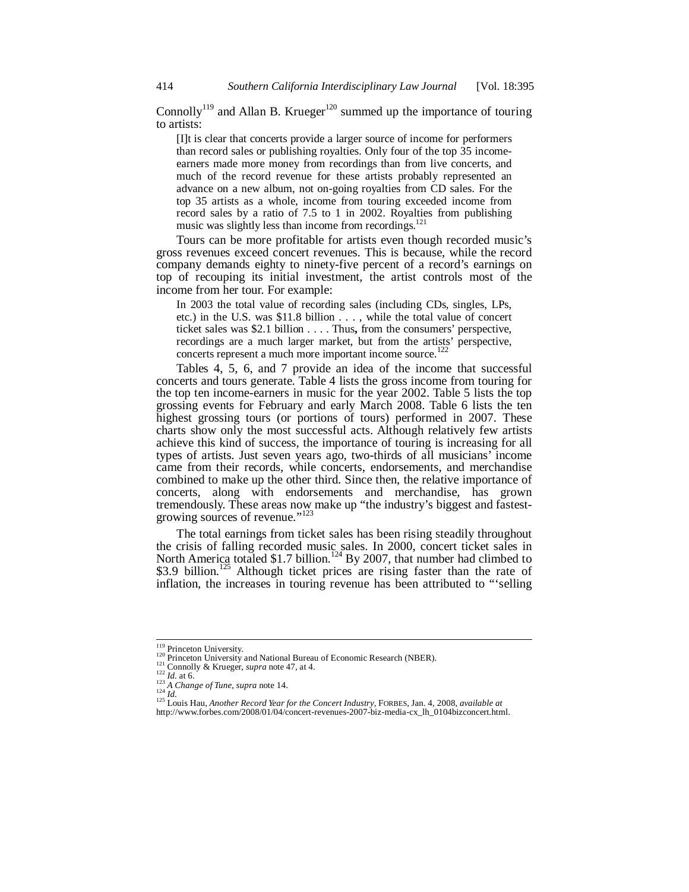Connolly<sup>119</sup> and Allan B. Krueger<sup>120</sup> summed up the importance of touring to artists:

[I]t is clear that concerts provide a larger source of income for performers than record sales or publishing royalties. Only four of the top 35 incomeearners made more money from recordings than from live concerts, and much of the record revenue for these artists probably represented an advance on a new album, not on-going royalties from CD sales. For the top 35 artists as a whole, income from touring exceeded income from record sales by a ratio of 7.5 to 1 in 2002. Royalties from publishing music was slightly less than income from recordings.<sup>121</sup>

Tours can be more profitable for artists even though recorded music's gross revenues exceed concert revenues. This is because, while the record company demands eighty to ninety-five percent of a record's earnings on top of recouping its initial investment, the artist controls most of the income from her tour. For example:

In 2003 the total value of recording sales (including CDs, singles, LPs, etc.) in the U.S. was \$11.8 billion . . . , while the total value of concert ticket sales was \$2.1 billion . . . . Thus**,** from the consumers' perspective, recordings are a much larger market, but from the artists' perspective, concerts represent a much more important income source.<sup>1</sup>

Tables 4, 5, 6, and 7 provide an idea of the income that successful concerts and tours generate. Table 4 lists the gross income from touring for the top ten income-earners in music for the year 2002. Table 5 lists the top grossing events for February and early March 2008. Table 6 lists the ten highest grossing tours (or portions of tours) performed in 2007. These charts show only the most successful acts. Although relatively few artists achieve this kind of success, the importance of touring is increasing for all types of artists. Just seven years ago, two-thirds of all musicians' income came from their records, while concerts, endorsements, and merchandise combined to make up the other third. Since then, the relative importance of concerts, along with endorsements and merchandise, has grown tremendously. These areas now make up "the industry's biggest and fastestgrowing sources of revenue."<sup>123</sup>

The total earnings from ticket sales has been rising steadily throughout the crisis of falling recorded music sales. In 2000, concert ticket sales in North America totaled \$1.7 billion.<sup>124</sup> By 2007, that number had climbed to  $$3.9$  billion.<sup>125</sup> Although ticket prices are rising faster than the rate of inflation, the increases in touring revenue has been attributed to "'selling

<sup>&</sup>lt;sup>119</sup> Princeton University.

<sup>&</sup>lt;sup>120</sup> Princeton University and National Bureau of Economic Research (NBER).<br><sup>121</sup> Connolly & Krueger, *supra* note 47, at 4.<br><sup>122</sup> *Id.* at 6.<br><sup>123</sup> *A Change of Tune, supra* note 14.<br><sup>125</sup> *Id. 124 Id.*<br><sup>125</sup> Louis Hau http://www.forbes.com/2008/01/04/concert-revenues-2007-biz-media-cx\_lh\_0104bizconcert.html.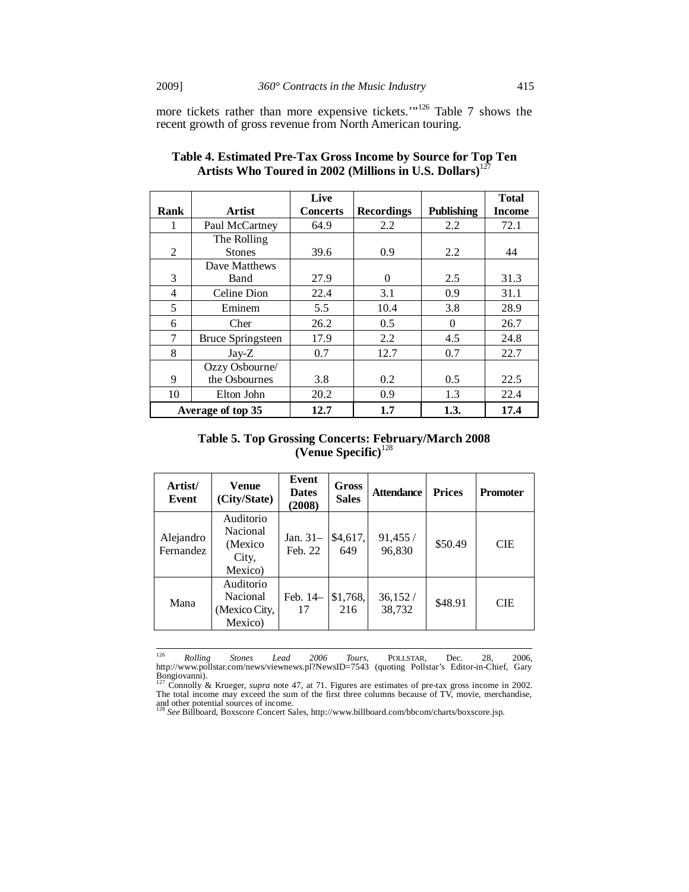more tickets rather than more expensive tickets."<sup>126</sup> Table 7 shows the recent growth of gross revenue from North American touring.

|      |                          | Live            |                   |                   | <b>Total</b>  |
|------|--------------------------|-----------------|-------------------|-------------------|---------------|
| Rank | <b>Artist</b>            | <b>Concerts</b> | <b>Recordings</b> | <b>Publishing</b> | <b>Income</b> |
| 1    | Paul McCartney           | 64.9            | 2.2               | 2.2               | 72.1          |
|      | The Rolling              |                 |                   |                   |               |
| 2    | <b>Stones</b>            | 39.6            | 0.9               | 2.2               | 44            |
|      | Dave Matthews            |                 |                   |                   |               |
| 3    | Band                     | 27.9            | $\Omega$          | 2.5               | 31.3          |
| 4    | Celine Dion              | 22.4            | 3.1               | 0.9               | 31.1          |
| 5    | Eminem                   | 5.5             | 10.4              | 3.8               | 28.9          |
| 6    | Cher                     | 26.2            | 0.5               | $\theta$          | 26.7          |
| 7    | <b>Bruce Springsteen</b> | 17.9            | 2.2               | 4.5               | 24.8          |
| 8    | $Jay-Z$                  | 0.7             | 12.7              | 0.7               | 22.7          |
|      | Ozzy Osbourne/           |                 |                   |                   |               |
| 9    | the Osbournes            | 3.8             | 0.2               | 0.5               | 22.5          |
| 10   | Elton John               | 20.2            | 0.9               | 1.3               | 22.4          |
|      | Average of top 35        | 12.7            | 1.7               | 1.3.              | 17.4          |

**Table 4. Estimated Pre-Tax Gross Income by Source for Top Ten Artists Who Toured in 2002 (Millions in U.S. Dollars)**<sup>127</sup>

**Table 5. Top Grossing Concerts: February/March 2008 (Venue Specific)**<sup>128</sup>

| Artist/<br>Event       | Venue<br>(City/State)                                 | Event<br><b>Dates</b><br>(2008) | Gross<br><b>Sales</b> | <b>Attendance</b>  | <b>Prices</b> | <b>Promoter</b> |
|------------------------|-------------------------------------------------------|---------------------------------|-----------------------|--------------------|---------------|-----------------|
| Alejandro<br>Fernandez | Auditorio<br>Nacional<br>(Mexico)<br>City,<br>Mexico) | Jan. 31-<br>Feb. 22             | \$4,617,<br>649       | 91,455 /<br>96,830 | \$50.49       | <b>CIE</b>      |
| Mana                   | Auditorio<br>Nacional<br>(Mexico City,<br>Mexico)     | Feb. 14-<br>17                  | \$1,768,<br>216       | 36,152/<br>38.732  | \$48.91       | <b>CIE</b>      |

<sup>&</sup>lt;sup>126</sup> Rolling Stones Lead 2006 Tours, POLLSTAR, Dec. 28, 2006,<br>http://www.pollstar.com/news/viewnews.pl?NewsID=7543 (quoting Pollstar's Editor-in-Chief, Gary<br>Bongiovanni). <br><sup>127</sup> Connolly & Krueger, *supra* note 47, at 71

and other potential sources of income. <sup>128</sup> *See* Billboard, Boxscore Concert Sales, http://www.billboard.com/bbcom/charts/boxscore.jsp.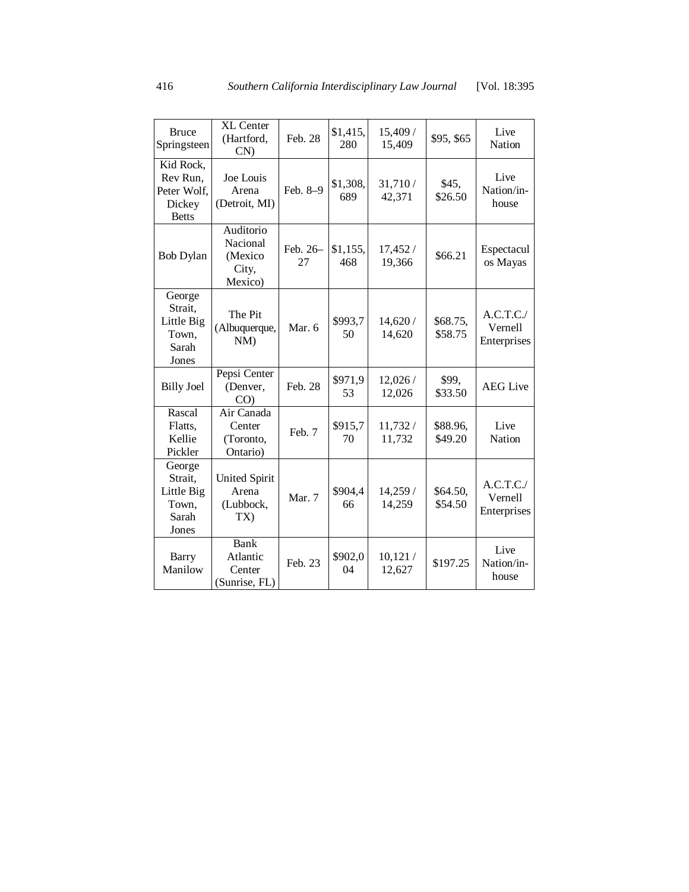| <b>Bruce</b><br>Springsteen                                    | <b>XL Center</b><br>(Hartford,<br>$CN$ )             | Feb. 28        | \$1,415,<br>280 | 15,409 /<br>15,409 | \$95, \$65          | Live<br>Nation                     |
|----------------------------------------------------------------|------------------------------------------------------|----------------|-----------------|--------------------|---------------------|------------------------------------|
| Kid Rock,<br>Rev Run.<br>Peter Wolf,<br>Dickey<br><b>Betts</b> | Joe Louis<br>Arena<br>(Detroit, MI)                  | Feb. 8-9       | \$1,308,<br>689 | 31,710/<br>42,371  | \$45,<br>\$26.50    | Live<br>Nation/in-<br>house        |
| <b>Bob Dylan</b>                                               | Auditorio<br>Nacional<br>(Mexico<br>City,<br>Mexico) | Feb. 26-<br>27 | \$1,155,<br>468 | 17,452 /<br>19,366 | \$66.21             | Espectacul<br>os Mayas             |
| George<br>Strait,<br>Little Big<br>Town,<br>Sarah<br>Jones     | The Pit<br>(Albuquerque,<br>$NM$ )                   | Mar. 6         | \$993,7<br>50   | 14,620 /<br>14,620 | \$68.75,<br>\$58.75 | A.C.T.C.<br>Vernell<br>Enterprises |
| <b>Billy Joel</b>                                              | Pepsi Center<br>(Denver,<br>$CO$ )                   | Feb. 28        | \$971,9<br>53   | 12,026 /<br>12,026 | \$99,<br>\$33.50    | <b>AEG</b> Live                    |
| Rascal<br>Flatts,<br>Kellie<br>Pickler                         | Air Canada<br>Center<br>(Toronto,<br>Ontario)        | Feb. 7         | \$915,7<br>70   | 11,732 /<br>11,732 | \$88.96,<br>\$49.20 | Live<br>Nation                     |
| George<br>Strait,<br>Little Big<br>Town,<br>Sarah<br>Jones     | <b>United Spirit</b><br>Arena<br>(Lubbock,<br>TX)    | Mar. 7         | \$904,4<br>66   | 14,259 /<br>14,259 | \$64.50,<br>\$54.50 | A.C.T.C.<br>Vernell<br>Enterprises |
| Barry<br>Manilow                                               | <b>Bank</b><br>Atlantic<br>Center<br>(Sunrise, FL)   | Feb. 23        | \$902,0<br>04   | 10,121/<br>12,627  | \$197.25            | Live<br>Nation/in-<br>house        |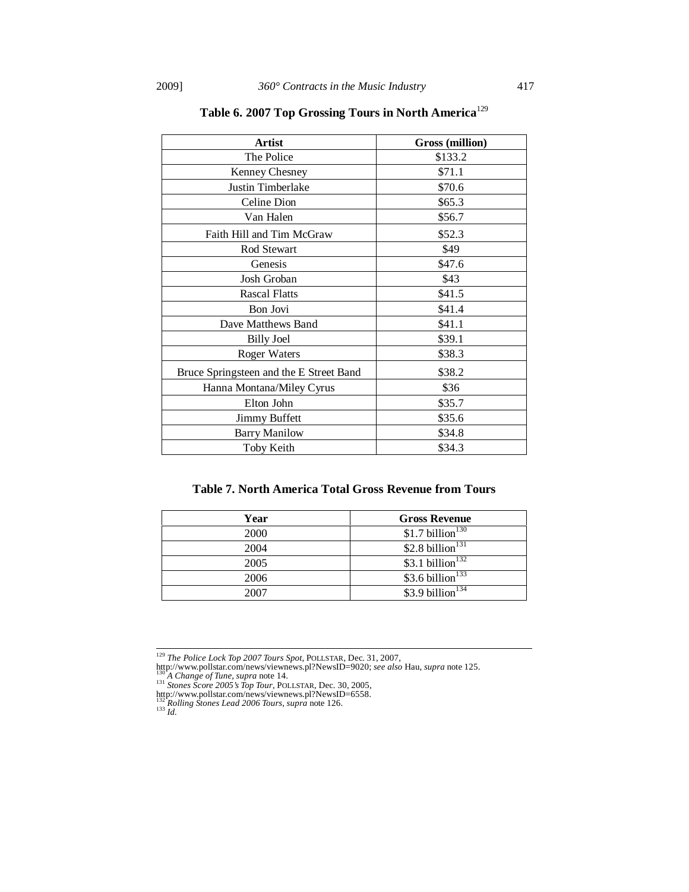| <b>Artist</b>                           | <b>Gross</b> (million) |
|-----------------------------------------|------------------------|
| The Police                              | \$133.2                |
| Kenney Chesney                          | \$71.1                 |
| Justin Timberlake                       | \$70.6                 |
| Celine Dion                             | \$65.3                 |
| Van Halen                               | \$56.7                 |
| Faith Hill and Tim McGraw               | \$52.3                 |
| Rod Stewart                             | \$49                   |
| Genesis                                 | \$47.6                 |
| Josh Groban                             | \$43                   |
| <b>Rascal Flatts</b>                    | \$41.5                 |
| Bon Jovi                                | \$41.4                 |
| Dave Matthews Band                      | \$41.1                 |
| <b>Billy Joel</b>                       | \$39.1                 |
| <b>Roger Waters</b>                     | \$38.3                 |
| Bruce Springsteen and the E Street Band | \$38.2                 |
| Hanna Montana/Miley Cyrus               | \$36                   |
| Elton John                              | \$35.7                 |
| <b>Jimmy Buffett</b>                    | \$35.6                 |
| <b>Barry Manilow</b>                    | \$34.8                 |
| Toby Keith                              | \$34.3                 |

**Table 6. 2007 Top Grossing Tours in North America**<sup>129</sup>

# **Table 7. North America Total Gross Revenue from Tours**

| Year | <b>Gross Revenue</b>         |
|------|------------------------------|
| 2000 | \$1.7 billion <sup>130</sup> |
| 2004 | \$2.8 billion <sup>131</sup> |
| 2005 | \$3.1 billion <sup>132</sup> |
| 2006 | \$3.6 billion <sup>133</sup> |
| 2007 | \$3.9 billion <sup>134</sup> |

<sup>129</sup> *The Police Lock Top 2007 Tours Spot*, POLLSTAR, Dec. 31, 2007,

http://www.pollstar.com/news/viewnews.pl?NewsID=9020; see also Hau, supra note 125.<br><sup>130</sup> A Change of Tune, supra note 14.<br><sup>131</sup> Stones Score 2005's Top Tour, POLLSTAR, Dec. 30, 2005,<br>http://www.pollstar.com/news/viewnews.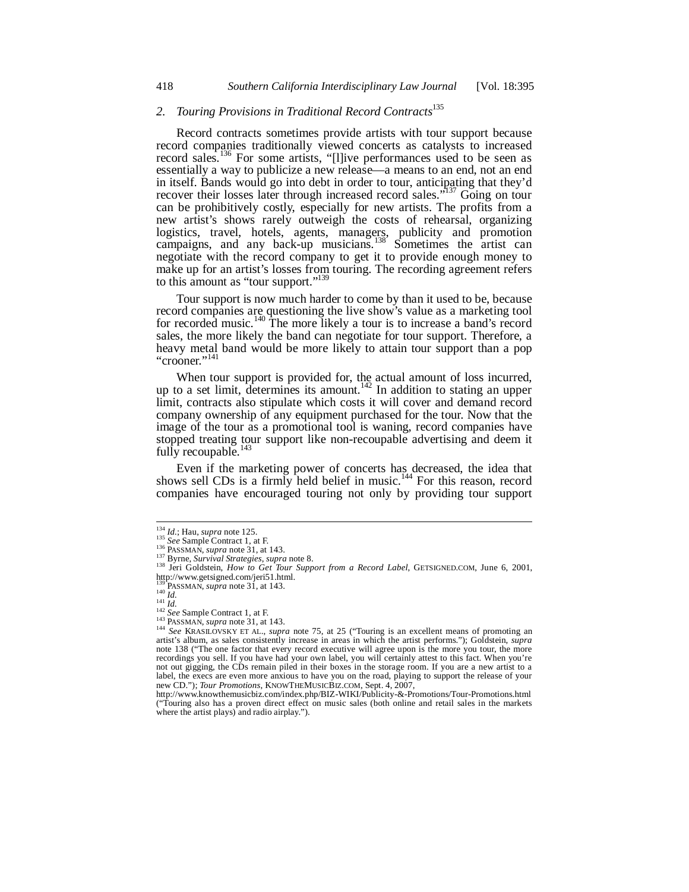# *2. Touring Provisions in Traditional Record Contracts*<sup>135</sup>

Record contracts sometimes provide artists with tour support because record companies traditionally viewed concerts as catalysts to increased record sales.<sup>136</sup> For some artists, "[l]ive performances used to be seen as essentially a way to publicize a new release—a means to an end, not an end in itself. Bands would go into debt in order to tour, anticipating that they'd recover their losses later through increased record sales."<sup>137</sup> Going on tour can be prohibitively costly, especially for new artists. The profits from a new artist's shows rarely outweigh the costs of rehearsal, organizing logistics, travel, hotels, agents, managers, publicity and promotion campaigns, and any back-up musicians.<sup>138</sup> Sometimes the artist can negotiate with the record company to get it to provide enough money to make up for an artist's losses from touring. The recording agreement refers to this amount as "tour support."<sup>13</sup>

Tour support is now much harder to come by than it used to be, because record companies are questioning the live show's value as a marketing tool for recorded music.<sup>140</sup> The more likely a tour is to increase a band's record sales, the more likely the band can negotiate for tour support. Therefore, a heavy metal band would be more likely to attain tour support than a pop "crooner."<sup>141</sup>

When tour support is provided for, the actual amount of loss incurred, up to a set limit, determines its amount.<sup>142</sup> In addition to stating an upper limit, contracts also stipulate which costs it will cover and demand record company ownership of any equipment purchased for the tour. Now that the image of the tour as a promotional tool is waning, record companies have stopped treating tour support like non-recoupable advertising and deem it fully recoupable.<sup>143</sup>

Even if the marketing power of concerts has decreased, the idea that shows sell CDs is a firmly held belief in music.<sup>144</sup> For this reason, record companies have encouraged touring not only by providing tour support

 $\frac{134}{135}$  *Id.*; Hau, *supra* note 125.<br><sup>135</sup> *See* Sample Contract 1, at F.

See sample Coulance 1, at 1.<br>
136 PASSMAN, supra note 31, at 143.<br>
<sup>137</sup> Byrne, *Survival Strategies, supra* note 8.<br>
<sup>138</sup> Jeri Goldstein, *How to Get Tour Support from a Record Label*, GETSIGNED.COM, June 6, 2001, http://www.getsigned.com/jeri51.html.<br><sup>139</sup> PASSMAN, *supra* note 31, at 143.<br><sup>140</sup> *Id.*<br><sup>141</sup> *Id.*<br><sup>142</sup> See Sample Contract 1, at F.

<sup>&</sup>lt;sup>139</sup> PASSMAN, *supra* note 31, at 143.<br>
<sup>140</sup> *Id.*<br>
<sup>142</sup> *See* Sample Contract 1, at F.<br>
<sup>142</sup> Bee Sample Contract 1, at F.<br>
<sup>142</sup> Bee SKRASH. Supra note 31, at 143.<br>
<sup>144</sup> *See* KRASH. OVSKY ET AL., *supra* note 75, a note 138 ("The one factor that every record executive will agree upon is the more you tour, the more recordings you sell. If you have had your own label, you will certainly attest to this fact. When you're not out gigging, the CDs remain piled in their boxes in the storage room. If you are a new artist to a label, the execs are even more anxious to have you on the road, playing to support the release of your

new CD."); *Tour Promotions*, KNOWTHEMUSICBIZ.COM, Sept. 4, 2007, http://www.knowthemusicbiz.com/index.php/BIZ-WIKI/Publicity-&-Promotions/Tour-Promotions.html ("Touring also has a proven direct effect on music sales (both online and retail sales in the markets where the artist plays) and radio airplay.").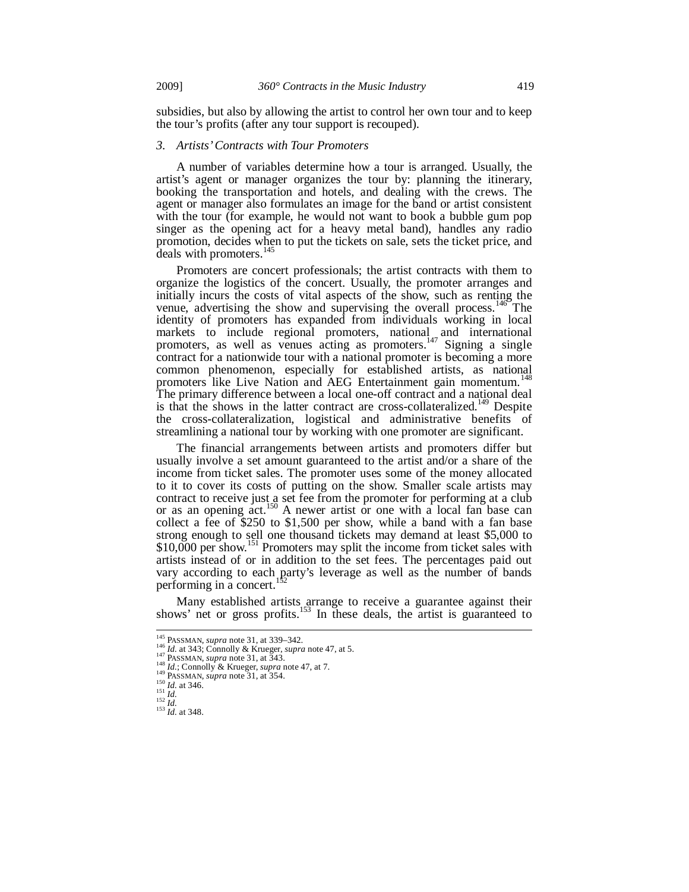subsidies, but also by allowing the artist to control her own tour and to keep the tour's profits (after any tour support is recouped).

#### *3. Artists' Contracts with Tour Promoters*

A number of variables determine how a tour is arranged. Usually, the artist's agent or manager organizes the tour by: planning the itinerary, booking the transportation and hotels, and dealing with the crews. The agent or manager also formulates an image for the band or artist consistent with the tour (for example, he would not want to book a bubble gum pop singer as the opening act for a heavy metal band), handles any radio promotion, decides when to put the tickets on sale, sets the ticket price, and deals with promoters.<sup>145</sup>

Promoters are concert professionals; the artist contracts with them to organize the logistics of the concert. Usually, the promoter arranges and initially incurs the costs of vital aspects of the show, such as renting the venue, advertising the show and supervising the overall process.<sup>146</sup> The identity of promoters has expanded from individuals working in local markets to include regional promoters, national and international promoters, as well as venues acting as promoters.<sup>147</sup> Signing a single contract for a nationwide tour with a national promoter is becoming a more common phenomenon, especially for established artists, as national promoters like Live Nation and AEG Entertainment gain momentum.<sup>148</sup> The primary difference between a local one-off contract and a national deal is that the shows in the latter contract are cross-collateralized.<sup>149</sup> Despite the cross-collateralization, logistical and administrative benefits of streamlining a national tour by working with one promoter are significant.

The financial arrangements between artists and promoters differ but usually involve a set amount guaranteed to the artist and/or a share of the income from ticket sales. The promoter uses some of the money allocated to it to cover its costs of putting on the show. Smaller scale artists may contract to receive just a set fee from the promoter for performing at a club or as an opening  $act.<sup>150</sup>$  A newer artist or one with a local fan base can collect a fee of  $$250$  to  $$1,500$  per show, while a band with a fan base strong enough to sell one thousand tickets may demand at least \$5,000 to \$10,000 per show.<sup>151</sup> Promoters may split the income from ticket sales with artists instead of or in addition to the set fees. The percentages paid out vary according to each party's leverage as well as the number of bands performing in a concert. $15$ 

Many established artists arrange to receive a guarantee against their shows' net or gross profits.<sup>153</sup> In these deals, the artist is guaranteed to

<sup>&</sup>lt;sup>145</sup> PASSMAN, *supra* note 31, at 339–342.

<sup>&</sup>lt;sup>145</sup> PASSMAN, *supra* note 31, at 339–342.<br>
<sup>146</sup> *Id.* at 3343; Connolly & Krueger, *supra* note 47, at 5.<br>
<sup>147</sup> PASSMAN, *supra* note 31, at 343.<br>
<sup>148</sup> *Id.*; Connolly & Krueger, *supra* note 47, at 7.<br>
<sup>149</sup> PASSMAN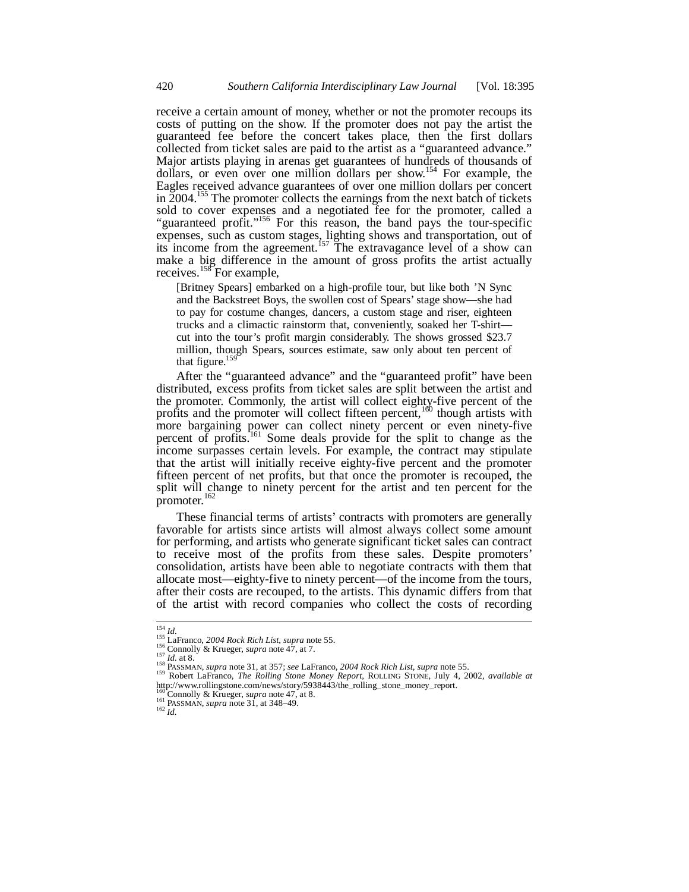receive a certain amount of money, whether or not the promoter recoups its costs of putting on the show. If the promoter does not pay the artist the guaranteed fee before the concert takes place, then the first dollars collected from ticket sales are paid to the artist as a "guaranteed advance." Major artists playing in arenas get guarantees of hundreds of thousands of dollars, or even over one million dollars per show.<sup>154</sup> For example, the Eagles received advance guarantees of over one million dollars per concert in  $\overline{2004}$ .<sup>155</sup> The promoter collects the earnings from the next batch of tickets sold to cover expenses and a negotiated fee for the promoter, called a "guaranteed profit."<sup>156</sup> For this reason, the band pays the tour-specific expenses, such as custom stages, lighting shows and transportation, out of its income from the agreement.<sup>157</sup> The extravagance level of a show can make a big difference in the amount of gross profits the artist actually receives.<sup>158</sup> For example,

[Britney Spears] embarked on a high-profile tour, but like both 'N Sync and the Backstreet Boys, the swollen cost of Spears' stage show—she had to pay for costume changes, dancers, a custom stage and riser, eighteen trucks and a climactic rainstorm that, conveniently, soaked her T-shirt cut into the tour's profit margin considerably. The shows grossed \$23.7 million, though Spears, sources estimate, saw only about ten percent of that figure. $159$ 

After the "guaranteed advance" and the "guaranteed profit" have been distributed, excess profits from ticket sales are split between the artist and the promoter. Commonly, the artist will collect eighty-five percent of the profits and the promoter will collect fifteen percent,<sup>160</sup> though artists with more bargaining power can collect ninety percent or even ninety-five percent of profits.<sup>161</sup> Some deals provide for the split to change as the income surpasses certain levels. For example, the contract may stipulate that the artist will initially receive eighty-five percent and the promoter fifteen percent of net profits, but that once the promoter is recouped, the split will change to ninety percent for the artist and ten percent for the promoter.<sup>162</sup>

These financial terms of artists' contracts with promoters are generally favorable for artists since artists will almost always collect some amount for performing, and artists who generate significant ticket sales can contract to receive most of the profits from these sales. Despite promoters' consolidation, artists have been able to negotiate contracts with them that allocate most—eighty-five to ninety percent—of the income from the tours, after their costs are recouped, to the artists. This dynamic differs from that of the artist with record companies who collect the costs of recording

 $\frac{154}{151}$  *Id.*<br> $\frac{155}{15}$  LaFranco, 2004 Rock Rich List, supra note 55.

<sup>&</sup>lt;sup>156</sup> Connolly & Krueger, *supra* note 47, at 7.<br><sup>157</sup> *Id.* at 8.<br><sup>157</sup> *Id.* at 8.<br><sup>158</sup> PASSMAN, *supra* note 31, at 357; *see* LaFranco, 2004 Rock Rich List, *supra* note 55.<br><sup>159</sup> Robert LaFranco, *The Rolling Stone* http://www.rollingstone.com/news/story/5938443/the\_rolling\_stone\_money\_report.<br><sup>160</sup>Connolly & Krueger, *supra* note 47, at 8.

<sup>161</sup> **PASSMAN**, *supra* note 31, at 348–49.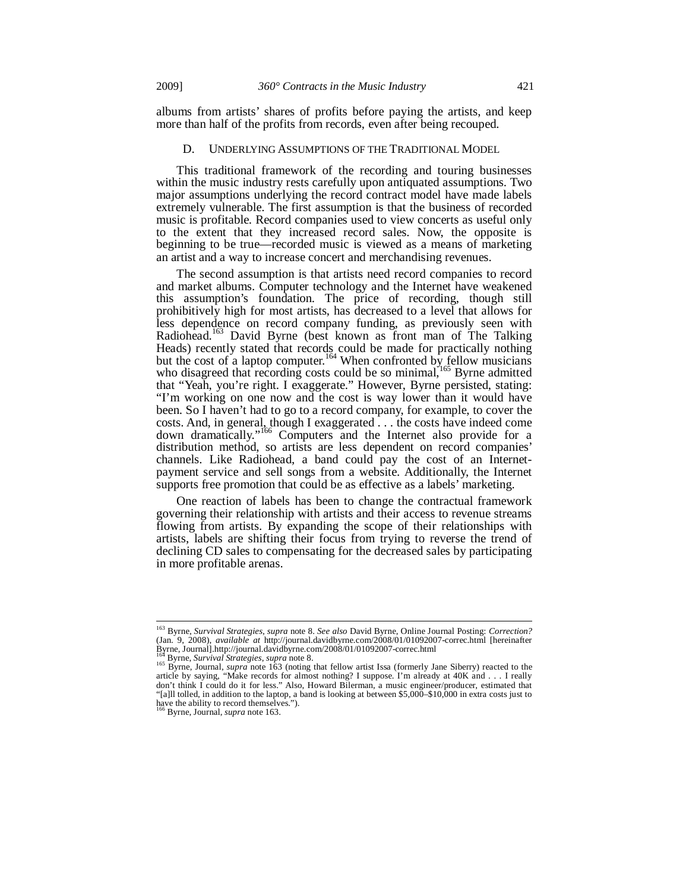albums from artists' shares of profits before paying the artists, and keep more than half of the profits from records, even after being recouped.

### D. UNDERLYING ASSUMPTIONS OF THE TRADITIONAL MODEL

This traditional framework of the recording and touring businesses within the music industry rests carefully upon antiquated assumptions. Two major assumptions underlying the record contract model have made labels extremely vulnerable. The first assumption is that the business of recorded music is profitable. Record companies used to view concerts as useful only to the extent that they increased record sales. Now, the opposite is beginning to be true—recorded music is viewed as a means of marketing an artist and a way to increase concert and merchandising revenues.

The second assumption is that artists need record companies to record and market albums. Computer technology and the Internet have weakened this assumption's foundation. The price of recording, though still prohibitively high for most artists, has decreased to a level that allows for less dependence on record company funding, as previously seen with Radiohead.<sup>163</sup> David Byrne (best known as front man of The Talking Heads) recently stated that records could be made for practically nothing but the cost of a laptop computer.<sup>164</sup> When confronted by fellow musicians who disagreed that recording costs could be so minimal,<sup>165</sup> Byrne admitted that "Yeah, you're right. I exaggerate." However, Byrne persisted, stating: "I'm working on one now and the cost is way lower than it would have been. So I haven't had to go to a record company, for example, to cover the costs. And, in general, though I exaggerated . . . the costs have indeed come down dramatically."<sup>166</sup> Computers and the Internet also provide for a distribution method, so artists are less dependent on record companies' channels. Like Radiohead, a band could pay the cost of an Internetpayment service and sell songs from a website. Additionally, the Internet supports free promotion that could be as effective as a labels' marketing.

One reaction of labels has been to change the contractual framework governing their relationship with artists and their access to revenue streams flowing from artists. By expanding the scope of their relationships with artists, labels are shifting their focus from trying to reverse the trend of declining CD sales to compensating for the decreased sales by participating in more profitable arenas.

<sup>&</sup>lt;sup>163</sup> Byrne, *Survival Strategies, supra* note 8. See also David Byrne, Online Journal Posting: *Correction?*<br>(Jan. 9, 2008), *available at* http://journal.davidbyrne.com/2008/01/01092007-correc.html [hereinafter]

Byrne, Journal].http://journal.davidbyrne.com/2008/01/01092007-correc.html<br><sup>164</sup> Byrne, *Survival Strategies, supra* note 8.<br><sup>165</sup> Byrne, Journal, *supra* note 163 (noting that fellow artist Issa (formerly Jane Siberry) re don't think I could do it for less." Also, Howard Bilerman, a music engineer/producer, estimated that "[a]ll tolled, in addition to the laptop, a band is looking at between \$5,000–\$10,000 in extra costs just to have the ability to record themselves."). 166 Byrne, Journal, *supra* note 163.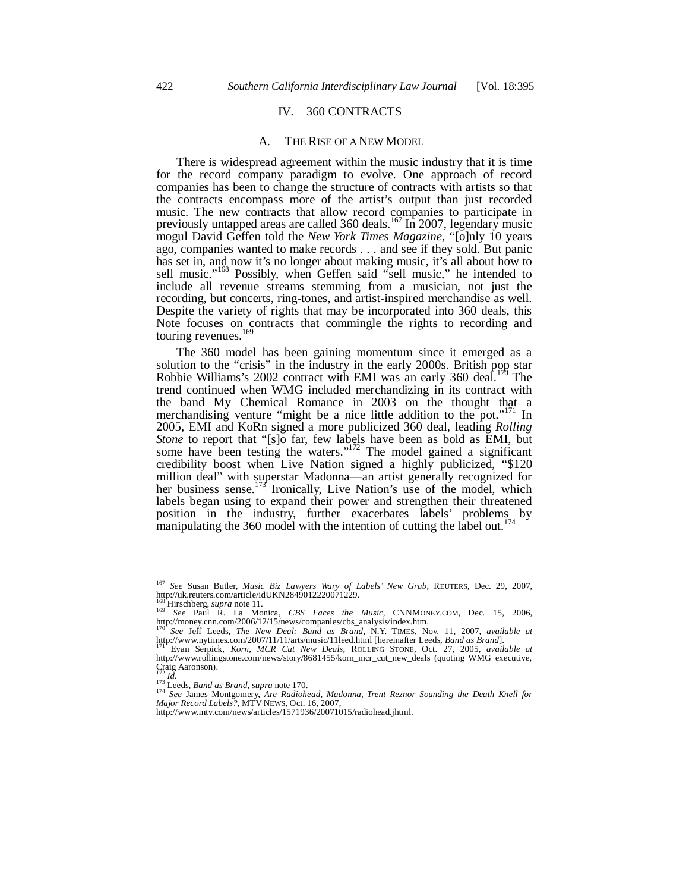#### IV. 360 CONTRACTS

#### A. THE RISE OF A NEW MODEL

There is widespread agreement within the music industry that it is time for the record company paradigm to evolve. One approach of record companies has been to change the structure of contracts with artists so that the contracts encompass more of the artist's output than just recorded music. The new contracts that allow record companies to participate in previously untapped areas are called 360 deals.<sup>167</sup> In 2007, legendary music mogul David Geffen told the *New York Times Magazine*, "[o]nly 10 years ago, companies wanted to make records . . . and see if they sold. But panic has set in, and now it's no longer about making music, it's all about how to sell music."<sup>168</sup> Possibly, when Geffen said "sell music," he intended to include all revenue streams stemming from a musician, not just the recording, but concerts, ring-tones, and artist-inspired merchandise as well. Despite the variety of rights that may be incorporated into 360 deals, this Note focuses on contracts that commingle the rights to recording and touring revenues.<sup>169</sup>

The 360 model has been gaining momentum since it emerged as a solution to the "crisis" in the industry in the early 2000s. British pop star Robbie Williams's 2002 contract with EMI was an early 360 deal.<sup>170</sup> The trend continued when WMG included merchandizing in its contract with the band My Chemical Romance in 2003 on the thought that a merchandising venture "might be a nice little addition to the pot."<sup>171</sup> In 2005, EMI and KoRn signed a more publicized 360 deal, leading *Rolling Stone* to report that "[s]o far, few labels have been as bold as EMI, but some have been testing the waters."<sup>172</sup> The model gained a significant credibility boost when Live Nation signed a highly publicized, "\$120 million deal" with superstar Madonna—an artist generally recognized for her business sense.<sup>173</sup> Ironically, Live Nation's use of the model, which labels began using to expand their power and strengthen their threatened position in the industry, further exacerbates labels' problems by manipulating the 360 model with the intention of cutting the label out.<sup>17</sup>

<sup>167</sup> *See* Susan Butler, *Music Biz Lawyers Wary of Labels' New Grab*, REUTERS, Dec. 29, 2007, http://uk.reuters.com/article/idUKN2849012220071229.

<sup>&</sup>lt;sup>168</sup> Hirschberg, *supra* note 11.<br><sup>169</sup> *See* Paul R. La Monica, *CBS Faces the Music*, CNNMONEY.COM, Dec. 15, 2006, http://money.cnn.com/2006/12/15/news/companies/cbs\_analysis/index.htm.

<sup>&</sup>lt;sup>170</sup> *See* Jeff Leeds, *The New Deal: Band as Brand*, N.Y. TIMES, Nov. 11, 2007, *available at* http://www.nytimes.com/2007/11/11/arts/music/11leed.html [hereinafter Leeds, *Band as Brand*].

http://www.nytimes.com/2007/11/11/arts/music/11leed.html [hereinafter Leeds, *Band as Brand*]. 171 Evan Serpick, *Korn, MCR Cut New Deals*, ROLLING STONE, Oct. 27, 2005, *available at* http://www.rollingstone.com/news/story/8681455/korn\_mcr\_cut\_new\_deals (quoting WMG executive, Craig Aaronson).<br> $^{172}_{172}$  *Id.* 

<sup>&</sup>lt;sup>172</sup> Id.<br><sup>173</sup> Leeds, *Band as Brand, supra* note 170.<br><sup>174</sup> See James Montgomery, Are Radiohead, Madonna, Trent Reznor Sounding the Death Knell for<br>Major Record Labels?, MTV NEws, Oct. 16, 2007,

http://www.mtv.com/news/articles/1571936/20071015/radiohead.jhtml.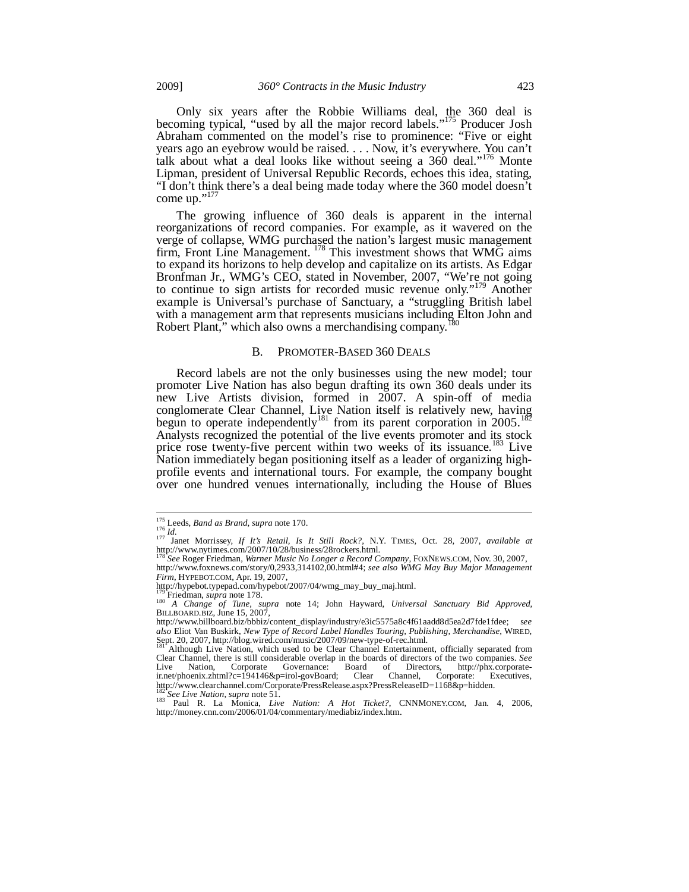Only six years after the Robbie Williams deal, the 360 deal is becoming typical, "used by all the major record labels."<sup>175</sup> Producer Josh Abraham commented on the model's rise to prominence: "Five or eight years ago an eyebrow would be raised. . . . Now, it's everywhere. You can't talk about what a deal looks like without seeing a 360 deal."<sup>176</sup> Monte Lipman, president of Universal Republic Records, echoes this idea, stating, "I don't think there's a deal being made today where the 360 model doesn't come up."<sup>177</sup>

The growing influence of 360 deals is apparent in the internal reorganizations of record companies. For example, as it wavered on the verge of collapse, WMG purchased the nation's largest music management firm, Front Line Management. <sup>178</sup> This investment shows that WMG aims to expand its horizons to help develop and capitalize on its artists. As Edgar Bronfman Jr., WMG's CEO, stated in November, 2007, "We're not going to continue to sign artists for recorded music revenue only."<sup>179</sup> Another example is Universal's purchase of Sanctuary, a "struggling British label with a management arm that represents musicians including Elton John and Robert Plant," which also owns a merchandising company.<sup>1</sup>

#### B. PROMOTER-BASED 360 DEALS

Record labels are not the only businesses using the new model; tour promoter Live Nation has also begun drafting its own 360 deals under its new Live Artists division, formed in 2007. A spin-off of media conglomerate Clear Channel, Live Nation itself is relatively new, having begun to operate independently<sup>181</sup> from its parent corporation in 2005.<sup>182</sup> Analysts recognized the potential of the live events promoter and its stock price rose twenty-five percent within two weeks of its issuance.<sup>183</sup> Live Nation immediately began positioning itself as a leader of organizing highprofile events and international tours. For example, the company bought over one hundred venues internationally, including the House of Blues

<sup>&</sup>lt;sup>175</sup> Leeds, *Band as Brand*, *supra* note 170.<br><sup>176</sup> *Id.*<br><sup>177</sup> Janet Morrissey, *If It's Retail, Is It Still Rock?*, N.Y. TIMES, Oct. 28, 2007, *available at* http://www.nytimes.com/2007/10/28/business/28rockers.html.

<sup>178</sup> *See* Roger Friedman, *Warner Music No Longer a Record Company*, FOXNEWS.COM, Nov. 30, 2007, http://www.foxnews.com/story/0,2933,314102,00.html#4; *see also WMG May Buy Major Management Firm*, HYPEBOT.COM, Apr. 19, 2007,

http://hypebot.typepad.com/hypebot/2007/04/wmg\_may\_buy\_maj.html.

<sup>179</sup> Friedman, *supra* note 178.<br><sup>180</sup> *A Change of Tune*, *supra* note 14; John Hayward, *Universal Sanctuary Bid Approved*, BILLBOARD.BIZ, June 15, 2007,

http://www.billboard.biz/bbbiz/content\_display/industry/e3ic5575a8c4f61aadd8d5ea2d7fde1fdee; s*ee also* Eliot Van Buskirk, *New Type of Record Label Handles Touring, Publishing, Merchandise*, WIRED, Sept. 20, 2007, http://blog.wired.com/music/2007/09/new-type-of-rec.html.

<sup>181</sup> Although Live Nation, which used to be Clear Channel Entertainment, officially separated from Clear Channel, there is still considerable overlap in the boards of directors of the two companies. *See* Live Nation, Corporate Governance: Board of Directors, http://phx.corporate-ir.net/phoenix.zhtml?c=194146&p=irol-govBoard; Clear Channel, Corporate: Executives, ir.net/phoenix.zhtml?c=194146&p=irol-govBoard; Clear Channel, Corporate: E<br>http://www.clearchannel.com/Corporate/PressRelease.aspx?PressReleaseID=1168&p=hidden.

<sup>&</sup>lt;sup>182</sup> See Live Nation, *supra* note 51.<br><sup>183</sup> Paul R. La Monica, *Live Nation: A Hot Ticket?*, CNNMONEY.COM, Jan. 4, 2006, http://money.cnn.com/2006/01/04/commentary/mediabiz/index.htm.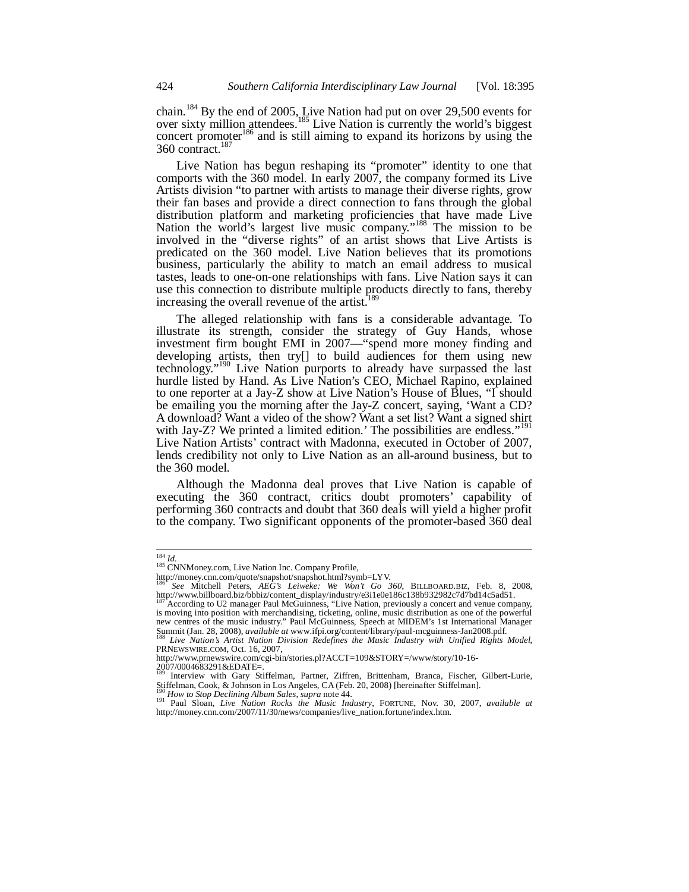chain.<sup>184</sup> By the end of 2005, Live Nation had put on over 29,500 events for over sixty million attendees.<sup>185</sup> Live Nation is currently the world's biggest concert promoter<sup>186</sup> and is still aiming to expand its horizons by using the 360 contract.187

Live Nation has begun reshaping its "promoter" identity to one that comports with the 360 model. In early 2007, the company formed its Live Artists division "to partner with artists to manage their diverse rights, grow their fan bases and provide a direct connection to fans through the global distribution platform and marketing proficiencies that have made Live Nation the world's largest live music company."<sup>188</sup> The mission to be involved in the "diverse rights" of an artist shows that Live Artists is predicated on the 360 model. Live Nation believes that its promotions business, particularly the ability to match an email address to musical tastes, leads to one-on-one relationships with fans. Live Nation says it can use this connection to distribute multiple products directly to fans, thereby increasing the overall revenue of the artist.<sup>189</sup>

The alleged relationship with fans is a considerable advantage. To illustrate its strength, consider the strategy of Guy Hands, whose investment firm bought EMI in 2007—"spend more money finding and developing artists, then try[] to build audiences for them using new technology."<sup>190</sup> Live Nation purports to already have surpassed the last hurdle listed by Hand. As Live Nation's CEO, Michael Rapino, explained to one reporter at a Jay-Z show at Live Nation's House of Blues, "I should be emailing you the morning after the Jay-Z concert, saying, 'Want a CD? A download? Want a video of the show? Want a set list? Want a signed shirt with Jay-Z? We printed a limited edition.' The possibilities are endless."<sup>191</sup> Live Nation Artists' contract with Madonna, executed in October of 2007, lends credibility not only to Live Nation as an all-around business, but to the 360 model.

Although the Madonna deal proves that Live Nation is capable of executing the 360 contract, critics doubt promoters' capability of performing 360 contracts and doubt that 360 deals will yield a higher profit to the company. Two significant opponents of the promoter-based 360 deal

 $^{\overline{184}}$   $Id.$ 

<sup>&</sup>lt;sup>185</sup> CNNMoney.com, Live Nation Inc. Company Profile,

http://money.cnn.com/quote/snapshot/snapshot.html?symb=LYV.

<sup>186</sup> *See* Mitchell Peters, *AEG's Leiweke: We Won't Go 360*, BILLBOARD.BIZ, Feb. 8, 2008, http://www.billboard.biz/bbbiz/content\_display/industry/e3i1e0e186c138b932982c7d7bd14c5ad51.

According to U2 manager Paul McGuinness, "Live Nation, previously a concert and venue company, is moving into position with merchandising, ticketing, online, music distribution as one of the powerful new centres of the music industry." Paul McGuinness, Speech at MIDEM's 1st International Manager Summit (Jan. 28, 2008), *available at* www.ifpi.org/content/library/paul-mcguinness-Jan2008.pdf. 188 *Live Nation's Artist Nation Division Redefines the Music Industry with Unified Rights Model*,

PRNEWSWIRE.COM, Oct. 16, 2007,

http://www.prnewswire.com/cgi-bin/stories.pl?ACCT=109&STORY=/www/story/10-16-

<sup>2007/0004683291&</sup>amp;EDATE=. 189 Interview with Gary Stiffelman, Partner, Ziffren, Brittenham, Branca, Fischer, Gilbert-Lurie, Stiffelman, Cook, & Johnson in Los Angeles, CA (Feb. 20, 2008) [hereinafter Stiffelman].<br><sup>190</sup> How to Stop Declining Album Sales, supra note 44.

<sup>&</sup>lt;sup>191</sup> Paul Sloan, *Live Nation Rocks the Music Industry*, FORTUNE, Nov. 30, 2007, *available at* <sup>191</sup> http://money.cnn.com/2007/11/30/news/companies/live\_nation.fortune/index.htm.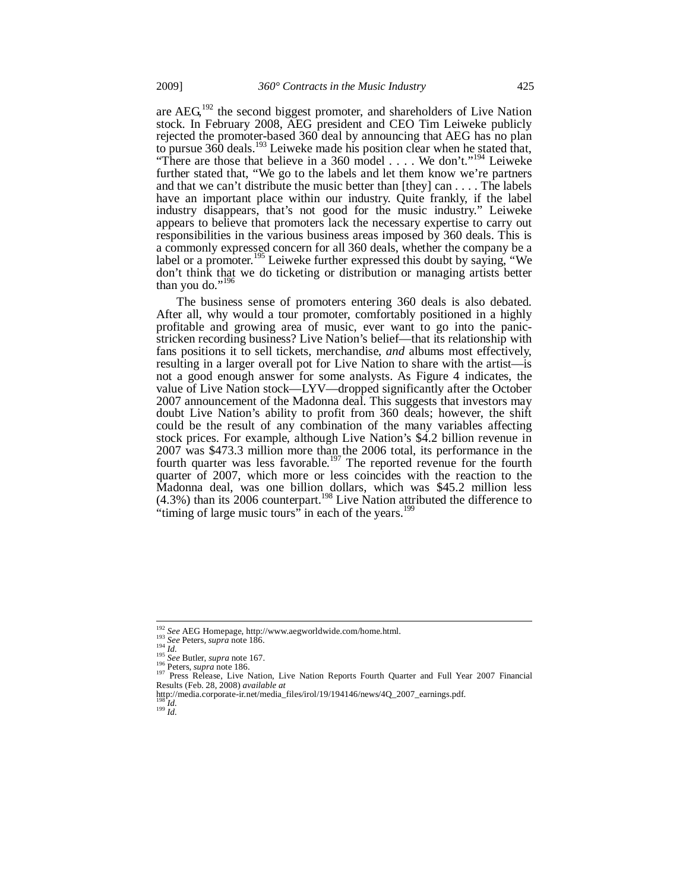are  $AEG<sup>192</sup>$  the second biggest promoter, and shareholders of Live Nation stock. In February 2008, AEG president and CEO Tim Leiweke publicly rejected the promoter-based 360 deal by announcing that AEG has no plan to pursue 360 deals.<sup>193</sup> Leiweke made his position clear when he stated that, "There are those that believe in a 360 model  $\dots$ . We don't."<sup>194</sup> Leiweke further stated that, "We go to the labels and let them know we're partners and that we can't distribute the music better than [they] can . . . . The labels have an important place within our industry. Quite frankly, if the label industry disappears, that's not good for the music industry." Leiweke appears to believe that promoters lack the necessary expertise to carry out responsibilities in the various business areas imposed by 360 deals. This is a commonly expressed concern for all 360 deals, whether the company be a label or a promoter.<sup>195</sup> Leiweke further expressed this doubt by saying, "We don't think that we do ticketing or distribution or managing artists better than you do."<sup>196</sup>

The business sense of promoters entering 360 deals is also debated. After all, why would a tour promoter, comfortably positioned in a highly profitable and growing area of music, ever want to go into the panicstricken recording business? Live Nation's belief—that its relationship with fans positions it to sell tickets, merchandise, *and* albums most effectively, resulting in a larger overall pot for Live Nation to share with the artist—is not a good enough answer for some analysts. As Figure 4 indicates, the value of Live Nation stock—LYV—dropped significantly after the October 2007 announcement of the Madonna deal. This suggests that investors may doubt Live Nation's ability to profit from 360 deals; however, the shift could be the result of any combination of the many variables affecting stock prices. For example, although Live Nation's \$4.2 billion revenue in 2007 was \$473.3 million more than the 2006 total, its performance in the fourth quarter was less favorable.<sup>197</sup> The reported revenue for the fourth quarter of 2007, which more or less coincides with the reaction to the Madonna deal, was one billion dollars, which was  $$45.2$  million less  $(4.3%)$  than its 2006 counterpart.<sup>198</sup> Live Nation attributed the difference to "timing of large music tours" in each of the years.<sup>19</sup>

j

 $\int_{199}^{198}$ *Id.* 

<sup>&</sup>lt;sup>192</sup> See AEG Homepage, http://www.aegworldwide.com/home.html.<br><sup>193</sup> See Peters, *supra* note 186.<br><sup>194</sup> Id.<br><sup>195</sup> See Butler, *supra* note 167.<br><sup>195</sup> Peters, *supra* note 186.<br><sup>197</sup> Press Release, Live Nation, Live Nation 197 Press, *supru* investigated Direction, Live Nation Reports Fourth Quarter and Full Year 2007 Financial Results (Feb. 28, 2008) *available at* 

http://media.corporate-ir.net/media\_files/irol/19/194146/news/4Q\_2007\_earnings.pdf.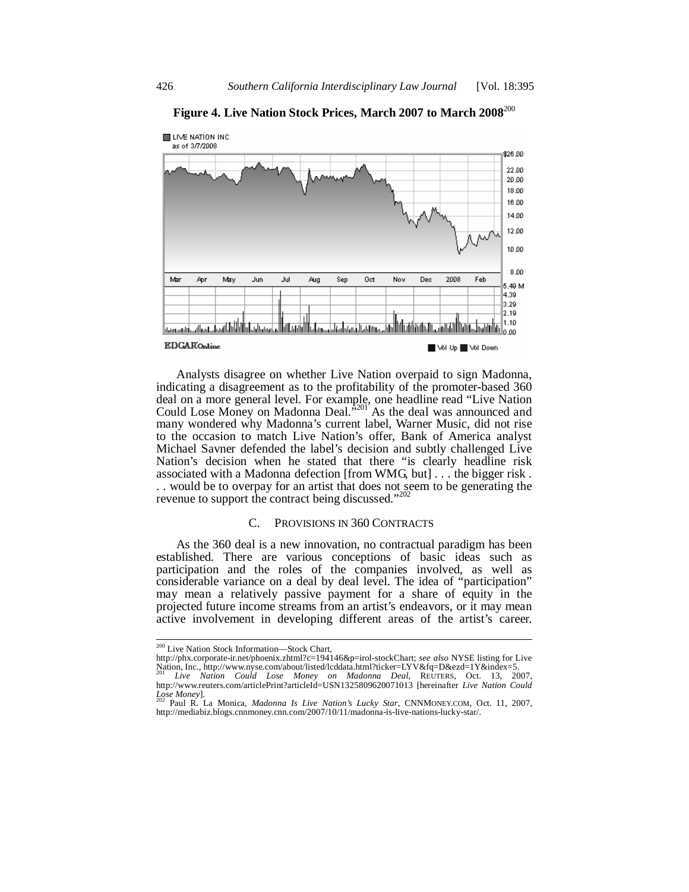

**Figure 4. Live Nation Stock Prices, March 2007 to March 2008**<sup>200</sup>

Analysts disagree on whether Live Nation overpaid to sign Madonna, indicating a disagreement as to the profitability of the promoter-based 360 deal on a more general level. For example, one headline read "Live Nation Could Lose Money on Madonna Deal.<sup>3201</sup> As the deal was announced and many wondered why Madonna's current label, Warner Music, did not rise to the occasion to match Live Nation's offer, Bank of America analyst Michael Savner defended the label's decision and subtly challenged Live Nation's decision when he stated that there "is clearly headline risk associated with a Madonna defection [from WMG, but] . . . the bigger risk . . . would be to overpay for an artist that does not seem to be generating the revenue to support the contract being discussed."<sup>202</sup>

#### C. PROVISIONS IN 360 CONTRACTS

As the 360 deal is a new innovation, no contractual paradigm has been established. There are various conceptions of basic ideas such as participation and the roles of the companies involved, as well as considerable variance on a deal by deal level. The idea of "participation" may mean a relatively passive payment for a share of equity in the projected future income streams from an artist's endeavors, or it may mean active involvement in developing different areas of the artist's career.

<sup>200</sup> Live Nation Stock Information—Stock Chart,

http://phx.corporate-ir.net/phoenix.zhtml?c=194146&p=irol-stockChart; *see also* NYSE listing for Live Nation, Inc., http://www.nyse.com/about/listed/lcddata.html?ticker=LYV&fq=D&ezd=1Y&index=5. <sup>201</sup> *Live Nation Could Lose Money on Madonna Deal*, REUTERS, Oct. 13, 2007,

http://www.reuters.com/articlePrint?articleId=USN1325809620071013 [hereinafter *Live Nation Could Lose Money*]. 202 Paul R. La Monica, *Madonna Is Live Nation's Lucky Star*, CNNMONEY.COM, Oct. 11, 2007,

http://mediabiz.blogs.cnnmoney.cnn.com/2007/10/11/madonna-is-live-nations-lucky-star/.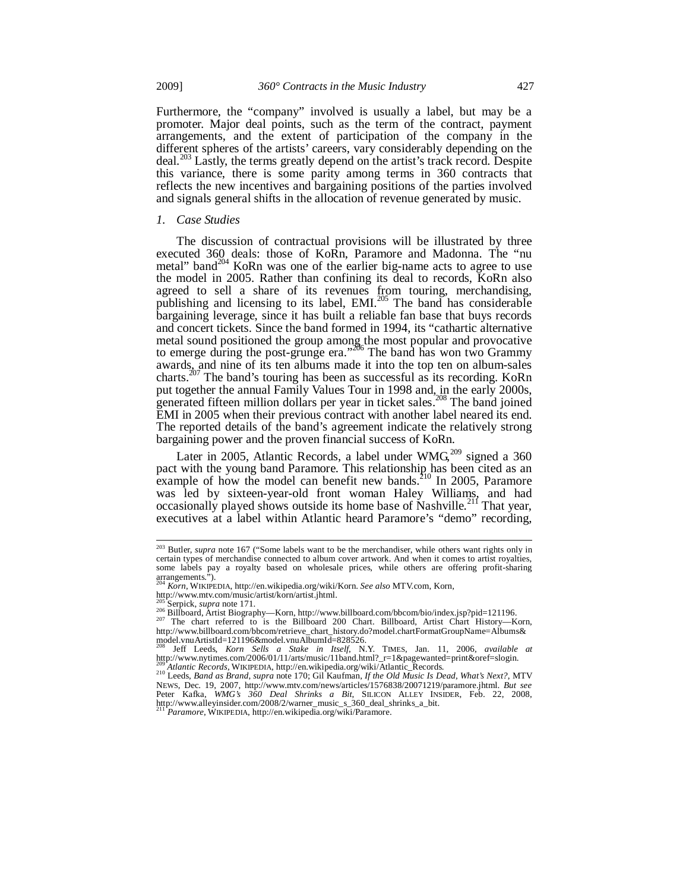Furthermore, the "company" involved is usually a label, but may be a promoter. Major deal points, such as the term of the contract, payment arrangements, and the extent of participation of the company in the different spheres of the artists' careers, vary considerably depending on the deal.<sup>203</sup> Lastly, the terms greatly depend on the artist's track record. Despite this variance, there is some parity among terms in 360 contracts that reflects the new incentives and bargaining positions of the parties involved and signals general shifts in the allocation of revenue generated by music.

#### *1. Case Studies*

The discussion of contractual provisions will be illustrated by three executed 360 deals: those of KoRn, Paramore and Madonna. The "nu metal" band<sup>204</sup> KoRn was one of the earlier big-name acts to agree to use the model in 2005. Rather than confining its deal to records, KoRn also agreed to sell a share of its revenues from touring, merchandising, publishing and licensing to its label, EMI.<sup>205</sup> The band has considerable bargaining leverage, since it has built a reliable fan base that buys records and concert tickets. Since the band formed in 1994, its "cathartic alternative metal sound positioned the group among the most popular and provocative to emerge during the post-grunge era."<sup>206</sup> The band has won two Grammy awards, and nine of its ten albums made it into the top ten on album-sales charts.207 The band's touring has been as successful as its recording. KoRn put together the annual Family Values Tour in 1998 and, in the early 2000s, generated fifteen million dollars per year in ticket sales.<sup>208</sup> The band joined EMI in 2005 when their previous contract with another label neared its end. The reported details of the band's agreement indicate the relatively strong bargaining power and the proven financial success of KoRn.

Later in 2005, Atlantic Records, a label under  $WMG<sub>309</sub>$  signed a 360 pact with the young band Paramore. This relationship has been cited as an example of how the model can benefit new bands.<sup>210</sup> In 2005, Paramore was led by sixteen-year-old front woman Haley Williams, and had occasionally played shows outside its home base of Nashville.<sup>211</sup> That year, executives at a label within Atlantic heard Paramore's "demo" recording,

<sup>&</sup>lt;sup>203</sup> Butler, *supra* note 167 ("Some labels want to be the merchandiser, while others want rights only in certain types of merchandise connected to album cover artwork. And when it comes to artist royalties, some labels pay a royalty based on wholesale prices, while others are offering profit-sharing  $\lim_{204}$  arrangements.").

<sup>204</sup> *Korn*, WIKIPEDIA, http://en.wikipedia.org/wiki/Korn. *See also* MTV.com, Korn,

http://www.mtv.com/music/artist/korn/artist.jhtml.<br><sup>205</sup> Serpick. *supra* note 171.

<sup>&</sup>lt;sup>206</sup> Billboard, Artist Biography—Korn, http://www.billboard.com/bbcom/bio/index.jsp?pid=121196.<br><sup>207</sup> The chart referred to is the Billboard 200 Chart. Billboard, Artist Chart History—Korn, http://www.billboard.com/bbcom/retrieve\_chart\_history.do?model.chartFormatGroupName=Albums& model.vnuArtistId=121196&model.vnuAlbumId=828526.

<sup>208</sup> Jeff Leeds, *Korn Sells a Stake in Itself*, N.Y. TIMES, Jan. 11, 2006, *available at* http://www.nytimes.com/2006/01/11/arts/music/11band.html?\_r=1&pagewanted=print&oref=slogin.<br><sup>209</sup> A*tlantic Records*, WIKIPEDIA, http://en.wikipedia.org/wiki/Atlantic\_Records.<br><sup>210</sup> Leeds, *Band as Brand, supra* note 170;

NEWS, Dec. 19, 2007, http://www.mtv.com/news/articles/1576838/20071219/paramore.jhtml. *But see*<br>Peter Kafka, *WMG's 360 Deal Shrinks a Bit*, SILICON ALLEY INSIDER, Feb. 22, 2008,<br>http://www.alleyinsider.com/2008/2/warner\_

Paramore, WIKIPEDIA, http://en.wikipedia.org/wiki/Paramore.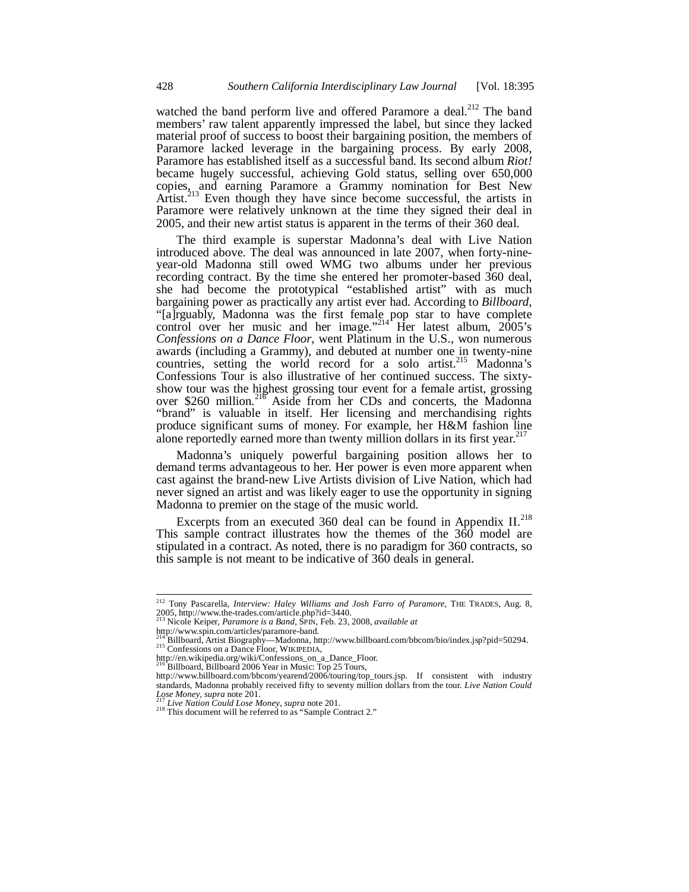watched the band perform live and offered Paramore a deal.<sup>212</sup> The band members' raw talent apparently impressed the label, but since they lacked material proof of success to boost their bargaining position, the members of Paramore lacked leverage in the bargaining process. By early 2008, Paramore has established itself as a successful band. Its second album *Riot!* became hugely successful, achieving Gold status, selling over 650,000 copies, and earning Paramore a Grammy nomination for Best New Artist.<sup>213</sup> Even though they have since become successful, the artists in Paramore were relatively unknown at the time they signed their deal in 2005, and their new artist status is apparent in the terms of their 360 deal.

The third example is superstar Madonna's deal with Live Nation introduced above. The deal was announced in late 2007, when forty-nineyear-old Madonna still owed WMG two albums under her previous recording contract. By the time she entered her promoter-based 360 deal, she had become the prototypical "established artist" with as much bargaining power as practically any artist ever had. According to *Billboard*, "[a]rguably, Madonna was the first female pop star to have complete control over her music and her image."<sup>214</sup> Her latest album,  $2005$ 's *Confessions on a Dance Floor*, went Platinum in the U.S., won numerous awards (including a Grammy), and debuted at number one in twenty-nine countries, setting the world record for a solo artist.<sup>215</sup> Madonna's Confessions Tour is also illustrative of her continued success. The sixtyshow tour was the highest grossing tour event for a female artist, grossing over \$260 million.<sup>216</sup> Aside from her CDs and concerts, the Madonna "brand" is valuable in itself. Her licensing and merchandising rights produce significant sums of money. For example, her H&M fashion line alone reportedly earned more than twenty million dollars in its first year.<sup>217</sup>

Madonna's uniquely powerful bargaining position allows her to demand terms advantageous to her. Her power is even more apparent when cast against the brand-new Live Artists division of Live Nation, which had never signed an artist and was likely eager to use the opportunity in signing Madonna to premier on the stage of the music world.

Excerpts from an executed 360 deal can be found in Appendix  $II.^{218}$ . This sample contract illustrates how the themes of the  $360$  model are stipulated in a contract. As noted, there is no paradigm for 360 contracts, so this sample is not meant to be indicative of 360 deals in general.

<sup>212</sup> Tony Pascarella, *Interview: Haley Williams and Josh Farro of Paramore*, THE TRADES, Aug. 8, 2005, http://www.the-trades.com/article.php?id=3440.<br><sup>213</sup> Nicola Kainar, **P** 

<sup>213</sup> Nicole Keiper, *Paramore is a Band*, SPIN, Feb. 23, 2008, *available at*

http://www.spin.com/articles/paramore-band.

 $^{214}$ Billboard, Artist Biography—Madonna, http://www.billboard.com/bbcom/bio/index.jsp?pid=50294.<br><sup>215</sup> Confessions on a Dance Floor, WIKIPEDIA,

http://en.wikipedia.org/wiki/Confessions\_on\_a\_Dance\_Floor.

<sup>216</sup> Billboard, Billboard 2006 Year in Music: Top 25 Tours,

http://www.billboard.com/bbcom/yearend/2006/touring/top\_tours.jsp. If consistent with industry standards, Madonna probably received fifty to seventy million dollars from the tour. *Live Nation Could* Love Money, supra note 201.

<sup>&</sup>lt;sup>217</sup> *Live Nation Could Lose Money*, *supra* note 201.<br><sup>218</sup> This document will be referred to as "Sample Contract 2."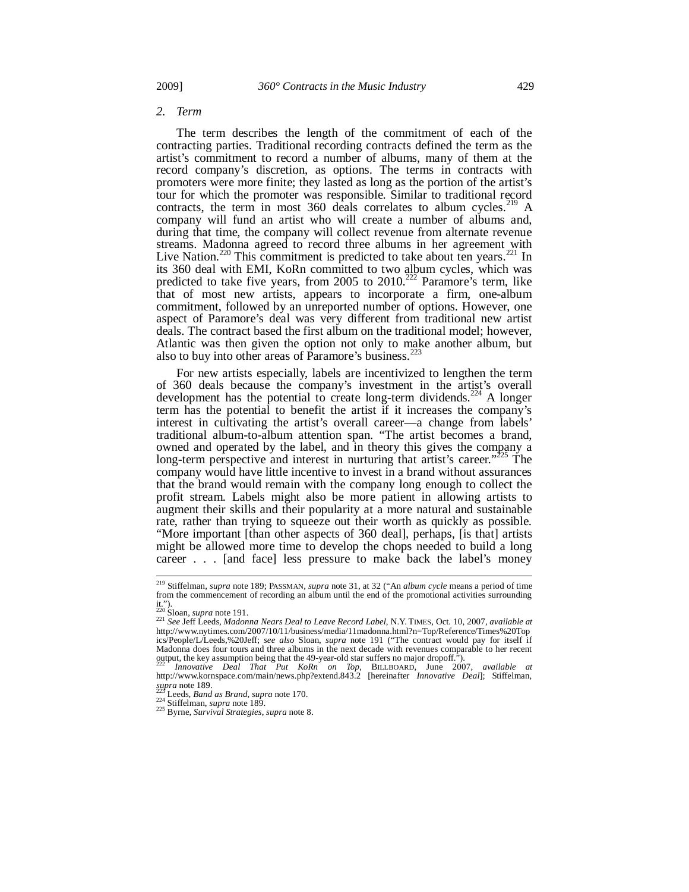#### *2. Term*

The term describes the length of the commitment of each of the contracting parties. Traditional recording contracts defined the term as the artist's commitment to record a number of albums, many of them at the record company's discretion, as options. The terms in contracts with promoters were more finite; they lasted as long as the portion of the artist's tour for which the promoter was responsible. Similar to traditional record contracts, the term in most  $360$  deals correlates to album cycles.<sup>219</sup> A company will fund an artist who will create a number of albums and, during that time, the company will collect revenue from alternate revenue streams. Madonna agreed to record three albums in her agreement with Live Nation.<sup>220</sup> This commitment is predicted to take about ten years.<sup>221</sup> In its 360 deal with EMI, KoRn committed to two album cycles, which was predicted to take five years, from 2005 to  $2010^{222}$  Paramore's term, like that of most new artists, appears to incorporate a firm, one-album commitment, followed by an unreported number of options. However, one aspect of Paramore's deal was very different from traditional new artist deals. The contract based the first album on the traditional model; however, Atlantic was then given the option not only to make another album, but also to buy into other areas of Paramore's business.<sup>22</sup>

For new artists especially, labels are incentivized to lengthen the term of 360 deals because the company's investment in the artist's overall development has the potential to create long-term dividends.<sup>224</sup> A longer term has the potential to benefit the artist if it increases the company's interest in cultivating the artist's overall career—a change from labels' traditional album-to-album attention span. "The artist becomes a brand, owned and operated by the label, and in theory this gives the company a long-term perspective and interest in nurturing that artist's career."<sup>225</sup> The company would have little incentive to invest in a brand without assurances that the brand would remain with the company long enough to collect the profit stream. Labels might also be more patient in allowing artists to augment their skills and their popularity at a more natural and sustainable rate, rather than trying to squeeze out their worth as quickly as possible. "More important [than other aspects of 360 deal], perhaps, [is that] artists might be allowed more time to develop the chops needed to build a long career . . . [and face] less pressure to make back the label's money

<sup>219</sup> Stiffelman, *supra* note 189; PASSMAN, *supra* note 31, at 32 ("An *album cycle* means a period of time from the commencement of recording an album until the end of the promotional activities surrounding it.").<br> $^{220}$ Sloan, *supra* note 191.

<sup>220</sup> Sloan, *supra* note 191. 221 *See* Jeff Leeds, *Madonna Nears Deal to Leave Record Label*, N.Y. TIMES, Oct. 10, 2007, *available at* http://www.nytimes.com/2007/10/11/business/media/11madonna.html?n=Top/Reference/Times%20Top ics/People/L/Leeds,%20Jeff; *see also* Sloan, *supra* note 191 ("The contract would pay for itself if Madonna does four tours and three albums in the next decade with revenues comparable to her recent output, the key assumption being that the 49-year-old star suffers no major dropoff.").

<sup>222</sup> *Innovative Deal That Put KoRn on Top*, BILLBOARD, June 2007, *available at*  http://www.kornspace.com/main/news.php?extend.843.2 [hereinafter *Innovative Deal*]; Stiffelman, *supra* note 189. 223 Leeds, *Band as Brand*, *supra* note 170. 224 Stiffelman, *supra* note 189. 225 Byrne, *Survival Strategies*, *supra* note 8.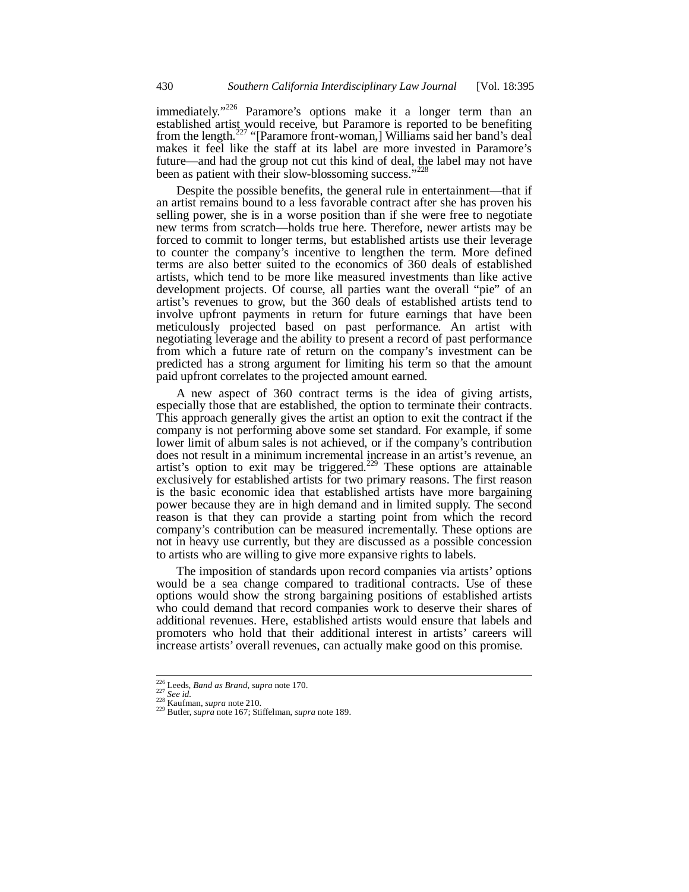immediately."<sup>226</sup> Paramore's options make it a longer term than an established artist would receive, but Paramore is reported to be benefiting from the length.<sup>227</sup> "[Paramore front-woman,] Williams said her band's deal makes it feel like the staff at its label are more invested in Paramore's future—and had the group not cut this kind of deal, the label may not have been as patient with their slow-blossoming success."<sup>2</sup>

Despite the possible benefits, the general rule in entertainment—that if an artist remains bound to a less favorable contract after she has proven his selling power, she is in a worse position than if she were free to negotiate new terms from scratch—holds true here. Therefore, newer artists may be forced to commit to longer terms, but established artists use their leverage to counter the company's incentive to lengthen the term. More defined terms are also better suited to the economics of 360 deals of established artists, which tend to be more like measured investments than like active development projects. Of course, all parties want the overall "pie" of an artist's revenues to grow, but the 360 deals of established artists tend to involve upfront payments in return for future earnings that have been meticulously projected based on past performance. An artist with negotiating leverage and the ability to present a record of past performance from which a future rate of return on the company's investment can be predicted has a strong argument for limiting his term so that the amount paid upfront correlates to the projected amount earned.

A new aspect of 360 contract terms is the idea of giving artists, especially those that are established, the option to terminate their contracts. This approach generally gives the artist an option to exit the contract if the company is not performing above some set standard. For example, if some lower limit of album sales is not achieved, or if the company's contribution does not result in a minimum incremental increase in an artist's revenue, an artist's option to exit may be triggered.<sup>229</sup> These options are attainable exclusively for established artists for two primary reasons. The first reason is the basic economic idea that established artists have more bargaining power because they are in high demand and in limited supply. The second reason is that they can provide a starting point from which the record company's contribution can be measured incrementally. These options are not in heavy use currently, but they are discussed as a possible concession to artists who are willing to give more expansive rights to labels.

The imposition of standards upon record companies via artists' options would be a sea change compared to traditional contracts. Use of these options would show the strong bargaining positions of established artists who could demand that record companies work to deserve their shares of additional revenues. Here, established artists would ensure that labels and promoters who hold that their additional interest in artists' careers will increase artists' overall revenues, can actually make good on this promise.

<sup>226</sup> Leeds, *Band as Brand*, *supra* note 170. 227 *See id.* 228 Kaufman, *supra* note 210. 229 Butler, *supra* note 167; Stiffelman, *supra* note 189.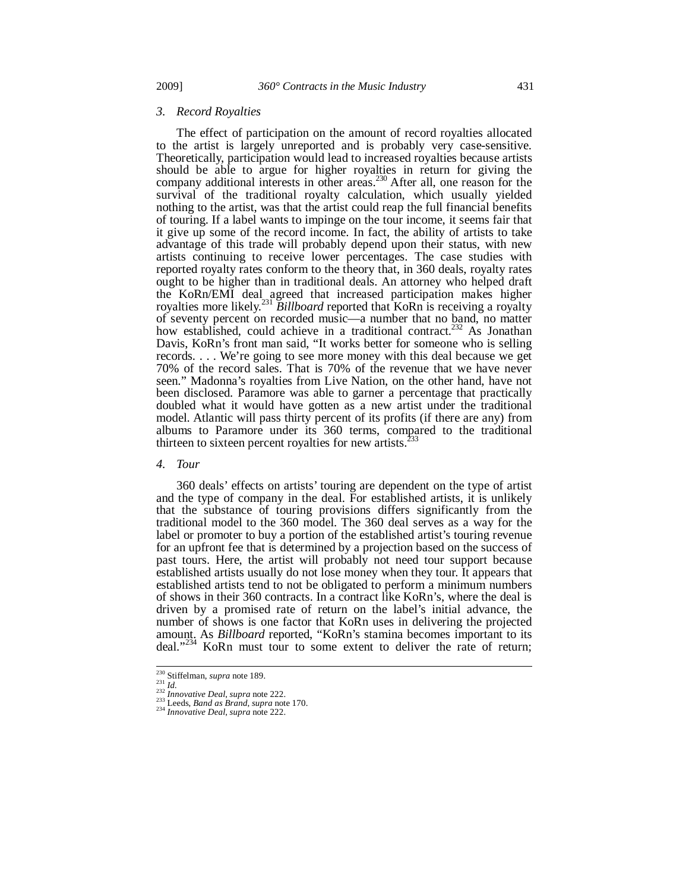#### *3. Record Royalties*

The effect of participation on the amount of record royalties allocated to the artist is largely unreported and is probably very case-sensitive. Theoretically, participation would lead to increased royalties because artists should be able to argue for higher royalties in return for giving the company additional interests in other areas.<sup>230</sup> After all, one reason for the survival of the traditional royalty calculation, which usually yielded nothing to the artist, was that the artist could reap the full financial benefits of touring. If a label wants to impinge on the tour income, it seems fair that it give up some of the record income. In fact, the ability of artists to take advantage of this trade will probably depend upon their status, with new artists continuing to receive lower percentages. The case studies with reported royalty rates conform to the theory that, in 360 deals, royalty rates ought to be higher than in traditional deals. An attorney who helped draft the KoRn/EMI deal agreed that increased participation makes higher royalties more likely.<sup>231</sup> *Billboard* reported that KoRn is receiving a royalty of seventy percent on recorded music—a number that no band, no matter how established, could achieve in a traditional contract.<sup>232</sup> As Jonathan Davis, KoRn's front man said, "It works better for someone who is selling records. . . . We're going to see more money with this deal because we get 70% of the record sales. That is 70% of the revenue that we have never seen." Madonna's royalties from Live Nation, on the other hand, have not been disclosed. Paramore was able to garner a percentage that practically doubled what it would have gotten as a new artist under the traditional model. Atlantic will pass thirty percent of its profits (if there are any) from albums to Paramore under its 360 terms, compared to the traditional thirteen to sixteen percent royalties for new artists.<sup>233</sup>

#### *4. Tour*

360 deals' effects on artists' touring are dependent on the type of artist and the type of company in the deal. For established artists, it is unlikely that the substance of touring provisions differs significantly from the traditional model to the 360 model. The 360 deal serves as a way for the label or promoter to buy a portion of the established artist's touring revenue for an upfront fee that is determined by a projection based on the success of past tours. Here, the artist will probably not need tour support because established artists usually do not lose money when they tour. It appears that established artists tend to not be obligated to perform a minimum numbers of shows in their 360 contracts. In a contract like KoRn's, where the deal is driven by a promised rate of return on the label's initial advance, the number of shows is one factor that KoRn uses in delivering the projected amount. As *Billboard* reported, "KoRn's stamina becomes important to its deal."<sup>234</sup> KoRn must tour to some extent to deliver the rate of return;

 $230$  Stiffelman, supra note 189.

<sup>230</sup> Stiffelman, *supra* note 189. 231 *Id.* <sup>232</sup> *Innovative Deal*, *supra* note 222. 233 Leeds, *Band as Brand*, *supra* note 170. 234 *Innovative Deal*, *supra* note 222.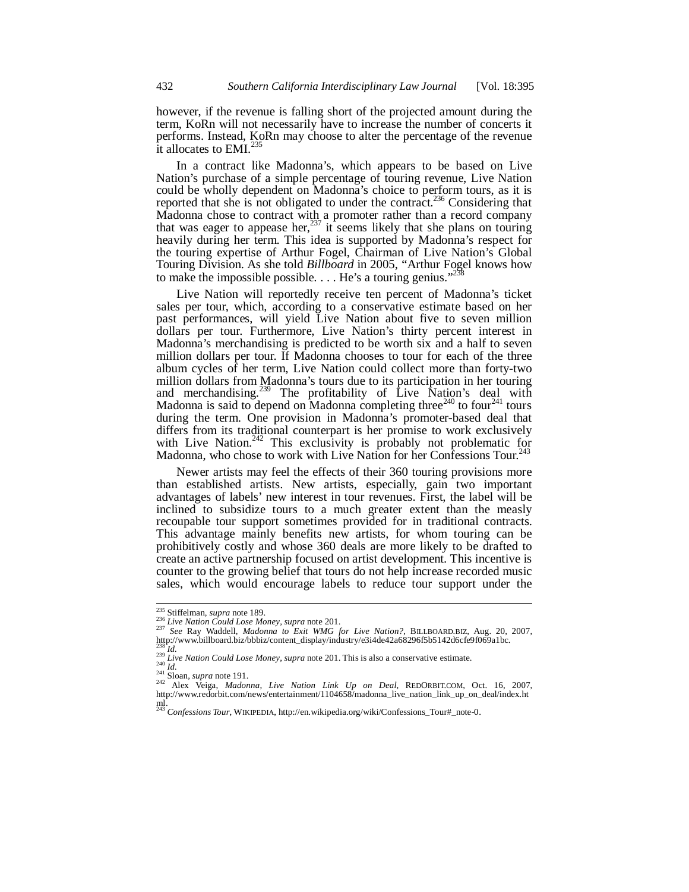however, if the revenue is falling short of the projected amount during the term, KoRn will not necessarily have to increase the number of concerts it performs. Instead, KoRn may choose to alter the percentage of the revenue it allocates to EMI.<sup>3</sup>

In a contract like Madonna's, which appears to be based on Live Nation's purchase of a simple percentage of touring revenue, Live Nation could be wholly dependent on Madonna's choice to perform tours, as it is reported that she is not obligated to under the contract.<sup>236</sup> Considering that Madonna chose to contract with a promoter rather than a record company that was eager to appease her,  $237$  it seems likely that she plans on touring heavily during her term. This idea is supported by Madonna's respect for the touring expertise of Arthur Fogel, Chairman of Live Nation's Global Touring Division. As she told *Billboard* in 2005, "Arthur Fogel knows how to make the impossible possible.  $\dots$  He's a touring genius."<sup>2</sup>

Live Nation will reportedly receive ten percent of Madonna's ticket sales per tour, which, according to a conservative estimate based on her past performances, will yield Live Nation about five to seven million dollars per tour. Furthermore, Live Nation's thirty percent interest in Madonna's merchandising is predicted to be worth six and a half to seven million dollars per tour. If Madonna chooses to tour for each of the three album cycles of her term, Live Nation could collect more than forty-two million dollars from Madonna's tours due to its participation in her touring and merchandising.<sup>239</sup> The profitability of Live Nation's deal with Madonna is said to depend on Madonna completing three<sup>240</sup> to four<sup>241</sup> tours during the term. One provision in Madonna's promoter-based deal that differs from its traditional counterpart is her promise to work exclusively with Live Nation.<sup>242</sup> This exclusivity is probably not problematic for Madonna, who chose to work with Live Nation for her Confessions Tour.<sup>243</sup>

Newer artists may feel the effects of their 360 touring provisions more than established artists. New artists, especially, gain two important advantages of labels' new interest in tour revenues. First, the label will be inclined to subsidize tours to a much greater extent than the measly recoupable tour support sometimes provided for in traditional contracts. This advantage mainly benefits new artists, for whom touring can be prohibitively costly and whose 360 deals are more likely to be drafted to create an active partnership focused on artist development. This incentive is counter to the growing belief that tours do not help increase recorded music sales, which would encourage labels to reduce tour support under the

<sup>&</sup>lt;sup>235</sup> Stiffelman, supra note 189.

<sup>&</sup>lt;sup>235</sup> Stiffelman, *supra* note 189.<br><sup>236</sup> Live Nation Could Lose Money, supra note 201.<br><sup>237</sup> See Ray Waddell, *Madonna to Exit WMG for Live Nation?*, BILLBOARD.BIZ, Aug. 20, 2007,<br><u>htt</u>p://www.billboard.biz/bbbiz/content\_

 $\frac{238}{240}$ <br>
Live Nation Could Lose Money, supra note 201. This is also a conservative estimate.<br>  $\frac{240}{241}$  Sloan, supra note 191.

<sup>&</sup>lt;sup>242</sup> Alex Veiga, *Madonna, Live Nation Link Up on Deal*, REDORBIT.COM, Oct. 16, 2007, http://www.redorbit.com/news/entertainment/1104658/madonna\_live\_nation\_link\_up\_on\_deal/index.ht ml.<br><sup>243</sup> *Confessions Tour*, WIKIPEDIA, http://en.wikipedia.org/wiki/Confessions\_Tour#\_note-0.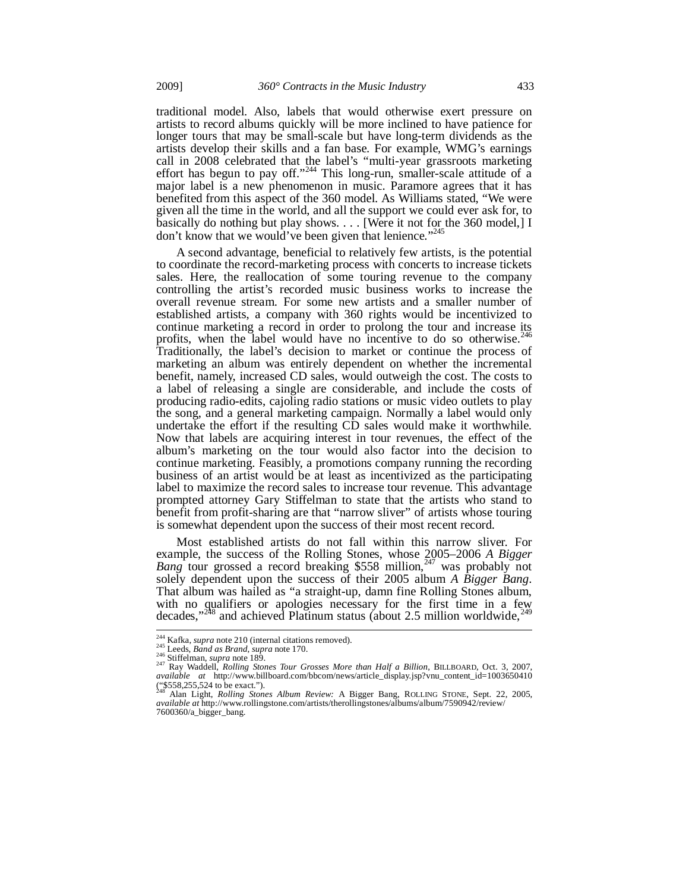traditional model. Also, labels that would otherwise exert pressure on artists to record albums quickly will be more inclined to have patience for longer tours that may be small-scale but have long-term dividends as the artists develop their skills and a fan base. For example, WMG's earnings call in 2008 celebrated that the label's "multi-year grassroots marketing effort has begun to pay off."<sup>244</sup> This long-run, smaller-scale attitude of  $\alpha$ major label is a new phenomenon in music. Paramore agrees that it has benefited from this aspect of the 360 model. As Williams stated, "We were given all the time in the world, and all the support we could ever ask for, to basically do nothing but play shows. . . . [Were it not for the 360 model,] I don't know that we would've been given that lenience."<sup>245</sup>

A second advantage, beneficial to relatively few artists, is the potential to coordinate the record-marketing process with concerts to increase tickets sales. Here, the reallocation of some touring revenue to the company controlling the artist's recorded music business works to increase the overall revenue stream. For some new artists and a smaller number of established artists, a company with 360 rights would be incentivized to continue marketing a record in order to prolong the tour and increase its  $\frac{246}{246}$ profits, when the label would have no incentive to do so otherwise.<sup>2</sup> Traditionally, the label's decision to market or continue the process of marketing an album was entirely dependent on whether the incremental benefit, namely, increased CD sales, would outweigh the cost. The costs to a label of releasing a single are considerable, and include the costs of producing radio-edits, cajoling radio stations or music video outlets to play the song, and a general marketing campaign. Normally a label would only undertake the effort if the resulting CD sales would make it worthwhile. Now that labels are acquiring interest in tour revenues, the effect of the album's marketing on the tour would also factor into the decision to continue marketing. Feasibly, a promotions company running the recording business of an artist would be at least as incentivized as the participating label to maximize the record sales to increase tour revenue. This advantage prompted attorney Gary Stiffelman to state that the artists who stand to benefit from profit-sharing are that "narrow sliver" of artists whose touring is somewhat dependent upon the success of their most recent record.

Most established artists do not fall within this narrow sliver. For example, the success of the Rolling Stones, whose 2005–2006 *A Bigger Bang* tour grossed a record breaking \$558 million,<sup>247</sup> was probably not solely dependent upon the success of their 2005 album *A Bigger Bang*. That album was hailed as "a straight-up, damn fine Rolling Stones album, with no qualifiers or apologies necessary for the first time in a few decades."<sup>248</sup> and achieved Platinum status (about 2.5 million worldwide.<sup>249</sup>  $\delta$  and achieved Platinum status (about 2.5 million worldwide,

<sup>&</sup>lt;sup>244</sup> Kafka, *supra* note 210 (internal citations removed).

<sup>&</sup>lt;sup>244</sup> Kafka, *supra* note 210 (internal citations removed).<br><sup>245</sup> Leeds, *Band as Brand, supra* note 170.<br><sup>246</sup> Stiffelman, *supra* note 189.<br><sup>247</sup> Ray Waddell, *Rolling Stones Tour Grosses More than Half a Billion*, BILLB ("\$558,255,524 to be exact.").

<sup>248</sup> Alan Light, *Rolling Stones Album Review:* A Bigger Bang, ROLLING STONE, Sept. 22, 2005, *available at* http://www.rollingstone.com/artists/therollingstones/albums/album/7590942/review/ 7600360/a\_bigger\_bang.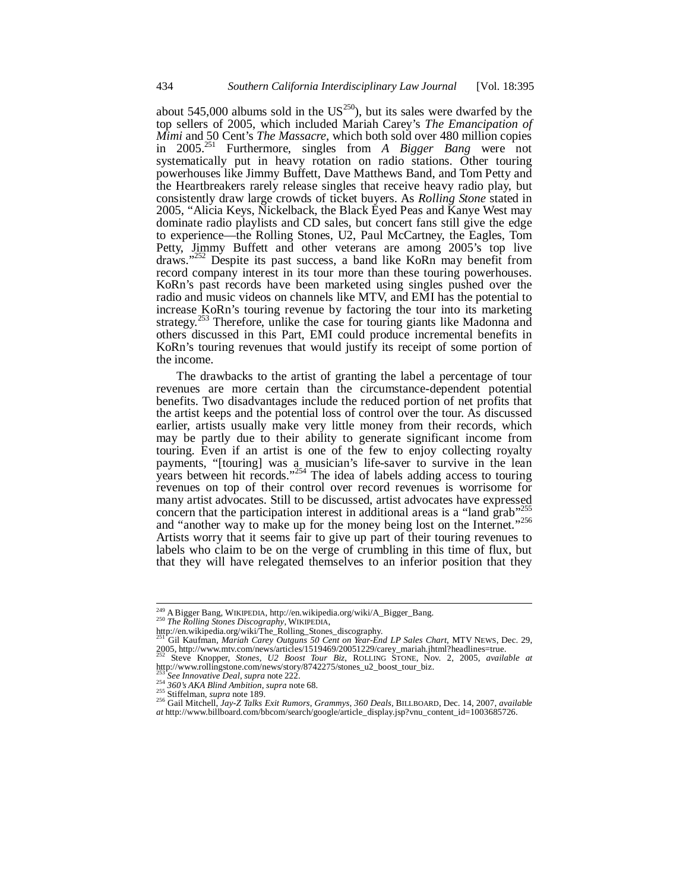about 545,000 albums sold in the  $US^{250}$ , but its sales were dwarfed by the top sellers of 2005, which included Mariah Carey's *The Emancipation of Mimi* and 50 Cent's *The Massacre*, which both sold over 480 million copies in 2005.251 Furthermore, singles from *A Bigger Bang* were not systematically put in heavy rotation on radio stations. Other touring powerhouses like Jimmy Buffett, Dave Matthews Band, and Tom Petty and the Heartbreakers rarely release singles that receive heavy radio play, but consistently draw large crowds of ticket buyers. As *Rolling Stone* stated in 2005, "Alicia Keys, Nickelback, the Black Eyed Peas and Kanye West may dominate radio playlists and CD sales, but concert fans still give the edge to experience—the Rolling Stones, U2, Paul McCartney, the Eagles, Tom Petty, Jimmy Buffett and other veterans are among 2005's top live draws."<sup>252</sup> Despite its past success, a band like KoRn may benefit from record company interest in its tour more than these touring powerhouses. KoRn's past records have been marketed using singles pushed over the radio and music videos on channels like MTV, and EMI has the potential to increase KoRn's touring revenue by factoring the tour into its marketing strategy.<sup>253</sup> Therefore, unlike the case for touring giants like Madonna and others discussed in this Part, EMI could produce incremental benefits in KoRn's touring revenues that would justify its receipt of some portion of the income.

The drawbacks to the artist of granting the label a percentage of tour revenues are more certain than the circumstance-dependent potential benefits. Two disadvantages include the reduced portion of net profits that the artist keeps and the potential loss of control over the tour. As discussed earlier, artists usually make very little money from their records, which may be partly due to their ability to generate significant income from touring. Even if an artist is one of the few to enjoy collecting royalty payments, "[touring] was a musician's life-saver to survive in the lean years between hit records."<sup>254</sup> The idea of labels adding access to touring revenues on top of their control over record revenues is worrisome for many artist advocates. Still to be discussed, artist advocates have expressed concern that the participation interest in additional areas is a "land grab" and "another way to make up for the money being lost on the Internet."<sup>256</sup> Artists worry that it seems fair to give up part of their touring revenues to labels who claim to be on the verge of crumbling in this time of flux, but that they will have relegated themselves to an inferior position that they

<sup>249</sup> A Bigger Bang, WIKIPEDIA, http://en.wikipedia.org/wiki/A\_Bigger\_Bang. 250 *The Rolling Stones Discography*, WIKIPEDIA,

http://en.wikipedia.org/wiki/The\_Rolling\_Stones\_discography. 251 Gil Kaufman, *Mariah Carey Outguns 50 Cent on Year-End LP Sales Chart*, MTV NEWS, Dec. 29, 2005, http://www.mtv.com/news/articles/1519469/20051229/carey\_mariah.jhtml?headlines=true.

<sup>252</sup> Steve Knopper, *Stones, U2 Boost Tour Biz*, ROLLING STONE, Nov. 2, 2005, *available at* http://www.rollingstone.com/news/story/8742275/stones\_u2\_boost\_tour\_biz.

<sup>&</sup>lt;sup>253</sup> See Innovative Deal, supra note 222.<br><sup>254</sup> 360's AKA Blind Ambition, supra note 68.<br><sup>255</sup> Stiffelman, supra note 189.<br><sup>256</sup> Gail Mitchell, Jay-Z Talks Exit Rumors, Grammys, 360 Deals, BILLBOARD, Dec. 14, 2007, availa *at* http://www.billboard.com/bbcom/search/google/article\_display.jsp?vnu\_content\_id=1003685726.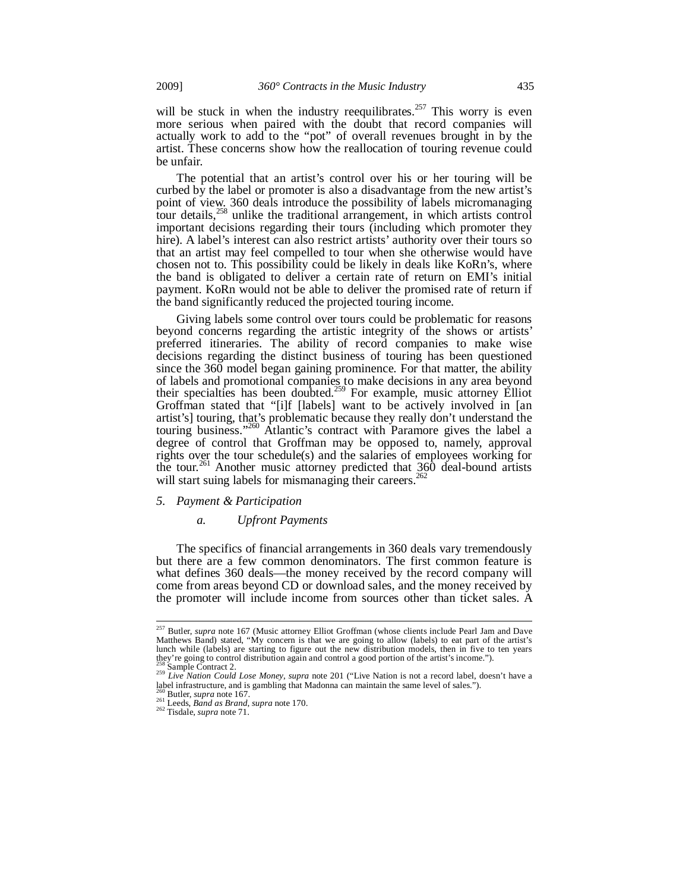will be stuck in when the industry reequilibrates.<sup>257</sup> This worry is even more serious when paired with the doubt that record companies will actually work to add to the "pot" of overall revenues brought in by the artist. These concerns show how the reallocation of touring revenue could be unfair.

The potential that an artist's control over his or her touring will be curbed by the label or promoter is also a disadvantage from the new artist's point of view. 360 deals introduce the possibility of labels micromanaging tour details,<sup>258</sup> unlike the traditional arrangement, in which artists control important decisions regarding their tours (including which promoter they hire). A label's interest can also restrict artists' authority over their tours so that an artist may feel compelled to tour when she otherwise would have chosen not to. This possibility could be likely in deals like KoRn's, where the band is obligated to deliver a certain rate of return on EMI's initial payment. KoRn would not be able to deliver the promised rate of return if the band significantly reduced the projected touring income.

Giving labels some control over tours could be problematic for reasons beyond concerns regarding the artistic integrity of the shows or artists' preferred itineraries. The ability of record companies to make wise decisions regarding the distinct business of touring has been questioned since the 360 model began gaining prominence. For that matter, the ability of labels and promotional companies to make decisions in any area beyond their specialties has been doubted.<sup>259</sup> For example, music attorney Elliot Groffman stated that "[i]f [labels] want to be actively involved in [an artist's] touring, that's problematic because they really don't understand the touring business."260 Atlantic's contract with Paramore gives the label a degree of control that Groffman may be opposed to, namely, approval rights over the tour schedule(s) and the salaries of employees working for the tour.<sup>261</sup> Another music attorney predicted that  $360$  deal-bound artists will start suing labels for mismanaging their careers.<sup>262</sup>

#### *5. Payment & Participation*

### *a. Upfront Payments*

The specifics of financial arrangements in 360 deals vary tremendously but there are a few common denominators. The first common feature is what defines 360 deals—the money received by the record company will come from areas beyond CD or download sales, and the money received by the promoter will include income from sources other than ticket sales. A

<sup>&</sup>lt;sup>257</sup> Butler, *supra* note 167 (Music attorney Elliot Groffman (whose clients include Pearl Jam and Dave Matthews Band) stated, "My concern is that we are going to allow (labels) to eat part of the artist's lunch while (labels) are starting to figure out the new distribution models, then in five to ten years they're going to control distribution again and control a good portion of the artist's income.").<br><sup>258</sup> Sample Contract 2.

<sup>258</sup> Sample Contract 2. 259 *Live Nation Could Lose Money*, *supra* note 201 ("Live Nation is not a record label, doesn't have a label infrastructure, and is gambling that Madonna can maintain the same level of sales.").<br><sup>260</sup> Butler, *supra* note 167.

<sup>260</sup> Butler, *supra* note 167. 261 Leeds, *Band as Brand*, *supra* note 170. 262 Tisdale, *supra* note 71.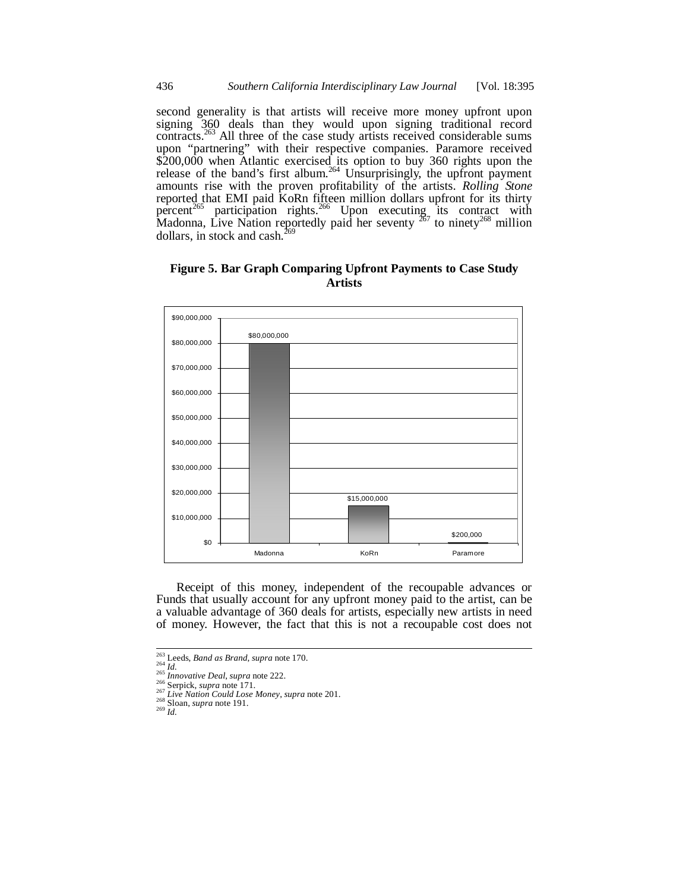second generality is that artists will receive more money upfront upon signing 360 deals than they would upon signing traditional record contracts.<sup>263</sup> All three of the case study artists received considerable sums upon "partnering" with their respective companies. Paramore received \$200,000 when Atlantic exercised its option to buy 360 rights upon the release of the band's first album.<sup>264</sup> Unsurprisingly, the upfront payment amounts rise with the proven profitability of the artists. *Rolling Stone* reported that EMI paid KoRn fifteen million dollars upfront for its thirty percent<sup>265</sup> participation rights.<sup>266</sup> Upon executing its contract with Madonna, Live Nation reportedly paid her seventy  $267$  to ninety  $268$  million dollars, in stock and cash. $^{20}$ 

**Figure 5. Bar Graph Comparing Upfront Payments to Case Study Artists** 



Receipt of this money, independent of the recoupable advances or Funds that usually account for any upfront money paid to the artist, can be a valuable advantage of 360 deals for artists, especially new artists in need of money. However, the fact that this is not a recoupable cost does not

<sup>&</sup>lt;sup>263</sup> Leeds, *Band as Brand*, *supra* note 170.<br><sup>264</sup> *Id.*<br><sup>265</sup> *Innovative Deal*, *supra* note 222.

<sup>266</sup> Serpick, supera note 171.<br>
267 Live Nation Could Lose Money, supra note 201.<br>
<sup>268</sup> Sloan, *supra* note 191.<br>
<sup>269</sup> Id.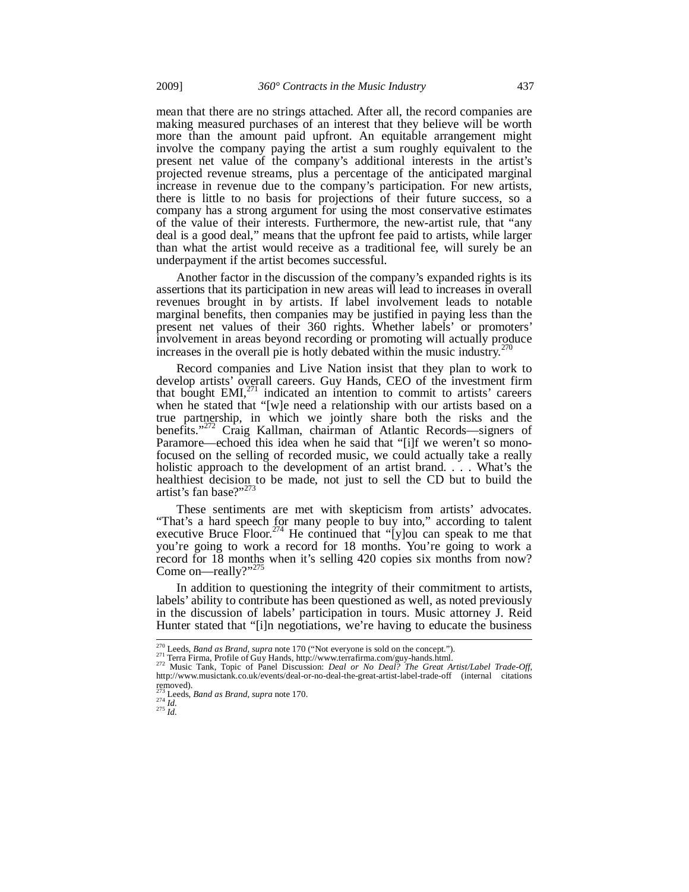mean that there are no strings attached. After all, the record companies are making measured purchases of an interest that they believe will be worth more than the amount paid upfront. An equitable arrangement might involve the company paying the artist a sum roughly equivalent to the present net value of the company's additional interests in the artist's projected revenue streams, plus a percentage of the anticipated marginal increase in revenue due to the company's participation. For new artists, there is little to no basis for projections of their future success, so a company has a strong argument for using the most conservative estimates of the value of their interests. Furthermore, the new-artist rule, that "any deal is a good deal," means that the upfront fee paid to artists, while larger than what the artist would receive as a traditional fee, will surely be an underpayment if the artist becomes successful.

Another factor in the discussion of the company's expanded rights is its assertions that its participation in new areas will lead to increases in overall revenues brought in by artists. If label involvement leads to notable marginal benefits, then companies may be justified in paying less than the present net values of their 360 rights. Whether labels' or promoters' involvement in areas beyond recording or promoting will actually produce increases in the overall pie is hotly debated within the music industry.<sup>2</sup>

Record companies and Live Nation insist that they plan to work to develop artists' overall careers. Guy Hands, CEO of the investment firm that bought  $EMI<sub>1</sub><sup>271</sup>$  indicated an intention to commit to artists' careers when he stated that "[w]e need a relationship with our artists based on a true partnership, in which we jointly share both the risks and the benefits."<sup>272</sup> Craig Kallman, chairman of Atlantic Records—signers of Paramore—echoed this idea when he said that "[i]f we weren't so monofocused on the selling of recorded music, we could actually take a really holistic approach to the development of an artist brand. . . . What's the healthiest decision to be made, not just to sell the CD but to build the artist's fan base?"<sup>273</sup>

These sentiments are met with skepticism from artists' advocates. "That's a hard speech for many people to buy into," according to talent executive Bruce Floor.<sup>274</sup> He continued that "[y]ou can speak to me that you're going to work a record for 18 months. You're going to work a record for 18 months when it's selling 420 copies six months from now? Come on—really?"<sup>275</sup>

In addition to questioning the integrity of their commitment to artists, labels' ability to contribute has been questioned as well, as noted previously in the discussion of labels' participation in tours. Music attorney J. Reid Hunter stated that "[i]n negotiations, we're having to educate the business

<sup>&</sup>lt;sup>270</sup> Leeds, *Band as Brand*, *supra* note 170 ("Not everyone is sold on the concept.").

Leeus, *Bana us Branu, supra nove 170* (2000) Costations of guy-banas.html.<br>
271 Terra Firma, Profile of Guy Hands, http://www.terrafirma.com/guy-banas.html.<br>
272 Music Tank, Topic of Panel Discussion: *Deal or No Deal? Th* removed).<br> $^{273}_{274}$  Leeds,<br> $^{274}_{1d}$ .

<sup>273</sup> Leeds, *Band as Brand*, *supra* note 170. 274 *Id.* <sup>275</sup> *Id.*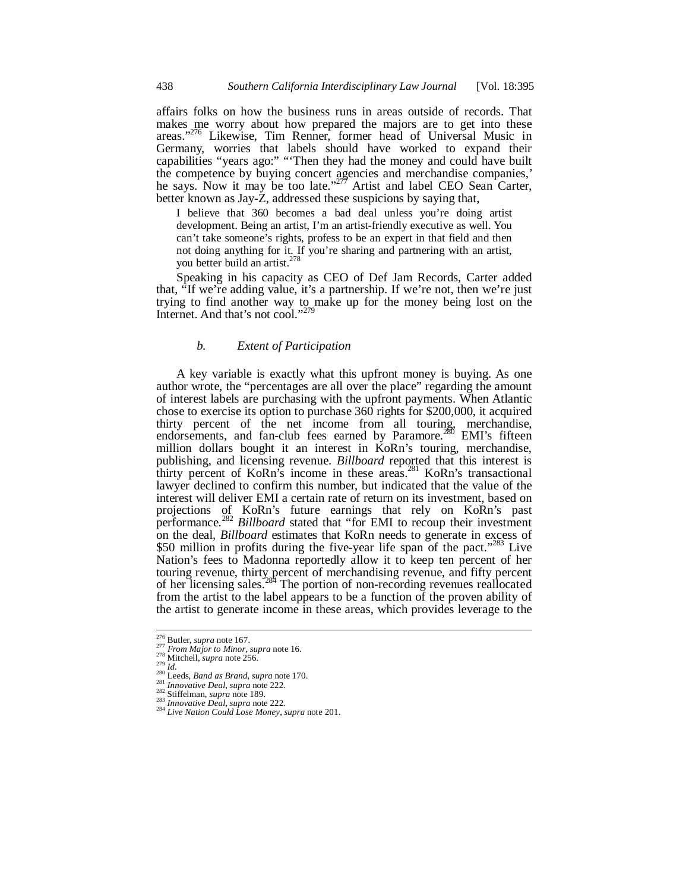affairs folks on how the business runs in areas outside of records. That makes me worry about how prepared the majors are to get into these areas."<sup>276</sup> Likewise, Tim Renner, former head of Universal Music in Germany, worries that labels should have worked to expand their capabilities "years ago:" "'Then they had the money and could have built the competence by buying concert agencies and merchandise companies,' he says. Now it may be too late."<sup>277</sup> Artist and label CEO Sean Carter, better known as Jay-Z, addressed these suspicions by saying that,

I believe that 360 becomes a bad deal unless you're doing artist development. Being an artist, I'm an artist-friendly executive as well. You can't take someone's rights, profess to be an expert in that field and then not doing anything for it. If you're sharing and partnering with an artist, you better build an artist.<sup>2</sup>

Speaking in his capacity as CEO of Def Jam Records, Carter added that, "If we're adding value, it's a partnership. If we're not, then we're just trying to find another way to make up for the money being lost on the Internet. And that's not cool."<sup>279</sup>

### *b. Extent of Participation*

A key variable is exactly what this upfront money is buying. As one author wrote, the "percentages are all over the place" regarding the amount of interest labels are purchasing with the upfront payments. When Atlantic chose to exercise its option to purchase 360 rights for \$200,000, it acquired thirty percent of the net income from all touring, merchandise, endorsements, and fan-club fees earned by Paramore.<sup>280</sup> EMI's fifteen million dollars bought it an interest in KoRn's touring, merchandise, publishing, and licensing revenue. *Billboard* reported that this interest is thirty percent of KoRn's income in these areas.281 KoRn's transactional lawyer declined to confirm this number, but indicated that the value of the interest will deliver EMI a certain rate of return on its investment, based on projections of KoRn's future earnings that rely on KoRn's past performance.<sup>282</sup> *Billboard* stated that "for EMI to recoup their investment on the deal, *Billboard* estimates that KoRn needs to generate in excess of \$50 million in profits during the five-year life span of the pact."<sup>283</sup> Live Nation's fees to Madonna reportedly allow it to keep ten percent of her touring revenue, thirty percent of merchandising revenue, and fifty percent of her licensing sales.284 The portion of non-recording revenues reallocated from the artist to the label appears to be a function of the proven ability of the artist to generate income in these areas, which provides leverage to the

<sup>&</sup>lt;sup>276</sup> Butler, *supra* note 167.<br><sup>277</sup> *From Major to Minor, supra* note 16.<br><sup>278</sup> Mitchell, *supra* note 256.<br><sup>280</sup> Id.<br><sup>280</sup> Leeds, *Band as Brand, supra* note 170.<br><sup>281</sup> Imovative Deal, *supra* note 222.<br><sup>282</sup> Siffielman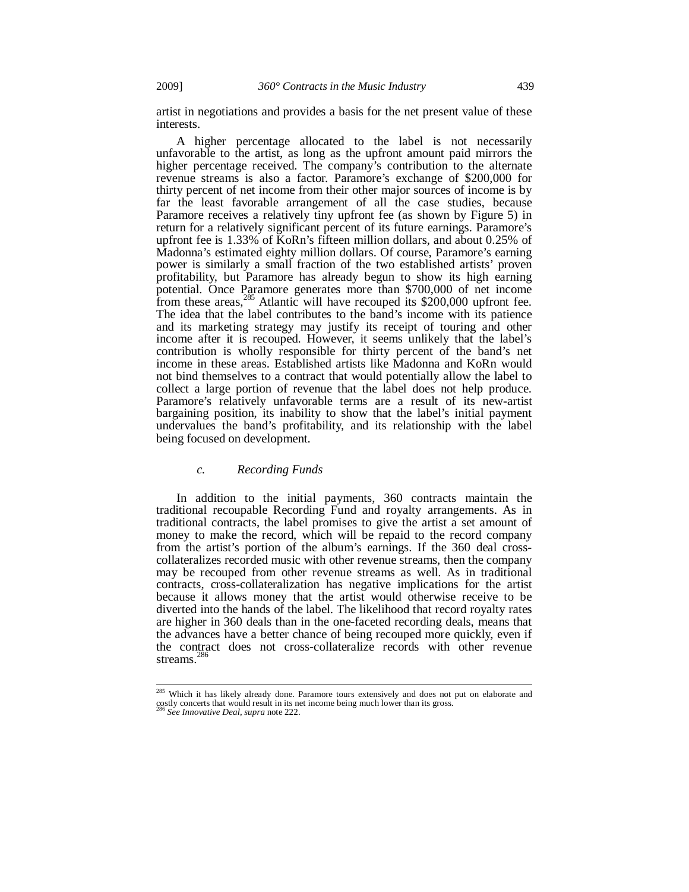artist in negotiations and provides a basis for the net present value of these interests.

A higher percentage allocated to the label is not necessarily unfavorable to the artist, as long as the upfront amount paid mirrors the higher percentage received. The company's contribution to the alternate revenue streams is also a factor. Paramore's exchange of \$200,000 for thirty percent of net income from their other major sources of income is by far the least favorable arrangement of all the case studies, because Paramore receives a relatively tiny upfront fee (as shown by Figure 5) in return for a relatively significant percent of its future earnings. Paramore's upfront fee is 1.33% of KoRn's fifteen million dollars, and about 0.25% of Madonna's estimated eighty million dollars. Of course, Paramore's earning power is similarly a small fraction of the two established artists' proven profitability, but Paramore has already begun to show its high earning potential. Once Paramore generates more than \$700,000 of net income from these areas,<sup>285</sup> Atlantic will have recouped its \$200,000 upfront fee. The idea that the label contributes to the band's income with its patience and its marketing strategy may justify its receipt of touring and other income after it is recouped. However, it seems unlikely that the label's contribution is wholly responsible for thirty percent of the band's net income in these areas. Established artists like Madonna and KoRn would not bind themselves to a contract that would potentially allow the label to collect a large portion of revenue that the label does not help produce. Paramore's relatively unfavorable terms are a result of its new-artist bargaining position, its inability to show that the label's initial payment undervalues the band's profitability, and its relationship with the label being focused on development.

#### *c. Recording Funds*

In addition to the initial payments, 360 contracts maintain the traditional recoupable Recording Fund and royalty arrangements. As in traditional contracts, the label promises to give the artist a set amount of money to make the record, which will be repaid to the record company from the artist's portion of the album's earnings. If the 360 deal crosscollateralizes recorded music with other revenue streams, then the company may be recouped from other revenue streams as well. As in traditional contracts, cross-collateralization has negative implications for the artist because it allows money that the artist would otherwise receive to be diverted into the hands of the label. The likelihood that record royalty rates are higher in 360 deals than in the one-faceted recording deals, means that the advances have a better chance of being recouped more quickly, even if the contract does not cross-collateralize records with other revenue streams.<sup>286</sup>

<sup>&</sup>lt;sup>285</sup> Which it has likely already done. Paramore tours extensively and does not put on elaborate and costly concerts that would result in its net income being much lower than its gross.

<sup>286</sup> *See Innovative Deal*, *supra* note 222.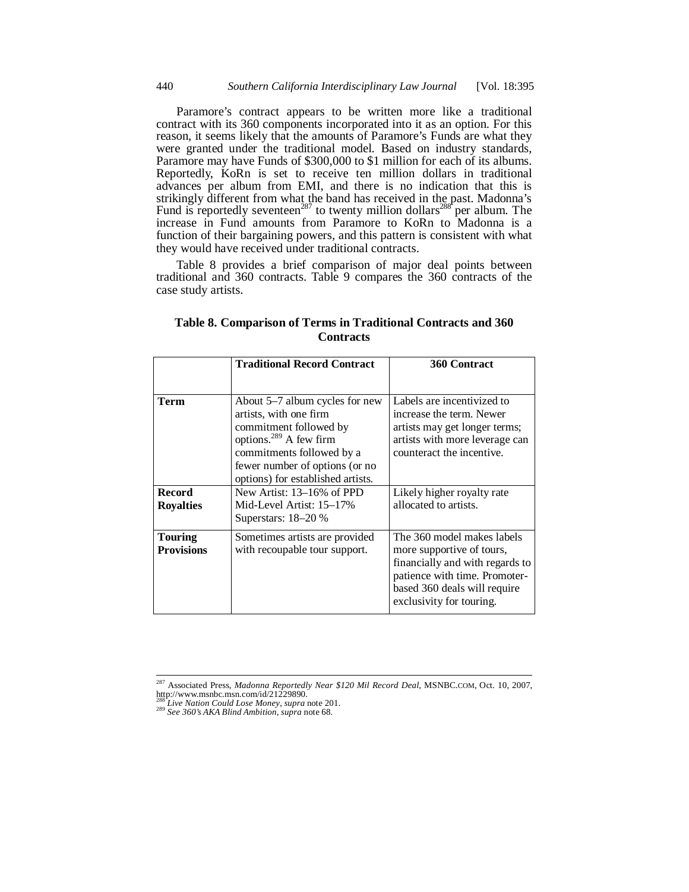Paramore's contract appears to be written more like a traditional contract with its 360 components incorporated into it as an option. For this reason, it seems likely that the amounts of Paramore's Funds are what they were granted under the traditional model. Based on industry standards, Paramore may have Funds of \$300,000 to \$1 million for each of its albums. Reportedly, KoRn is set to receive ten million dollars in traditional advances per album from EMI, and there is no indication that this is strikingly different from what the band has received in the past. Madonna's Fund is reportedly seventeen<sup>287</sup> to twenty million dollars<sup>288</sup> per album. The increase in Fund amounts from Paramore to KoRn to Madonna is a function of their bargaining powers, and this pattern is consistent with what they would have received under traditional contracts.

Table 8 provides a brief comparison of major deal points between traditional and 360 contracts. Table 9 compares the 360 contracts of the case study artists.

|                                     | <b>Traditional Record Contract</b>                                                                                                                                                                                           | 360 Contract                                                                                                                                                                            |
|-------------------------------------|------------------------------------------------------------------------------------------------------------------------------------------------------------------------------------------------------------------------------|-----------------------------------------------------------------------------------------------------------------------------------------------------------------------------------------|
|                                     |                                                                                                                                                                                                                              |                                                                                                                                                                                         |
| Term                                | About 5–7 album cycles for new<br>artists, with one firm<br>commitment followed by<br>options. <sup>289</sup> A few firm<br>commitments followed by a<br>fewer number of options (or no<br>options) for established artists. | Labels are incentivized to<br>increase the term. Newer<br>artists may get longer terms;<br>artists with more leverage can<br>counteract the incentive.                                  |
| <b>Record</b>                       | New Artist: 13–16% of PPD                                                                                                                                                                                                    | Likely higher royalty rate                                                                                                                                                              |
| <b>Royalties</b>                    | Mid-Level Artist: 15–17%<br>Superstars: $18-20%$                                                                                                                                                                             | allocated to artists.                                                                                                                                                                   |
| <b>Touring</b><br><b>Provisions</b> | Sometimes artists are provided<br>with recoupable tour support.                                                                                                                                                              | The 360 model makes labels<br>more supportive of tours,<br>financially and with regards to<br>patience with time. Promoter-<br>based 360 deals will require<br>exclusivity for touring. |

**Table 8. Comparison of Terms in Traditional Contracts and 360 Contracts** 

<sup>287</sup> Associated Press, *Madonna Reportedly Near \$120 Mil Record Deal*, MSNBC.COM, Oct. 10, 2007, http://www.msnbc.msn.com/id/21229890.

<sup>288</sup> *Live Nation Could Lose Money*, *supra* note 201. 289 *See 360's AKA Blind Ambition*, *supra* note 68.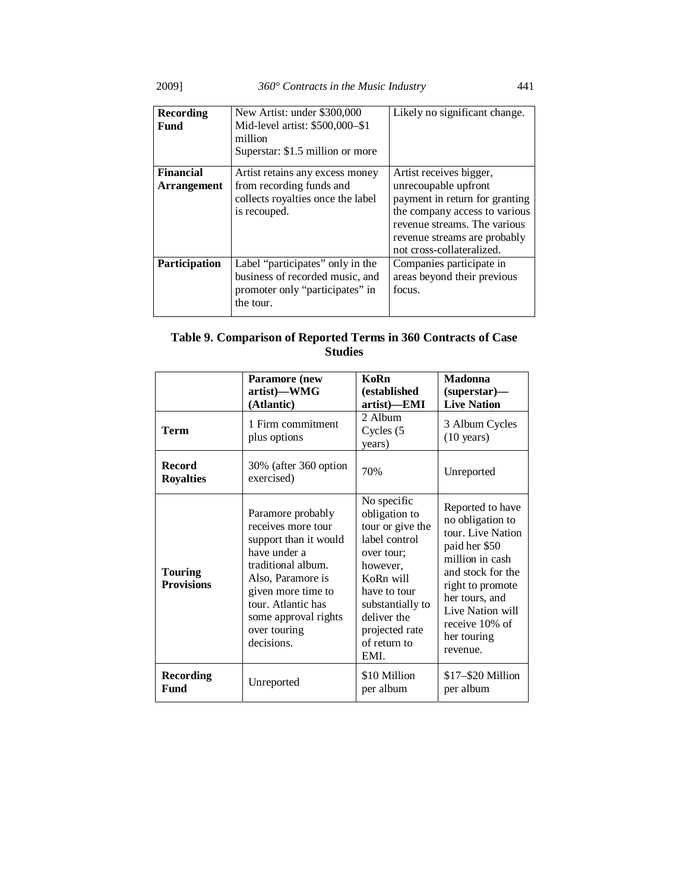2009] *360° Contracts in the Music Industry* 441

| <b>Recording</b><br>Fund               | New Artist: under \$300,000<br>Mid-level artist: \$500,000-\$1<br>million<br>Superstar: \$1.5 million or more       | Likely no significant change.                                                                                                                                                                                   |
|----------------------------------------|---------------------------------------------------------------------------------------------------------------------|-----------------------------------------------------------------------------------------------------------------------------------------------------------------------------------------------------------------|
| <b>Financial</b><br><b>Arrangement</b> | Artist retains any excess money<br>from recording funds and<br>collects royalties once the label<br>is recouped.    | Artist receives bigger,<br>unrecoupable upfront<br>payment in return for granting<br>the company access to various<br>revenue streams. The various<br>revenue streams are probably<br>not cross-collateralized. |
| Participation                          | Label "participates" only in the<br>business of recorded music, and<br>promoter only "participates" in<br>the tour. | Companies participate in<br>areas beyond their previous<br>focus.                                                                                                                                               |

# **Table 9. Comparison of Reported Terms in 360 Contracts of Case Studies**

|                                     | <b>Paramore</b> (new<br>artist)-WMG<br>(Atlantic)                                                                                                                                                                             | KoRn<br>(established<br>artist)—EMI                                                                                                                                                                   | <b>Madonna</b><br>$(superstar)$ —<br><b>Live Nation</b>                                                                                                                                                                   |
|-------------------------------------|-------------------------------------------------------------------------------------------------------------------------------------------------------------------------------------------------------------------------------|-------------------------------------------------------------------------------------------------------------------------------------------------------------------------------------------------------|---------------------------------------------------------------------------------------------------------------------------------------------------------------------------------------------------------------------------|
| <b>Term</b>                         | 1 Firm commitment<br>plus options                                                                                                                                                                                             | 2 Album<br>Cycles (5<br>years)                                                                                                                                                                        | 3 Album Cycles<br>$(10 \text{ years})$                                                                                                                                                                                    |
| <b>Record</b><br><b>Royalties</b>   | 30% (after 360 option<br>exercised)                                                                                                                                                                                           | 70%                                                                                                                                                                                                   | Unreported                                                                                                                                                                                                                |
| <b>Touring</b><br><b>Provisions</b> | Paramore probably<br>receives more tour<br>support than it would<br>have under a<br>traditional album.<br>Also, Paramore is<br>given more time to<br>tour. Atlantic has<br>some approval rights<br>over touring<br>decisions. | No specific<br>obligation to<br>tour or give the<br>label control<br>over tour;<br>however,<br>KoRn will<br>have to tour<br>substantially to<br>deliver the<br>projected rate<br>of return to<br>EMI. | Reported to have<br>no obligation to<br>tour. Live Nation<br>paid her \$50<br>million in cash<br>and stock for the<br>right to promote<br>her tours, and<br>Live Nation will<br>receive 10% of<br>her touring<br>revenue. |
| <b>Recording</b><br>Fund            | Unreported                                                                                                                                                                                                                    | \$10 Million<br>per album                                                                                                                                                                             | $$17 - $20$ Million<br>per album                                                                                                                                                                                          |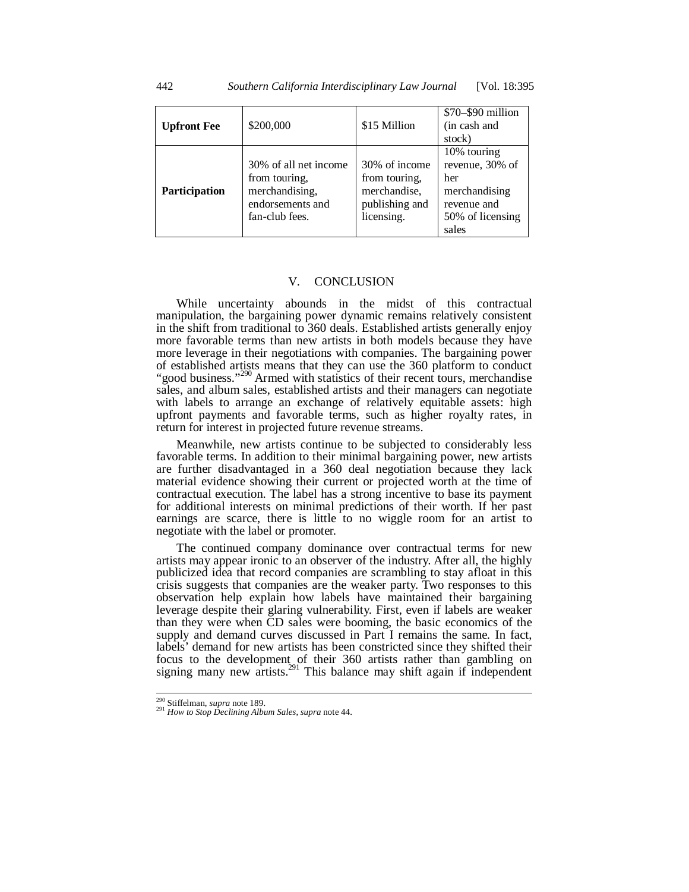| <b>Upfront Fee</b> | \$200,000                                                                                      | \$15 Million                                                                   | \$70-\$90 million<br>(in cash and<br>stock)                                                        |
|--------------------|------------------------------------------------------------------------------------------------|--------------------------------------------------------------------------------|----------------------------------------------------------------------------------------------------|
| Participation      | 30% of all net income<br>from touring,<br>merchandising,<br>endorsements and<br>fan-club fees. | 30% of income<br>from touring,<br>merchandise,<br>publishing and<br>licensing. | 10% touring<br>revenue, 30% of<br>her<br>merchandising<br>revenue and<br>50% of licensing<br>sales |

#### V. CONCLUSION

While uncertainty abounds in the midst of this contractual manipulation, the bargaining power dynamic remains relatively consistent in the shift from traditional to 360 deals. Established artists generally enjoy more favorable terms than new artists in both models because they have more leverage in their negotiations with companies. The bargaining power of established artists means that they can use the 360 platform to conduct "good business."<sup>290</sup> Armed with statistics of their recent tours, merchandise" sales, and album sales, established artists and their managers can negotiate with labels to arrange an exchange of relatively equitable assets: high upfront payments and favorable terms, such as higher royalty rates, in return for interest in projected future revenue streams.

Meanwhile, new artists continue to be subjected to considerably less favorable terms. In addition to their minimal bargaining power, new artists are further disadvantaged in a 360 deal negotiation because they lack material evidence showing their current or projected worth at the time of contractual execution. The label has a strong incentive to base its payment for additional interests on minimal predictions of their worth. If her past earnings are scarce, there is little to no wiggle room for an artist to negotiate with the label or promoter.

The continued company dominance over contractual terms for new artists may appear ironic to an observer of the industry. After all, the highly publicized idea that record companies are scrambling to stay afloat in this crisis suggests that companies are the weaker party. Two responses to this observation help explain how labels have maintained their bargaining leverage despite their glaring vulnerability. First, even if labels are weaker than they were when CD sales were booming, the basic economics of the supply and demand curves discussed in Part I remains the same. In fact, labels' demand for new artists has been constricted since they shifted their focus to the development of their 360 artists rather than gambling on signing many new  $aritsts$ <sup>291</sup> This balance may shift again if independent

<sup>&</sup>lt;sup>290</sup> Stiffelman, supra note 189.

<sup>290</sup> Stiffelman, *supra* note 189. 291 *How to Stop Declining Album Sales*, *supra* note 44.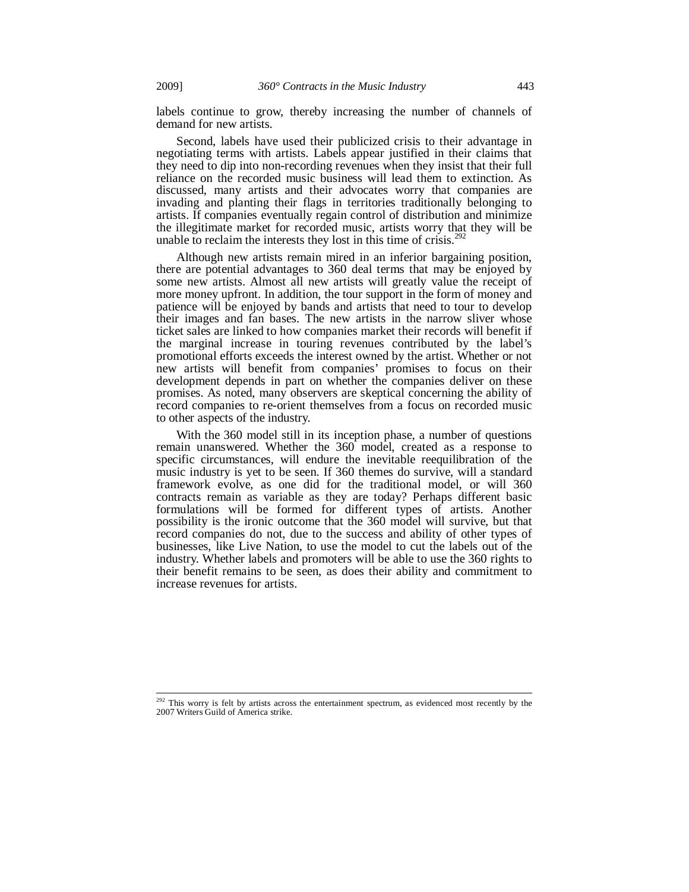labels continue to grow, thereby increasing the number of channels of demand for new artists.

Second, labels have used their publicized crisis to their advantage in negotiating terms with artists. Labels appear justified in their claims that they need to dip into non-recording revenues when they insist that their full reliance on the recorded music business will lead them to extinction. As discussed, many artists and their advocates worry that companies are invading and planting their flags in territories traditionally belonging to artists. If companies eventually regain control of distribution and minimize the illegitimate market for recorded music, artists worry that they will be unable to reclaim the interests they lost in this time of crisis.<sup>292</sup>

Although new artists remain mired in an inferior bargaining position, there are potential advantages to 360 deal terms that may be enjoyed by some new artists. Almost all new artists will greatly value the receipt of more money upfront. In addition, the tour support in the form of money and patience will be enjoyed by bands and artists that need to tour to develop their images and fan bases. The new artists in the narrow sliver whose ticket sales are linked to how companies market their records will benefit if the marginal increase in touring revenues contributed by the label's promotional efforts exceeds the interest owned by the artist. Whether or not new artists will benefit from companies' promises to focus on their development depends in part on whether the companies deliver on these promises. As noted, many observers are skeptical concerning the ability of record companies to re-orient themselves from a focus on recorded music to other aspects of the industry.

With the 360 model still in its inception phase, a number of questions remain unanswered. Whether the 360 model, created as a response to specific circumstances, will endure the inevitable reequilibration of the music industry is yet to be seen. If 360 themes do survive, will a standard framework evolve, as one did for the traditional model, or will 360 contracts remain as variable as they are today? Perhaps different basic formulations will be formed for different types of artists. Another possibility is the ironic outcome that the 360 model will survive, but that record companies do not, due to the success and ability of other types of businesses, like Live Nation, to use the model to cut the labels out of the industry. Whether labels and promoters will be able to use the 360 rights to their benefit remains to be seen, as does their ability and commitment to increase revenues for artists.

 $292$  This worry is felt by artists across the entertainment spectrum, as evidenced most recently by the 2007 Writers Guild of America strike.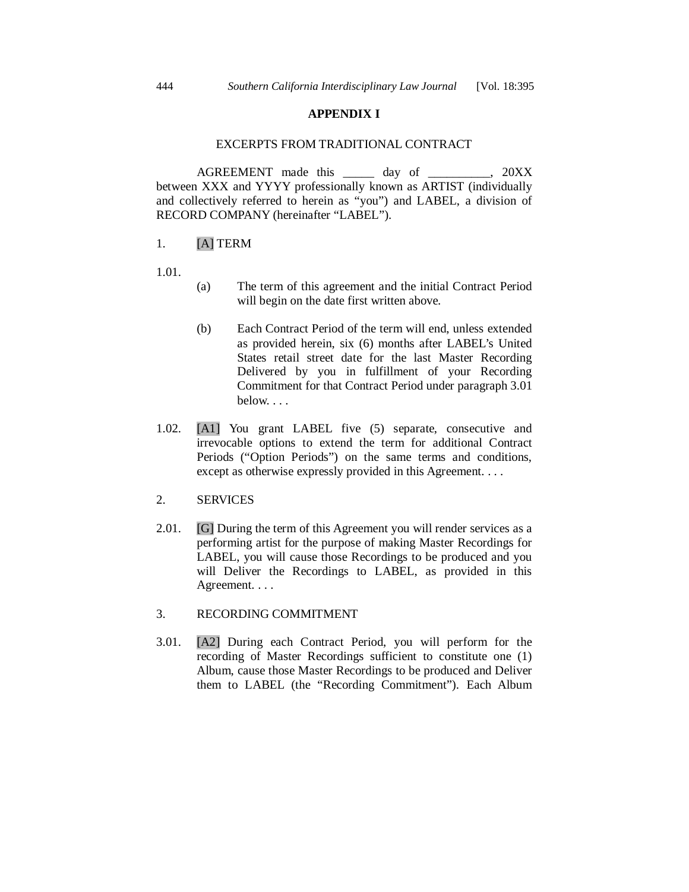# **APPENDIX I**

# EXCERPTS FROM TRADITIONAL CONTRACT

AGREEMENT made this \_\_\_\_\_ day of \_\_\_\_\_\_\_\_\_\_, 20XX between XXX and YYYY professionally known as ARTIST (individually and collectively referred to herein as "you") and LABEL, a division of RECORD COMPANY (hereinafter "LABEL").

# 1. [A] TERM

1.01.

- (a) The term of this agreement and the initial Contract Period will begin on the date first written above.
- (b) Each Contract Period of the term will end, unless extended as provided herein, six (6) months after LABEL's United States retail street date for the last Master Recording Delivered by you in fulfillment of your Recording Commitment for that Contract Period under paragraph 3.01 below. . . .
- 1.02. [A1] You grant LABEL five (5) separate, consecutive and irrevocable options to extend the term for additional Contract Periods ("Option Periods") on the same terms and conditions, except as otherwise expressly provided in this Agreement. . . .

# 2. SERVICES

2.01. **[G]** During the term of this Agreement you will render services as a performing artist for the purpose of making Master Recordings for LABEL, you will cause those Recordings to be produced and you will Deliver the Recordings to LABEL, as provided in this Agreement. . . .

# 3. RECORDING COMMITMENT

3.01. [A2] During each Contract Period, you will perform for the recording of Master Recordings sufficient to constitute one (1) Album, cause those Master Recordings to be produced and Deliver them to LABEL (the "Recording Commitment"). Each Album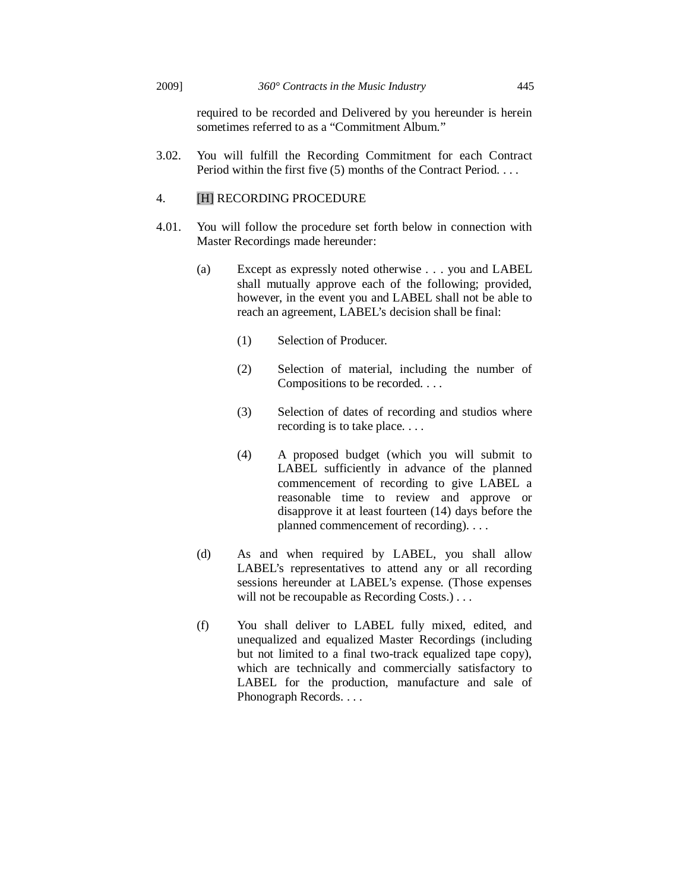### 2009] *360° Contracts in the Music Industry* 445

required to be recorded and Delivered by you hereunder is herein sometimes referred to as a "Commitment Album."

3.02. You will fulfill the Recording Commitment for each Contract Period within the first five (5) months of the Contract Period. . . .

# 4. [H] RECORDING PROCEDURE

- 4.01. You will follow the procedure set forth below in connection with Master Recordings made hereunder:
	- (a) Except as expressly noted otherwise . . . you and LABEL shall mutually approve each of the following; provided, however, in the event you and LABEL shall not be able to reach an agreement, LABEL's decision shall be final:
		- (1) Selection of Producer.
		- (2) Selection of material, including the number of Compositions to be recorded. . . .
		- (3) Selection of dates of recording and studios where recording is to take place. . . .
		- (4) A proposed budget (which you will submit to LABEL sufficiently in advance of the planned commencement of recording to give LABEL a reasonable time to review and approve or disapprove it at least fourteen (14) days before the planned commencement of recording). . . .
	- (d) As and when required by LABEL, you shall allow LABEL's representatives to attend any or all recording sessions hereunder at LABEL's expense. (Those expenses will not be recoupable as Recording Costs.)...
	- (f) You shall deliver to LABEL fully mixed, edited, and unequalized and equalized Master Recordings (including but not limited to a final two-track equalized tape copy), which are technically and commercially satisfactory to LABEL for the production, manufacture and sale of Phonograph Records. . . .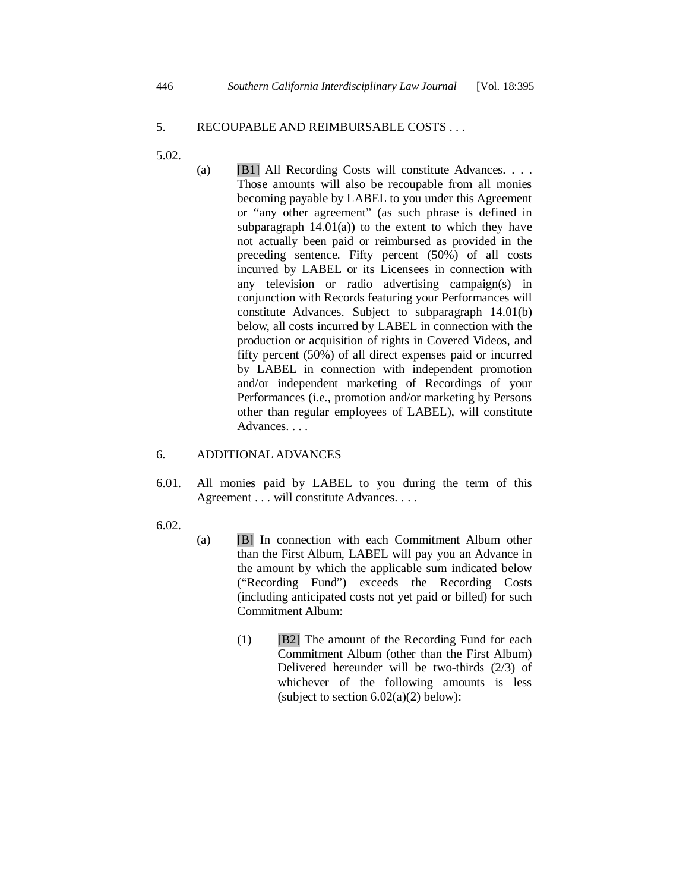# 5. RECOUPABLE AND REIMBURSABLE COSTS . . .

- 5.02.
- (a) [B1] All Recording Costs will constitute Advances. . . . Those amounts will also be recoupable from all monies becoming payable by LABEL to you under this Agreement or "any other agreement" (as such phrase is defined in subparagraph  $14.01(a)$  to the extent to which they have not actually been paid or reimbursed as provided in the preceding sentence. Fifty percent (50%) of all costs incurred by LABEL or its Licensees in connection with any television or radio advertising campaign(s) in conjunction with Records featuring your Performances will constitute Advances. Subject to subparagraph 14.01(b) below, all costs incurred by LABEL in connection with the production or acquisition of rights in Covered Videos, and fifty percent (50%) of all direct expenses paid or incurred by LABEL in connection with independent promotion and/or independent marketing of Recordings of your Performances (i.e., promotion and/or marketing by Persons other than regular employees of LABEL), will constitute Advances. . . .

# 6. ADDITIONAL ADVANCES

- 6.01. All monies paid by LABEL to you during the term of this Agreement . . . will constitute Advances. . . .
- 6.02.
- (a) [B] In connection with each Commitment Album other than the First Album, LABEL will pay you an Advance in the amount by which the applicable sum indicated below ("Recording Fund") exceeds the Recording Costs (including anticipated costs not yet paid or billed) for such Commitment Album:
	- (1) [B2] The amount of the Recording Fund for each Commitment Album (other than the First Album) Delivered hereunder will be two-thirds (2/3) of whichever of the following amounts is less (subject to section  $6.02(a)(2)$  below):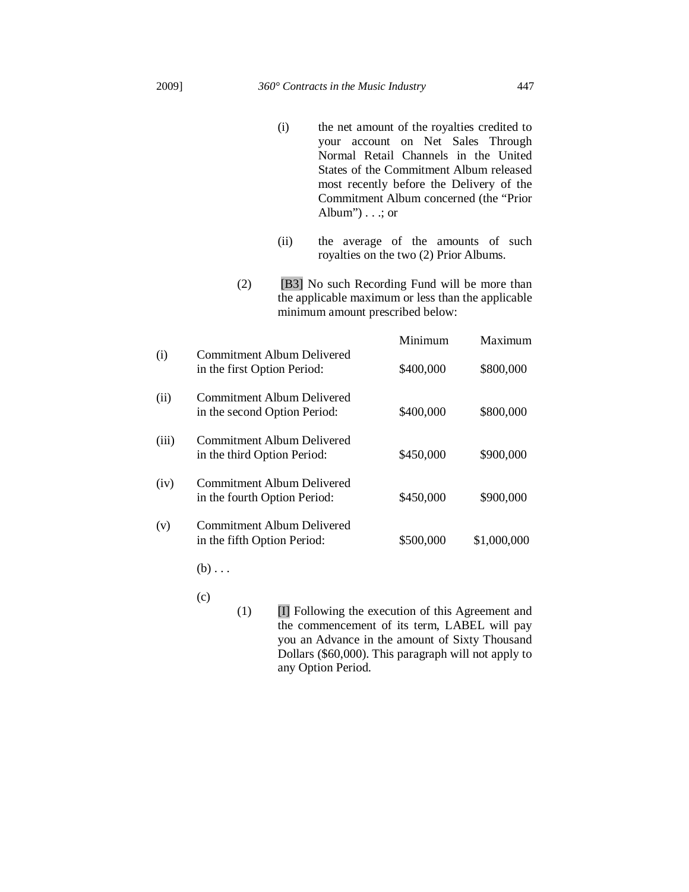- (i) the net amount of the royalties credited to your account on Net Sales Through Normal Retail Channels in the United States of the Commitment Album released most recently before the Delivery of the Commitment Album concerned (the "Prior Album" $) \ldots$ ; or
- (ii) the average of the amounts of such royalties on the two (2) Prior Albums.
- (2) [B3] No such Recording Fund will be more than the applicable maximum or less than the applicable minimum amount prescribed below:

|       |                                                                  | Minimum   | Maximum     |
|-------|------------------------------------------------------------------|-----------|-------------|
| (i)   | <b>Commitment Album Delivered</b><br>in the first Option Period: | \$400,000 | \$800,000   |
| (ii)  | Commitment Album Delivered<br>in the second Option Period:       | \$400,000 | \$800,000   |
| (iii) | Commitment Album Delivered<br>in the third Option Period:        | \$450,000 | \$900,000   |
| (iv)  | Commitment Album Delivered<br>in the fourth Option Period:       | \$450,000 | \$900,000   |
| (v)   | Commitment Album Delivered<br>in the fifth Option Period:        | \$500,000 | \$1,000,000 |

 $(b) \ldots$ 

- $(c)$
- $(1)$  **II** Following the execution of this Agreement and the commencement of its term, LABEL will pay you an Advance in the amount of Sixty Thousand Dollars (\$60,000). This paragraph will not apply to any Option Period.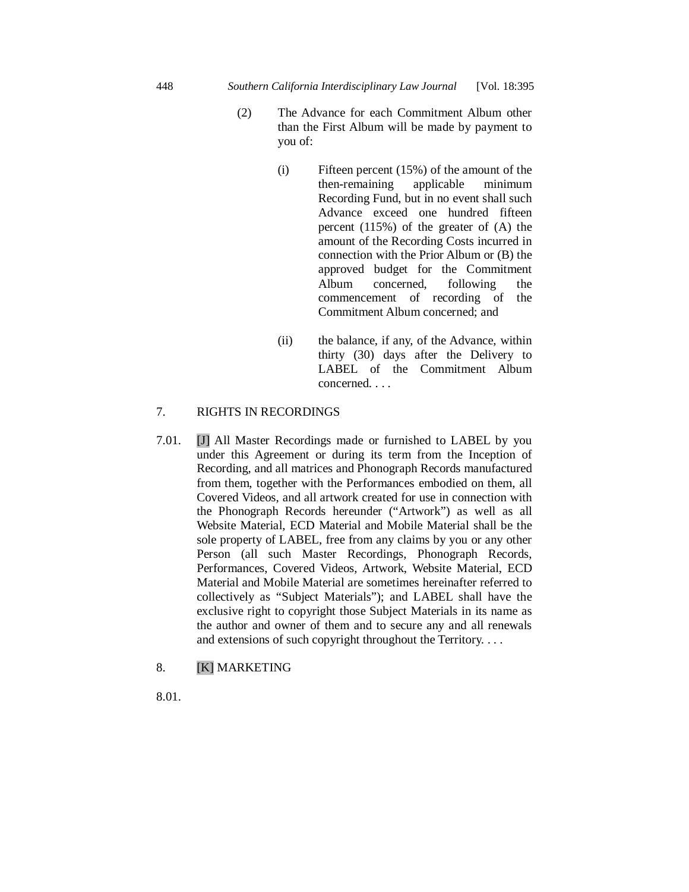- (2) The Advance for each Commitment Album other than the First Album will be made by payment to you of:
	- (i) Fifteen percent (15%) of the amount of the then-remaining applicable minimum then-remaining applicable minimum Recording Fund, but in no event shall such Advance exceed one hundred fifteen percent (115%) of the greater of (A) the amount of the Recording Costs incurred in connection with the Prior Album or (B) the approved budget for the Commitment Album concerned, following the commencement of recording of the Commitment Album concerned; and
	- (ii) the balance, if any, of the Advance, within thirty (30) days after the Delivery to LABEL of the Commitment Album concerned. . . .

# 7. RIGHTS IN RECORDINGS

7.01. [J] All Master Recordings made or furnished to LABEL by you under this Agreement or during its term from the Inception of Recording, and all matrices and Phonograph Records manufactured from them, together with the Performances embodied on them, all Covered Videos, and all artwork created for use in connection with the Phonograph Records hereunder ("Artwork") as well as all Website Material, ECD Material and Mobile Material shall be the sole property of LABEL, free from any claims by you or any other Person (all such Master Recordings, Phonograph Records, Performances, Covered Videos, Artwork, Website Material, ECD Material and Mobile Material are sometimes hereinafter referred to collectively as "Subject Materials"); and LABEL shall have the exclusive right to copyright those Subject Materials in its name as the author and owner of them and to secure any and all renewals and extensions of such copyright throughout the Territory. . . .

8. [K] MARKETING

8.01.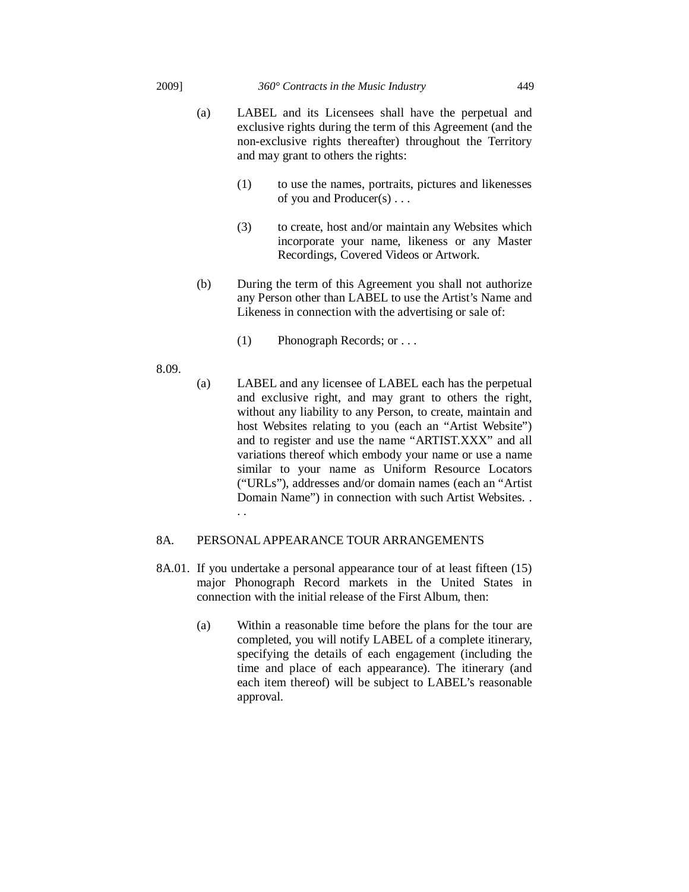#### 2009] *360° Contracts in the Music Industry* 449

- (a) LABEL and its Licensees shall have the perpetual and exclusive rights during the term of this Agreement (and the non-exclusive rights thereafter) throughout the Territory and may grant to others the rights:
	- (1) to use the names, portraits, pictures and likenesses of you and Producer(s) . . .
	- (3) to create, host and/or maintain any Websites which incorporate your name, likeness or any Master Recordings, Covered Videos or Artwork.
- (b) During the term of this Agreement you shall not authorize any Person other than LABEL to use the Artist's Name and Likeness in connection with the advertising or sale of:
	- (1) Phonograph Records; or . . .
- 8.09.
- (a) LABEL and any licensee of LABEL each has the perpetual and exclusive right, and may grant to others the right, without any liability to any Person, to create, maintain and host Websites relating to you (each an "Artist Website") and to register and use the name "ARTIST.XXX" and all variations thereof which embody your name or use a name similar to your name as Uniform Resource Locators ("URLs"), addresses and/or domain names (each an "Artist Domain Name") in connection with such Artist Websites. . . .

# 8A. PERSONAL APPEARANCE TOUR ARRANGEMENTS

- 8A.01. If you undertake a personal appearance tour of at least fifteen (15) major Phonograph Record markets in the United States in connection with the initial release of the First Album, then:
	- (a) Within a reasonable time before the plans for the tour are completed, you will notify LABEL of a complete itinerary, specifying the details of each engagement (including the time and place of each appearance). The itinerary (and each item thereof) will be subject to LABEL's reasonable approval.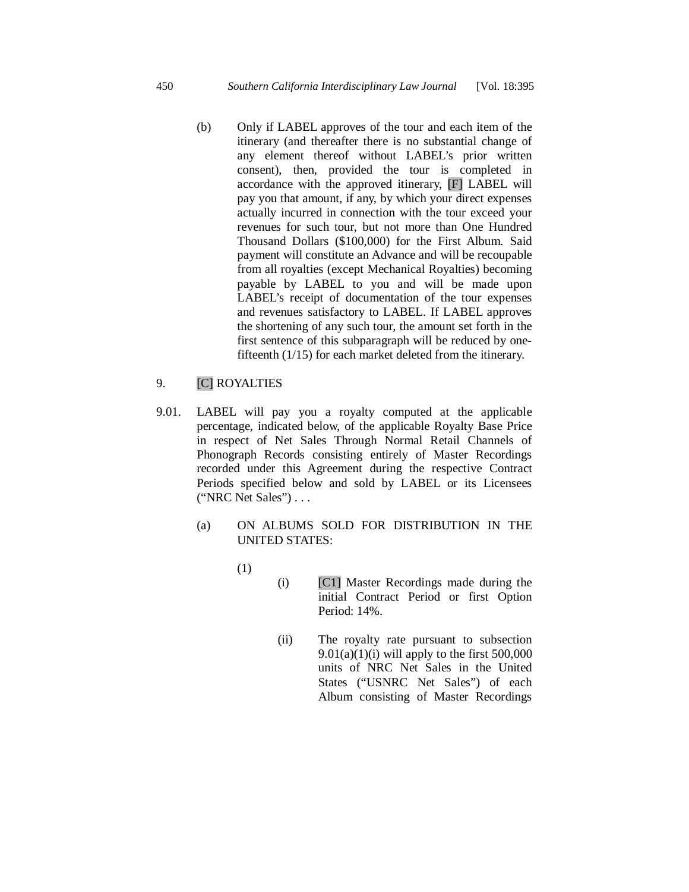(b) Only if LABEL approves of the tour and each item of the itinerary (and thereafter there is no substantial change of any element thereof without LABEL's prior written consent), then, provided the tour is completed in accordance with the approved itinerary, [F] LABEL will pay you that amount, if any, by which your direct expenses actually incurred in connection with the tour exceed your revenues for such tour, but not more than One Hundred Thousand Dollars (\$100,000) for the First Album. Said payment will constitute an Advance and will be recoupable from all royalties (except Mechanical Royalties) becoming payable by LABEL to you and will be made upon LABEL's receipt of documentation of the tour expenses and revenues satisfactory to LABEL. If LABEL approves the shortening of any such tour, the amount set forth in the first sentence of this subparagraph will be reduced by onefifteenth (1/15) for each market deleted from the itinerary.

# 9. [C] ROYALTIES

- 9.01. LABEL will pay you a royalty computed at the applicable percentage, indicated below, of the applicable Royalty Base Price in respect of Net Sales Through Normal Retail Channels of Phonograph Records consisting entirely of Master Recordings recorded under this Agreement during the respective Contract Periods specified below and sold by LABEL or its Licensees ("NRC Net Sales") . . .
	- (a) ON ALBUMS SOLD FOR DISTRIBUTION IN THE UNITED STATES:
		- (1)
- (i) [C1] Master Recordings made during the initial Contract Period or first Option Period: 14%.
- (ii) The royalty rate pursuant to subsection  $9.01(a)(1)(i)$  will apply to the first 500,000 units of NRC Net Sales in the United States ("USNRC Net Sales") of each Album consisting of Master Recordings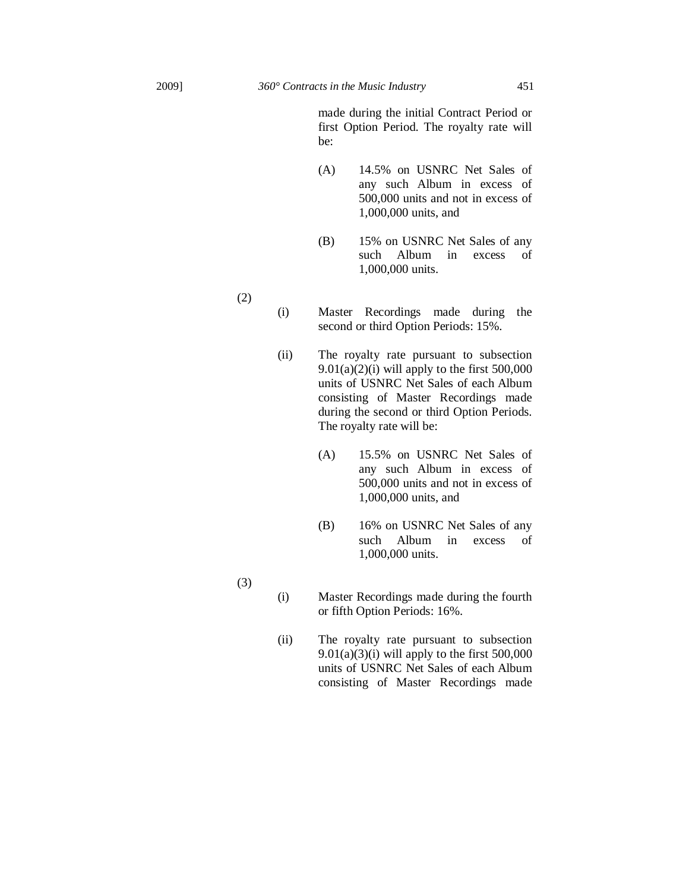made during the initial Contract Period or first Option Period. The royalty rate will be:

- (A) 14.5% on USNRC Net Sales of any such Album in excess of 500,000 units and not in excess of 1,000,000 units, and
- (B) 15% on USNRC Net Sales of any such Album in excess of 1,000,000 units.
- (i) Master Recordings made during the second or third Option Periods: 15%.
- (ii) The royalty rate pursuant to subsection  $9.01(a)(2)(i)$  will apply to the first 500,000 units of USNRC Net Sales of each Album consisting of Master Recordings made during the second or third Option Periods. The royalty rate will be:
	- (A) 15.5% on USNRC Net Sales of any such Album in excess of 500,000 units and not in excess of 1,000,000 units, and
	- (B) 16% on USNRC Net Sales of any such Album in excess of 1,000,000 units.
- (i) Master Recordings made during the fourth or fifth Option Periods: 16%.
- (ii) The royalty rate pursuant to subsection  $9.01(a)(3)(i)$  will apply to the first 500,000 units of USNRC Net Sales of each Album consisting of Master Recordings made

(2)

(3)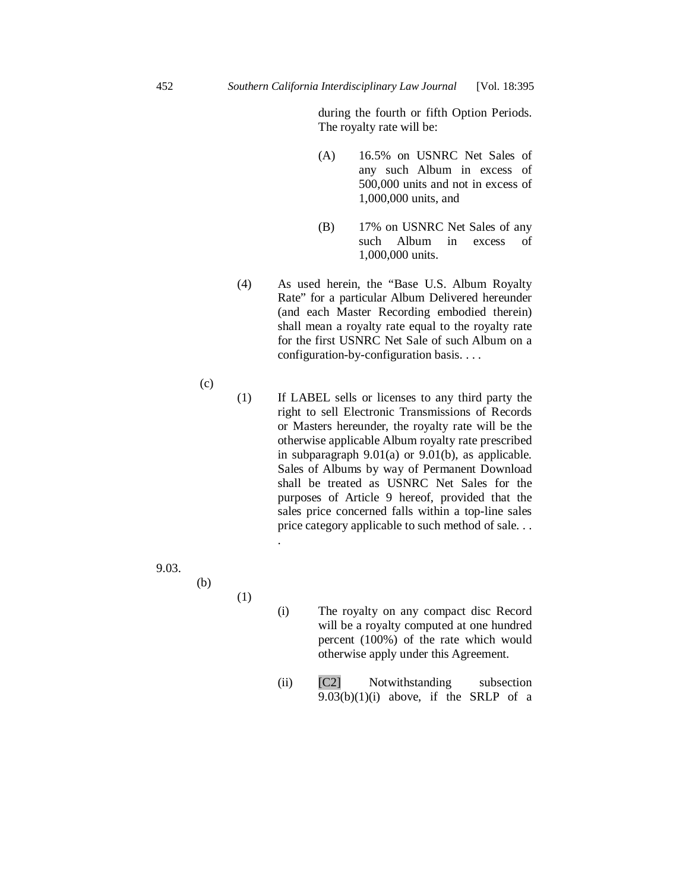during the fourth or fifth Option Periods. The royalty rate will be:

- (A) 16.5% on USNRC Net Sales of any such Album in excess of 500,000 units and not in excess of 1,000,000 units, and
- (B) 17% on USNRC Net Sales of any such Album in excess of 1,000,000 units.
- (4) As used herein, the "Base U.S. Album Royalty Rate" for a particular Album Delivered hereunder (and each Master Recording embodied therein) shall mean a royalty rate equal to the royalty rate for the first USNRC Net Sale of such Album on a configuration-by-configuration basis. . . .
- (1) If LABEL sells or licenses to any third party the right to sell Electronic Transmissions of Records or Masters hereunder, the royalty rate will be the otherwise applicable Album royalty rate prescribed in subparagraph 9.01(a) or 9.01(b), as applicable. Sales of Albums by way of Permanent Download shall be treated as USNRC Net Sales for the purposes of Article 9 hereof, provided that the sales price concerned falls within a top-line sales price category applicable to such method of sale. . . .
- 9.03.
- (b)

(1)

(c)

- (i) The royalty on any compact disc Record will be a royalty computed at one hundred percent (100%) of the rate which would otherwise apply under this Agreement.
- (ii) [C2] Notwithstanding subsection  $9.03(b)(1)(i)$  above, if the SRLP of a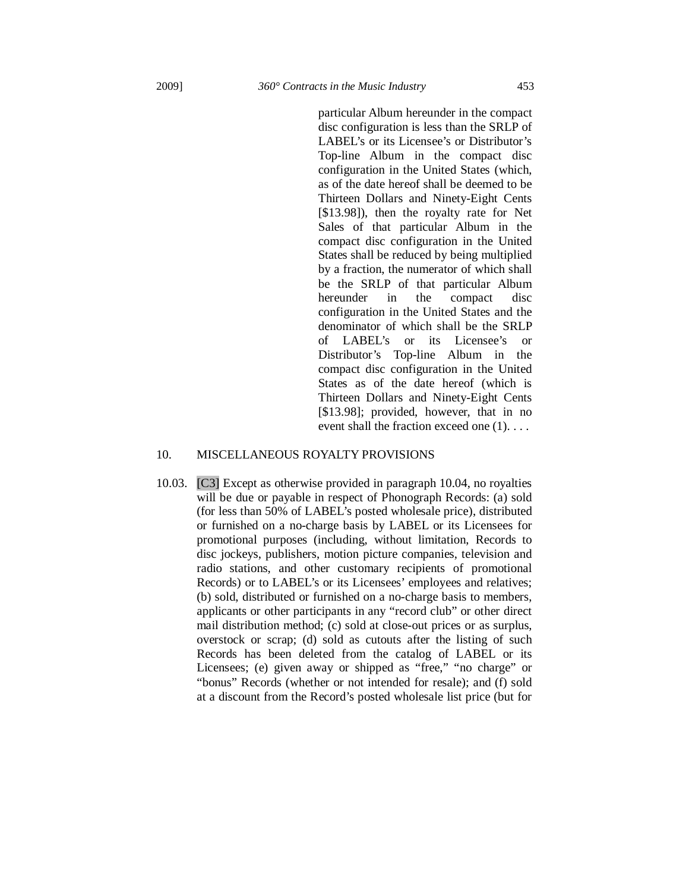particular Album hereunder in the compact disc configuration is less than the SRLP of LABEL's or its Licensee's or Distributor's Top-line Album in the compact disc configuration in the United States (which, as of the date hereof shall be deemed to be Thirteen Dollars and Ninety-Eight Cents [\$13.98]), then the royalty rate for Net Sales of that particular Album in the compact disc configuration in the United States shall be reduced by being multiplied by a fraction, the numerator of which shall be the SRLP of that particular Album hereunder in the compact disc configuration in the United States and the denominator of which shall be the SRLP of LABEL's or its Licensee's or Distributor's Top-line Album in the compact disc configuration in the United States as of the date hereof (which is Thirteen Dollars and Ninety-Eight Cents [\$13.98]; provided, however, that in no event shall the fraction exceed one (1). . . .

### 10. MISCELLANEOUS ROYALTY PROVISIONS

10.03. [C3] Except as otherwise provided in paragraph 10.04, no royalties will be due or payable in respect of Phonograph Records: (a) sold (for less than 50% of LABEL's posted wholesale price), distributed or furnished on a no-charge basis by LABEL or its Licensees for promotional purposes (including, without limitation, Records to disc jockeys, publishers, motion picture companies, television and radio stations, and other customary recipients of promotional Records) or to LABEL's or its Licensees' employees and relatives; (b) sold, distributed or furnished on a no-charge basis to members, applicants or other participants in any "record club" or other direct mail distribution method; (c) sold at close-out prices or as surplus, overstock or scrap; (d) sold as cutouts after the listing of such Records has been deleted from the catalog of LABEL or its Licensees; (e) given away or shipped as "free," "no charge" or "bonus" Records (whether or not intended for resale); and (f) sold at a discount from the Record's posted wholesale list price (but for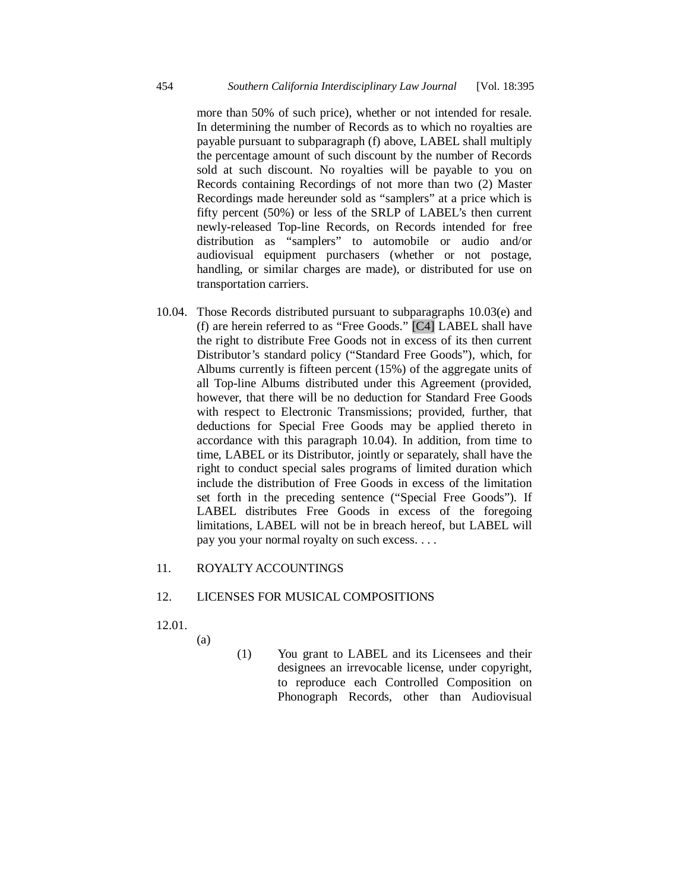more than 50% of such price), whether or not intended for resale. In determining the number of Records as to which no royalties are payable pursuant to subparagraph (f) above, LABEL shall multiply the percentage amount of such discount by the number of Records sold at such discount. No royalties will be payable to you on Records containing Recordings of not more than two (2) Master Recordings made hereunder sold as "samplers" at a price which is fifty percent (50%) or less of the SRLP of LABEL's then current newly-released Top-line Records, on Records intended for free distribution as "samplers" to automobile or audio and/or audiovisual equipment purchasers (whether or not postage, handling, or similar charges are made), or distributed for use on transportation carriers.

10.04. Those Records distributed pursuant to subparagraphs 10.03(e) and (f) are herein referred to as "Free Goods." [C4] LABEL shall have the right to distribute Free Goods not in excess of its then current Distributor's standard policy ("Standard Free Goods"), which, for Albums currently is fifteen percent (15%) of the aggregate units of all Top-line Albums distributed under this Agreement (provided, however, that there will be no deduction for Standard Free Goods with respect to Electronic Transmissions; provided, further, that deductions for Special Free Goods may be applied thereto in accordance with this paragraph 10.04). In addition, from time to time, LABEL or its Distributor, jointly or separately, shall have the right to conduct special sales programs of limited duration which include the distribution of Free Goods in excess of the limitation set forth in the preceding sentence ("Special Free Goods"). If LABEL distributes Free Goods in excess of the foregoing limitations, LABEL will not be in breach hereof, but LABEL will pay you your normal royalty on such excess. . . .

### 11. ROYALTY ACCOUNTINGS

# 12. LICENSES FOR MUSICAL COMPOSITIONS

- 12.01.
- (a)
- (1) You grant to LABEL and its Licensees and their designees an irrevocable license, under copyright, to reproduce each Controlled Composition on Phonograph Records, other than Audiovisual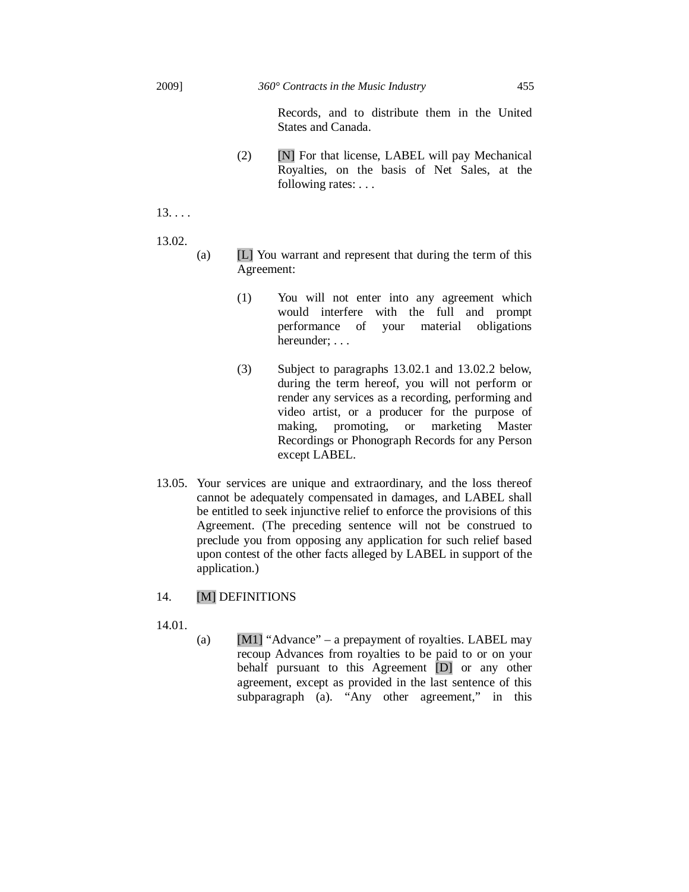Records, and to distribute them in the United States and Canada.

 $(2)$  [N] For that license, LABEL will pay Mechanical Royalties, on the basis of Net Sales, at the following rates: . . .

 $13. . . .$ 

13.02.

- (a) [L] You warrant and represent that during the term of this Agreement:
	- (1) You will not enter into any agreement which would interfere with the full and prompt performance of your material obligations hereunder; . . .
	- (3) Subject to paragraphs 13.02.1 and 13.02.2 below, during the term hereof, you will not perform or render any services as a recording, performing and video artist, or a producer for the purpose of making, promoting, or marketing Master Recordings or Phonograph Records for any Person except LABEL.
- 13.05. Your services are unique and extraordinary, and the loss thereof cannot be adequately compensated in damages, and LABEL shall be entitled to seek injunctive relief to enforce the provisions of this Agreement. (The preceding sentence will not be construed to preclude you from opposing any application for such relief based upon contest of the other facts alleged by LABEL in support of the application.)

# 14. [M] DEFINITIONS

14.01.

(a) [M1] "Advance" – a prepayment of royalties. LABEL may recoup Advances from royalties to be paid to or on your behalf pursuant to this Agreement [D] or any other agreement, except as provided in the last sentence of this subparagraph (a). "Any other agreement," in this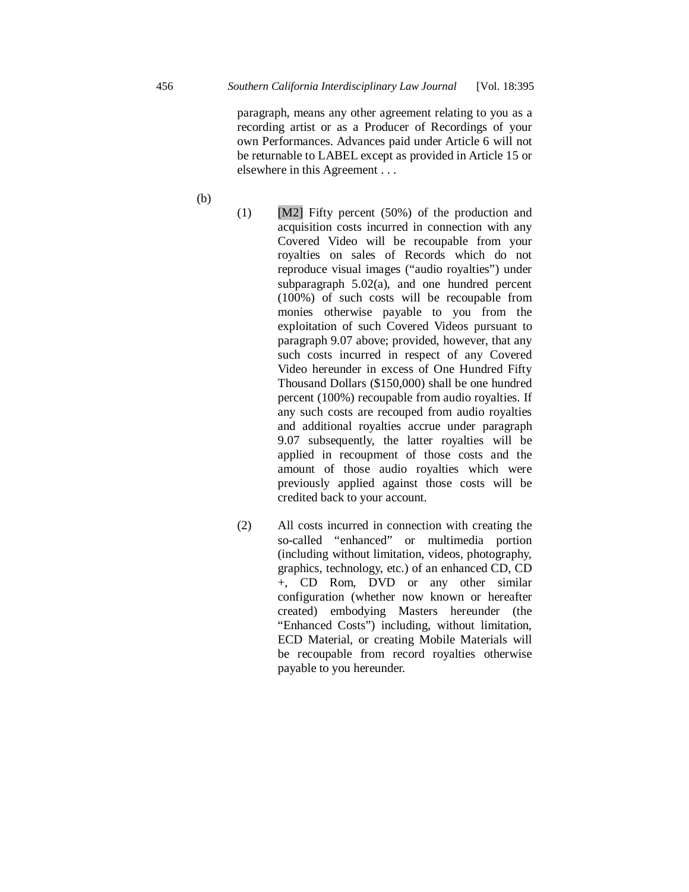paragraph, means any other agreement relating to you as a recording artist or as a Producer of Recordings of your own Performances. Advances paid under Article 6 will not be returnable to LABEL except as provided in Article 15 or elsewhere in this Agreement . . .

- (b)
- (1)  $[M2]$  Fifty percent (50%) of the production and acquisition costs incurred in connection with any Covered Video will be recoupable from your royalties on sales of Records which do not reproduce visual images ("audio royalties") under subparagraph 5.02(a), and one hundred percent (100%) of such costs will be recoupable from monies otherwise payable to you from the exploitation of such Covered Videos pursuant to paragraph 9.07 above; provided, however, that any such costs incurred in respect of any Covered Video hereunder in excess of One Hundred Fifty Thousand Dollars (\$150,000) shall be one hundred percent (100%) recoupable from audio royalties. If any such costs are recouped from audio royalties and additional royalties accrue under paragraph 9.07 subsequently, the latter royalties will be applied in recoupment of those costs and the amount of those audio royalties which were previously applied against those costs will be credited back to your account.
- (2) All costs incurred in connection with creating the so-called "enhanced" or multimedia portion (including without limitation, videos, photography, graphics, technology, etc.) of an enhanced CD, CD +, CD Rom, DVD or any other similar configuration (whether now known or hereafter created) embodying Masters hereunder (the "Enhanced Costs") including, without limitation, ECD Material, or creating Mobile Materials will be recoupable from record royalties otherwise payable to you hereunder.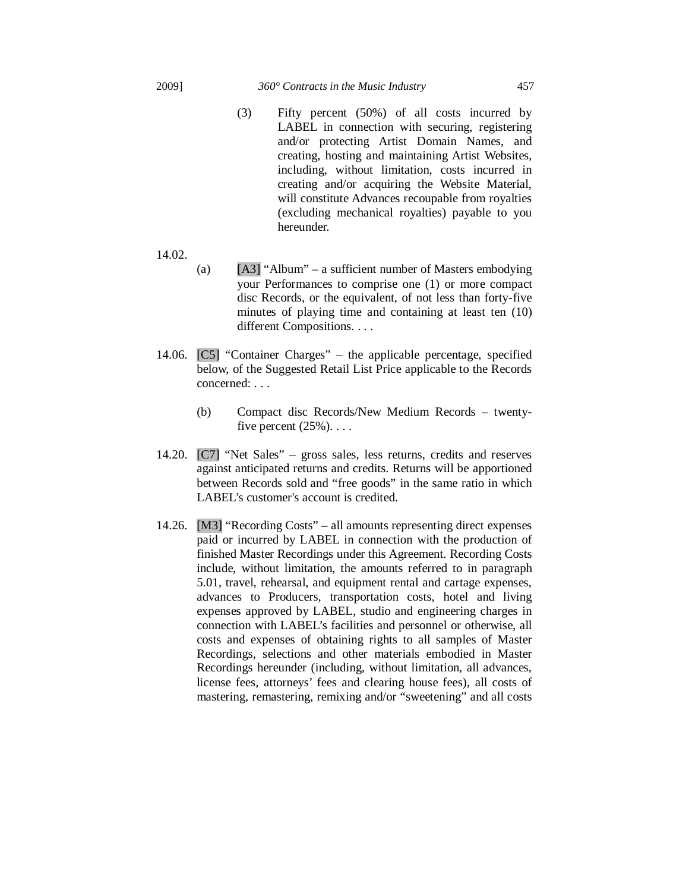## 2009] *360° Contracts in the Music Industry* 457

- (3) Fifty percent (50%) of all costs incurred by LABEL in connection with securing, registering and/or protecting Artist Domain Names, and creating, hosting and maintaining Artist Websites, including, without limitation, costs incurred in creating and/or acquiring the Website Material, will constitute Advances recoupable from royalties (excluding mechanical royalties) payable to you hereunder.
- 14.02.
- (a)  $[A3]$  "Album" a sufficient number of Masters embodying your Performances to comprise one (1) or more compact disc Records, or the equivalent, of not less than forty-five minutes of playing time and containing at least ten (10) different Compositions. . . .
- 14.06. [C5] "Container Charges" the applicable percentage, specified below, of the Suggested Retail List Price applicable to the Records concerned: . . .
	- (b) Compact disc Records/New Medium Records twentyfive percent  $(25\%)$ ...
- 14.20. [C7] "Net Sales" gross sales, less returns, credits and reserves against anticipated returns and credits. Returns will be apportioned between Records sold and "free goods" in the same ratio in which LABEL's customer's account is credited.
- 14.26. [M3] "Recording Costs" all amounts representing direct expenses paid or incurred by LABEL in connection with the production of finished Master Recordings under this Agreement. Recording Costs include, without limitation, the amounts referred to in paragraph 5.01, travel, rehearsal, and equipment rental and cartage expenses, advances to Producers, transportation costs, hotel and living expenses approved by LABEL, studio and engineering charges in connection with LABEL's facilities and personnel or otherwise, all costs and expenses of obtaining rights to all samples of Master Recordings, selections and other materials embodied in Master Recordings hereunder (including, without limitation, all advances, license fees, attorneys' fees and clearing house fees), all costs of mastering, remastering, remixing and/or "sweetening" and all costs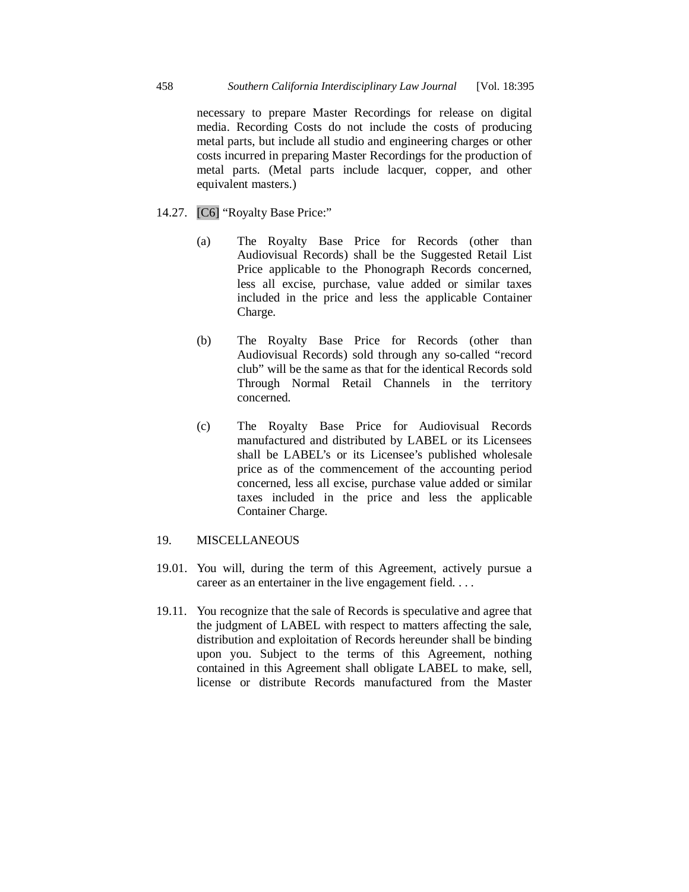necessary to prepare Master Recordings for release on digital media. Recording Costs do not include the costs of producing metal parts, but include all studio and engineering charges or other costs incurred in preparing Master Recordings for the production of metal parts. (Metal parts include lacquer, copper, and other equivalent masters.)

- 14.27. [C6] "Royalty Base Price:"
	- (a) The Royalty Base Price for Records (other than Audiovisual Records) shall be the Suggested Retail List Price applicable to the Phonograph Records concerned, less all excise, purchase, value added or similar taxes included in the price and less the applicable Container Charge.
	- (b) The Royalty Base Price for Records (other than Audiovisual Records) sold through any so-called "record club" will be the same as that for the identical Records sold Through Normal Retail Channels in the territory concerned.
	- (c) The Royalty Base Price for Audiovisual Records manufactured and distributed by LABEL or its Licensees shall be LABEL's or its Licensee's published wholesale price as of the commencement of the accounting period concerned, less all excise, purchase value added or similar taxes included in the price and less the applicable Container Charge.

# 19. MISCELLANEOUS

- 19.01. You will, during the term of this Agreement, actively pursue a career as an entertainer in the live engagement field. . . .
- 19.11. You recognize that the sale of Records is speculative and agree that the judgment of LABEL with respect to matters affecting the sale, distribution and exploitation of Records hereunder shall be binding upon you. Subject to the terms of this Agreement, nothing contained in this Agreement shall obligate LABEL to make, sell, license or distribute Records manufactured from the Master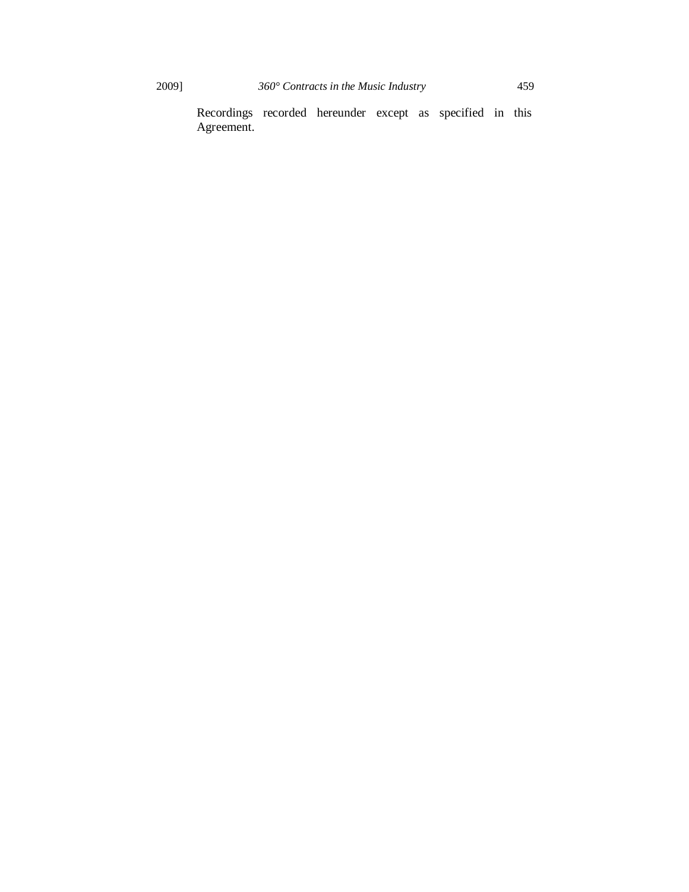Recordings recorded hereunder except as specified in this Agreement.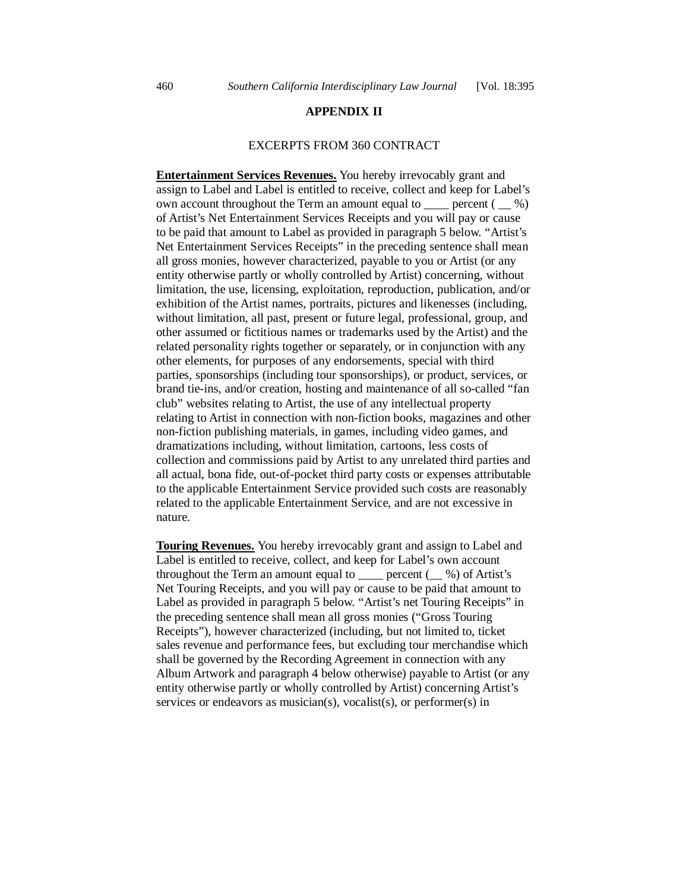#### EXCERPTS FROM 360 CONTRACT

**Entertainment Services Revenues.** You hereby irrevocably grant and assign to Label and Label is entitled to receive, collect and keep for Label's own account throughout the Term an amount equal to  $\equiv$  percent ( $\equiv$  %) of Artist's Net Entertainment Services Receipts and you will pay or cause to be paid that amount to Label as provided in paragraph 5 below. "Artist's Net Entertainment Services Receipts" in the preceding sentence shall mean all gross monies, however characterized, payable to you or Artist (or any entity otherwise partly or wholly controlled by Artist) concerning, without limitation, the use, licensing, exploitation, reproduction, publication, and/or exhibition of the Artist names, portraits, pictures and likenesses (including, without limitation, all past, present or future legal, professional, group, and other assumed or fictitious names or trademarks used by the Artist) and the related personality rights together or separately, or in conjunction with any other elements, for purposes of any endorsements, special with third parties, sponsorships (including tour sponsorships), or product, services, or brand tie-ins, and/or creation, hosting and maintenance of all so-called "fan club" websites relating to Artist, the use of any intellectual property relating to Artist in connection with non-fiction books, magazines and other non-fiction publishing materials, in games, including video games, and dramatizations including, without limitation, cartoons, less costs of collection and commissions paid by Artist to any unrelated third parties and all actual, bona fide, out-of-pocket third party costs or expenses attributable to the applicable Entertainment Service provided such costs are reasonably related to the applicable Entertainment Service, and are not excessive in nature.

**Touring Revenues.** You hereby irrevocably grant and assign to Label and Label is entitled to receive, collect, and keep for Label's own account throughout the Term an amount equal to  $\_\_\_\$  percent  $(\_\_\%)$  of Artist's Net Touring Receipts, and you will pay or cause to be paid that amount to Label as provided in paragraph 5 below. "Artist's net Touring Receipts" in the preceding sentence shall mean all gross monies ("Gross Touring Receipts"), however characterized (including, but not limited to, ticket sales revenue and performance fees, but excluding tour merchandise which shall be governed by the Recording Agreement in connection with any Album Artwork and paragraph 4 below otherwise) payable to Artist (or any entity otherwise partly or wholly controlled by Artist) concerning Artist's services or endeavors as musician(s), vocalist(s), or performer(s) in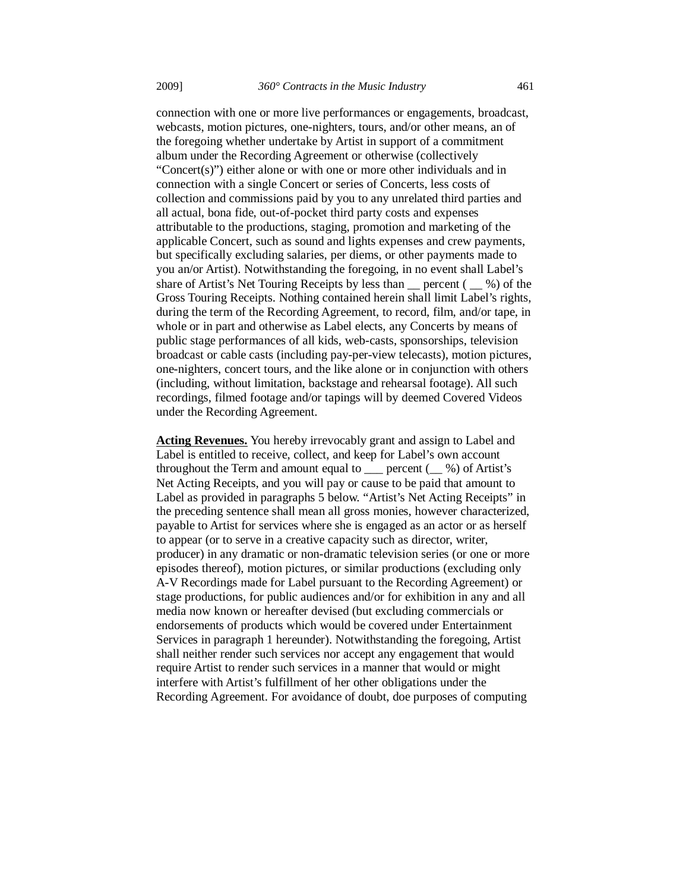connection with one or more live performances or engagements, broadcast, webcasts, motion pictures, one-nighters, tours, and/or other means, an of the foregoing whether undertake by Artist in support of a commitment album under the Recording Agreement or otherwise (collectively "Concert(s)") either alone or with one or more other individuals and in connection with a single Concert or series of Concerts, less costs of collection and commissions paid by you to any unrelated third parties and all actual, bona fide, out-of-pocket third party costs and expenses attributable to the productions, staging, promotion and marketing of the applicable Concert, such as sound and lights expenses and crew payments, but specifically excluding salaries, per diems, or other payments made to you an/or Artist). Notwithstanding the foregoing, in no event shall Label's share of Artist's Net Touring Receipts by less than  $\frac{1}{2}$  percent ( $\frac{1}{2}$ ) of the Gross Touring Receipts. Nothing contained herein shall limit Label's rights, during the term of the Recording Agreement, to record, film, and/or tape, in whole or in part and otherwise as Label elects, any Concerts by means of public stage performances of all kids, web-casts, sponsorships, television broadcast or cable casts (including pay-per-view telecasts), motion pictures, one-nighters, concert tours, and the like alone or in conjunction with others (including, without limitation, backstage and rehearsal footage). All such recordings, filmed footage and/or tapings will by deemed Covered Videos under the Recording Agreement.

**Acting Revenues.** You hereby irrevocably grant and assign to Label and Label is entitled to receive, collect, and keep for Label's own account throughout the Term and amount equal to \_\_\_ percent (\_\_ %) of Artist's Net Acting Receipts, and you will pay or cause to be paid that amount to Label as provided in paragraphs 5 below. "Artist's Net Acting Receipts" in the preceding sentence shall mean all gross monies, however characterized, payable to Artist for services where she is engaged as an actor or as herself to appear (or to serve in a creative capacity such as director, writer, producer) in any dramatic or non-dramatic television series (or one or more episodes thereof), motion pictures, or similar productions (excluding only A-V Recordings made for Label pursuant to the Recording Agreement) or stage productions, for public audiences and/or for exhibition in any and all media now known or hereafter devised (but excluding commercials or endorsements of products which would be covered under Entertainment Services in paragraph 1 hereunder). Notwithstanding the foregoing, Artist shall neither render such services nor accept any engagement that would require Artist to render such services in a manner that would or might interfere with Artist's fulfillment of her other obligations under the Recording Agreement. For avoidance of doubt, doe purposes of computing